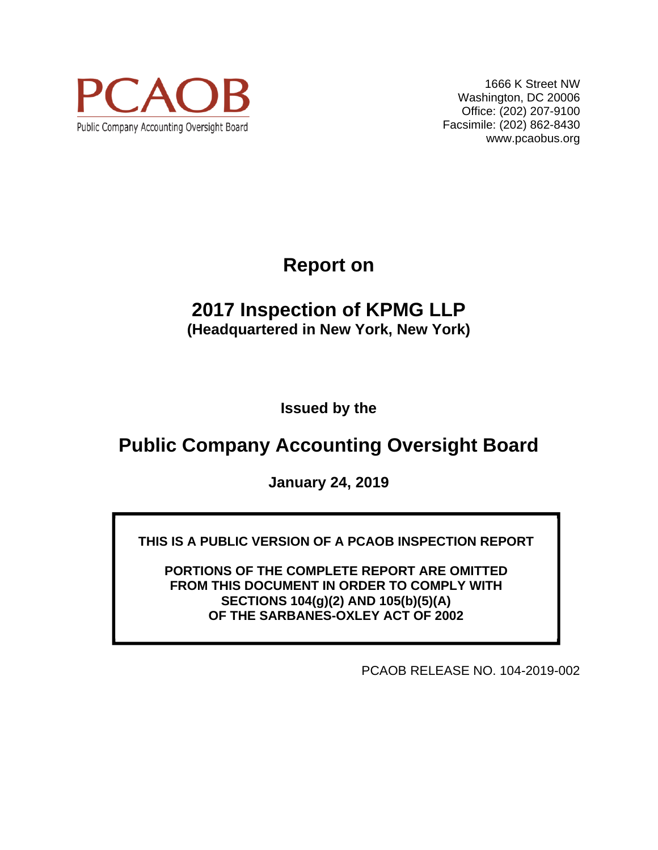

1666 K Street NW Washington, DC 20006 Office: (202) 207-9100 Facsimile: (202) 862-8430 www.pcaobus.org

**Report on** 

# **2017 Inspection of KPMG LLP (Headquartered in New York, New York)**

**Issued by the** 

# **Public Company Accounting Oversight Board**

**January 24, 2019** 

**THIS IS A PUBLIC VERSION OF A PCAOB INSPECTION REPORT** 

**PORTIONS OF THE COMPLETE REPORT ARE OMITTED FROM THIS DOCUMENT IN ORDER TO COMPLY WITH SECTIONS 104(g)(2) AND 105(b)(5)(A) OF THE SARBANES-OXLEY ACT OF 2002** 

PCAOB RELEASE NO. 104-2019-002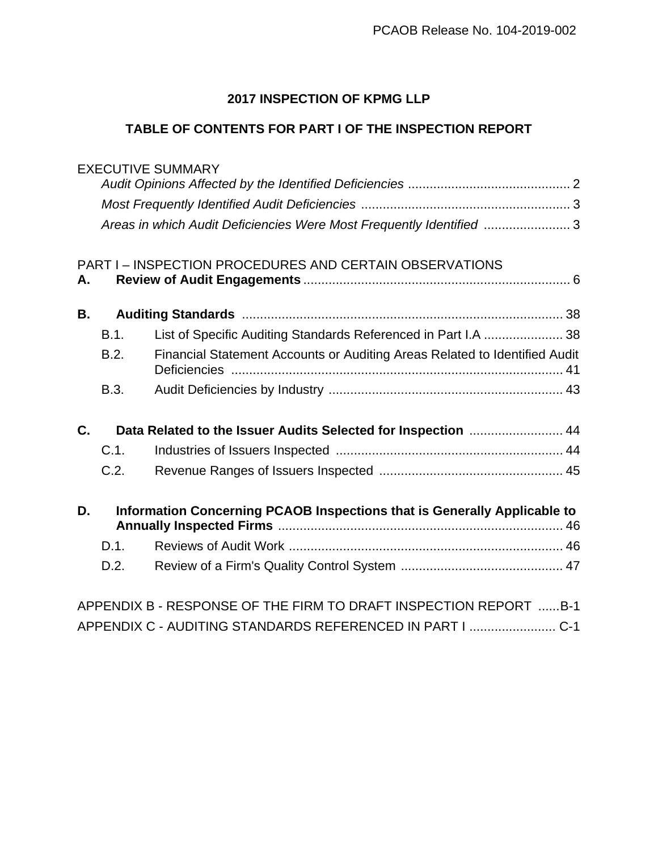# **2017 INSPECTION OF KPMG LLP**

# **TABLE OF CONTENTS FOR PART I OF THE INSPECTION REPORT**

# EXECUTIVE SUMMARY

| Areas in which Audit Deficiencies Were Most Frequently Identified 3 |  |
|---------------------------------------------------------------------|--|

# PART I – INSPECTION PROCEDURES AND CERTAIN OBSERVATIONS **A. Review of Audit Engagements** .......................................................................... 6 **B. Auditing Standards** ......................................................................................... 38 B.1. List of Specific Auditing Standards Referenced in Part I.A ...................... 38 B.2. Financial Statement Accounts or Auditing Areas Related to Identified Audit Deficiencies ............................................................................................ 41 B.3. Audit Deficiencies by Industry ................................................................. 43 **C. Data Related to the Issuer Audits Selected for Inspection** .......................... 44 C.1. Industries of Issuers Inspected ............................................................... 44

| D. |     | Information Concerning PCAOB Inspections that is Generally Applicable to |  |  |  |  |
|----|-----|--------------------------------------------------------------------------|--|--|--|--|
|    |     |                                                                          |  |  |  |  |
|    | D.2 |                                                                          |  |  |  |  |

C.2. Revenue Ranges of Issuers Inspected ................................................... 45

| APPENDIX B - RESPONSE OF THE FIRM TO DRAFT INSPECTION REPORT B-1 |  |
|------------------------------------------------------------------|--|
| APPENDIX C - AUDITING STANDARDS REFERENCED IN PART I  C-1        |  |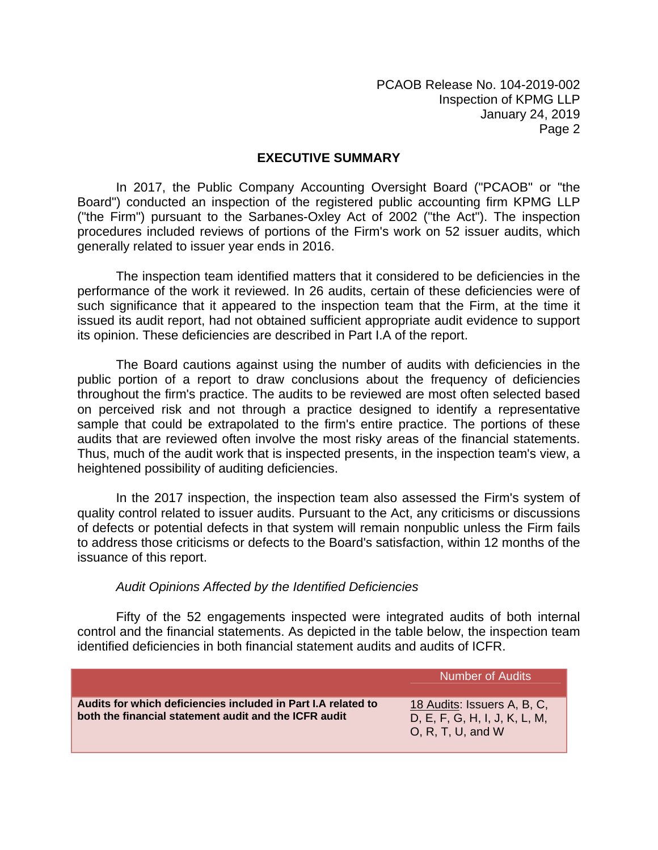#### **EXECUTIVE SUMMARY**

In 2017, the Public Company Accounting Oversight Board ("PCAOB" or "the Board") conducted an inspection of the registered public accounting firm KPMG LLP ("the Firm") pursuant to the Sarbanes-Oxley Act of 2002 ("the Act"). The inspection procedures included reviews of portions of the Firm's work on 52 issuer audits, which generally related to issuer year ends in 2016.

The inspection team identified matters that it considered to be deficiencies in the performance of the work it reviewed. In 26 audits, certain of these deficiencies were of such significance that it appeared to the inspection team that the Firm, at the time it issued its audit report, had not obtained sufficient appropriate audit evidence to support its opinion. These deficiencies are described in Part I.A of the report.

The Board cautions against using the number of audits with deficiencies in the public portion of a report to draw conclusions about the frequency of deficiencies throughout the firm's practice. The audits to be reviewed are most often selected based on perceived risk and not through a practice designed to identify a representative sample that could be extrapolated to the firm's entire practice. The portions of these audits that are reviewed often involve the most risky areas of the financial statements. Thus, much of the audit work that is inspected presents, in the inspection team's view, a heightened possibility of auditing deficiencies.

In the 2017 inspection, the inspection team also assessed the Firm's system of quality control related to issuer audits. Pursuant to the Act, any criticisms or discussions of defects or potential defects in that system will remain nonpublic unless the Firm fails to address those criticisms or defects to the Board's satisfaction, within 12 months of the issuance of this report.

#### *Audit Opinions Affected by the Identified Deficiencies*

Fifty of the 52 engagements inspected were integrated audits of both internal control and the financial statements. As depicted in the table below, the inspection team identified deficiencies in both financial statement audits and audits of ICFR.

|                                                                                                                        | <b>Number of Audits</b>                                                           |
|------------------------------------------------------------------------------------------------------------------------|-----------------------------------------------------------------------------------|
| Audits for which deficiencies included in Part I.A related to<br>both the financial statement audit and the ICFR audit | 18 Audits: Issuers A, B, C,<br>D, E, F, G, H, I, J, K, L, M,<br>O, R, T, U, and W |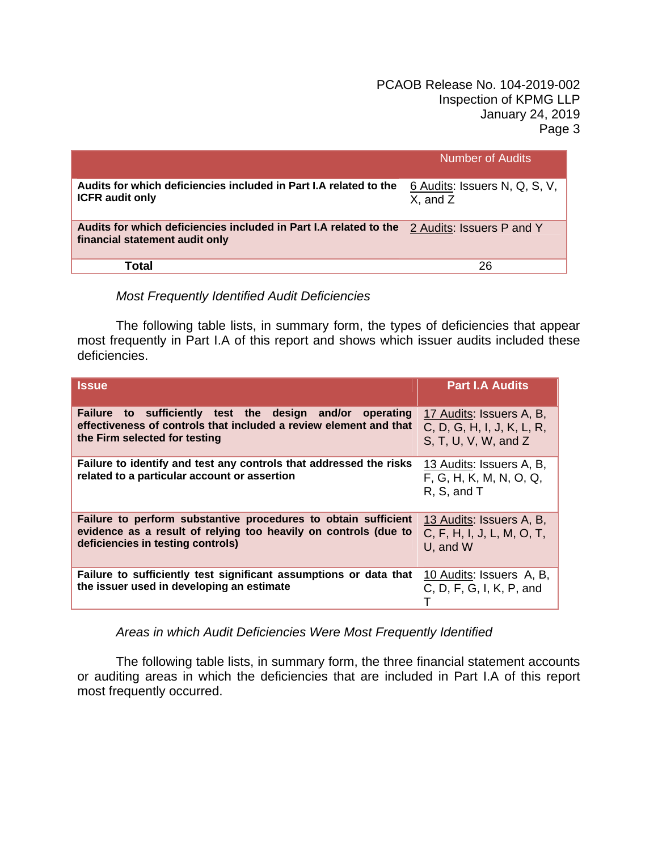|                                                                                                     | <b>Number of Audits</b>                   |
|-----------------------------------------------------------------------------------------------------|-------------------------------------------|
| Audits for which deficiencies included in Part I.A related to the<br><b>ICFR</b> audit only         | 6 Audits: Issuers N, Q, S, V,<br>X, and Z |
| Audits for which deficiencies included in Part I.A related to the<br>financial statement audit only | 2 Audits: Issuers P and Y                 |
| Total                                                                                               | 26                                        |

# *Most Frequently Identified Audit Deficiencies*

The following table lists, in summary form, the types of deficiencies that appear most frequently in Part I.A of this report and shows which issuer audits included these deficiencies.

| <b>Issue</b>                                                                                                                                                           | <b>Part I.A Audits</b>                                                         |
|------------------------------------------------------------------------------------------------------------------------------------------------------------------------|--------------------------------------------------------------------------------|
| Failure to sufficiently test the design and/or<br>operating<br>effectiveness of controls that included a review element and that<br>the Firm selected for testing      | 17 Audits: Issuers A, B,<br>C, D, G, H, I, J, K, L, R,<br>S, T, U, V, W, and Z |
| Failure to identify and test any controls that addressed the risks<br>related to a particular account or assertion                                                     | 13 Audits: Issuers A, B,<br>F, G, H, K, M, N, O, Q,<br>R, S, and T             |
| Failure to perform substantive procedures to obtain sufficient<br>evidence as a result of relying too heavily on controls (due to<br>deficiencies in testing controls) | 13 Audits: Issuers A, B,<br>C, F, H, I, J, L, M, O, T,<br>U, and W             |
| Failure to sufficiently test significant assumptions or data that<br>the issuer used in developing an estimate                                                         | 10 Audits: Issuers A, B,<br>C, D, F, G, I, K, P, and                           |

*Areas in which Audit Deficiencies Were Most Frequently Identified* 

The following table lists, in summary form, the three financial statement accounts or auditing areas in which the deficiencies that are included in Part I.A of this report most frequently occurred.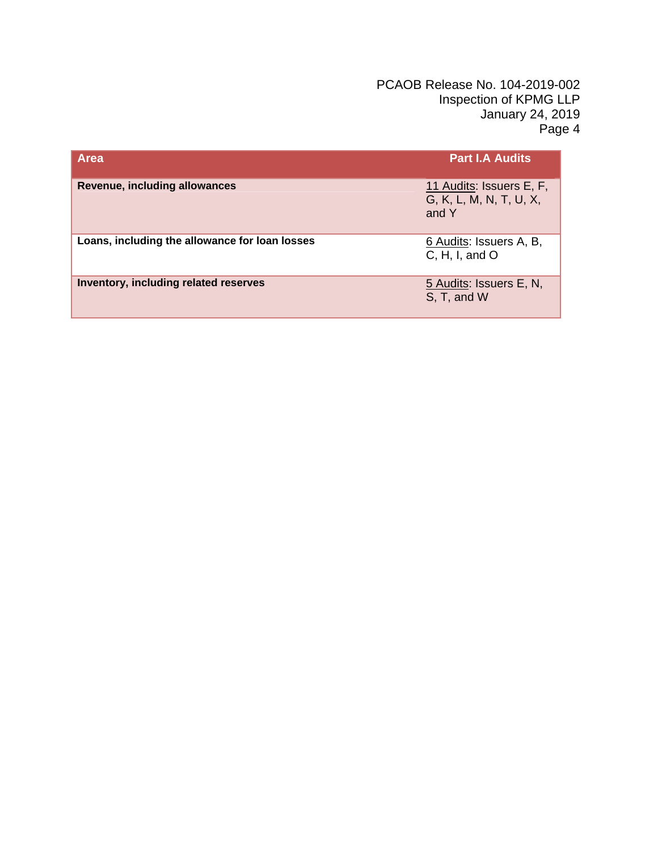| <b>Area</b>                                    | <b>Part I.A Audits</b>                                       |
|------------------------------------------------|--------------------------------------------------------------|
| <b>Revenue, including allowances</b>           | 11 Audits: Issuers E, F,<br>G, K, L, M, N, T, U, X,<br>and Y |
| Loans, including the allowance for loan losses | 6 Audits: Issuers A, B,<br>C, H, I, and O                    |
| Inventory, including related reserves          | 5 Audits: Issuers E, N,<br>S, T, and W                       |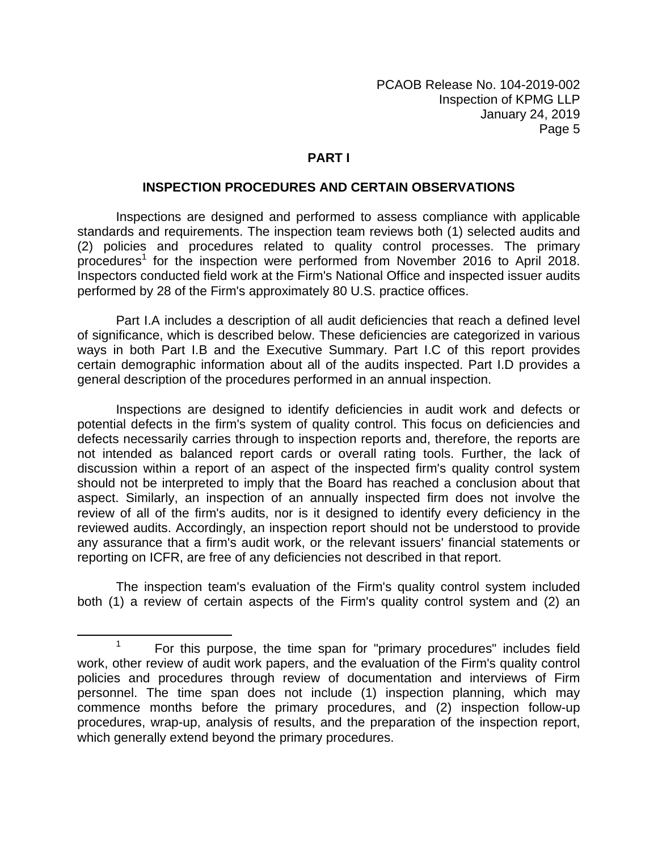#### **PART I**

#### **INSPECTION PROCEDURES AND CERTAIN OBSERVATIONS**

Inspections are designed and performed to assess compliance with applicable standards and requirements. The inspection team reviews both (1) selected audits and (2) policies and procedures related to quality control processes. The primary procedures<sup>1</sup> for the inspection were performed from November 2016 to April 2018. Inspectors conducted field work at the Firm's National Office and inspected issuer audits performed by 28 of the Firm's approximately 80 U.S. practice offices.

Part I.A includes a description of all audit deficiencies that reach a defined level of significance, which is described below. These deficiencies are categorized in various ways in both Part I.B and the Executive Summary. Part I.C of this report provides certain demographic information about all of the audits inspected. Part I.D provides a general description of the procedures performed in an annual inspection.

Inspections are designed to identify deficiencies in audit work and defects or potential defects in the firm's system of quality control. This focus on deficiencies and defects necessarily carries through to inspection reports and, therefore, the reports are not intended as balanced report cards or overall rating tools. Further, the lack of discussion within a report of an aspect of the inspected firm's quality control system should not be interpreted to imply that the Board has reached a conclusion about that aspect. Similarly, an inspection of an annually inspected firm does not involve the review of all of the firm's audits, nor is it designed to identify every deficiency in the reviewed audits. Accordingly, an inspection report should not be understood to provide any assurance that a firm's audit work, or the relevant issuers' financial statements or reporting on ICFR, are free of any deficiencies not described in that report.

The inspection team's evaluation of the Firm's quality control system included both (1) a review of certain aspects of the Firm's quality control system and (2) an

**<sup>1</sup>** For this purpose, the time span for "primary procedures" includes field work, other review of audit work papers, and the evaluation of the Firm's quality control policies and procedures through review of documentation and interviews of Firm personnel. The time span does not include (1) inspection planning, which may commence months before the primary procedures, and (2) inspection follow-up procedures, wrap-up, analysis of results, and the preparation of the inspection report, which generally extend beyond the primary procedures.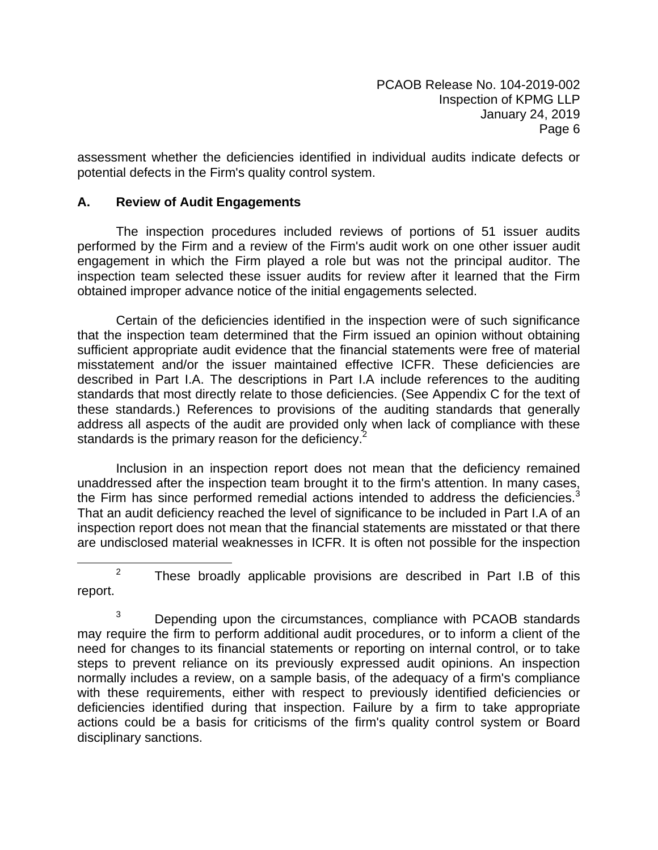assessment whether the deficiencies identified in individual audits indicate defects or potential defects in the Firm's quality control system.

# **A. Review of Audit Engagements**

The inspection procedures included reviews of portions of 51 issuer audits performed by the Firm and a review of the Firm's audit work on one other issuer audit engagement in which the Firm played a role but was not the principal auditor. The inspection team selected these issuer audits for review after it learned that the Firm obtained improper advance notice of the initial engagements selected.

Certain of the deficiencies identified in the inspection were of such significance that the inspection team determined that the Firm issued an opinion without obtaining sufficient appropriate audit evidence that the financial statements were free of material misstatement and/or the issuer maintained effective ICFR. These deficiencies are described in Part I.A. The descriptions in Part I.A include references to the auditing standards that most directly relate to those deficiencies. (See Appendix C for the text of these standards.) References to provisions of the auditing standards that generally address all aspects of the audit are provided only when lack of compliance with these standards is the primary reason for the deficiency.<sup>2</sup>

Inclusion in an inspection report does not mean that the deficiency remained unaddressed after the inspection team brought it to the firm's attention. In many cases, the Firm has since performed remedial actions intended to address the deficiencies. $3$ That an audit deficiency reached the level of significance to be included in Part I.A of an inspection report does not mean that the financial statements are misstated or that there are undisclosed material weaknesses in ICFR. It is often not possible for the inspection

**<sup>2</sup>** These broadly applicable provisions are described in Part I.B of this report.

<sup>3</sup> Depending upon the circumstances, compliance with PCAOB standards may require the firm to perform additional audit procedures, or to inform a client of the need for changes to its financial statements or reporting on internal control, or to take steps to prevent reliance on its previously expressed audit opinions. An inspection normally includes a review, on a sample basis, of the adequacy of a firm's compliance with these requirements, either with respect to previously identified deficiencies or deficiencies identified during that inspection. Failure by a firm to take appropriate actions could be a basis for criticisms of the firm's quality control system or Board disciplinary sanctions.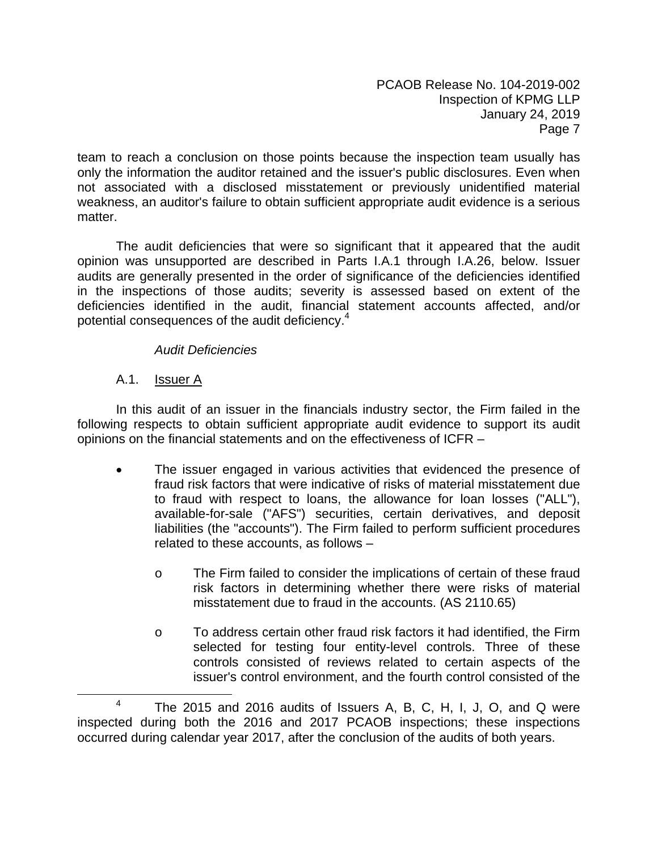team to reach a conclusion on those points because the inspection team usually has only the information the auditor retained and the issuer's public disclosures. Even when not associated with a disclosed misstatement or previously unidentified material weakness, an auditor's failure to obtain sufficient appropriate audit evidence is a serious matter.

The audit deficiencies that were so significant that it appeared that the audit opinion was unsupported are described in Parts I.A.1 through I.A.26, below. Issuer audits are generally presented in the order of significance of the deficiencies identified in the inspections of those audits; severity is assessed based on extent of the deficiencies identified in the audit, financial statement accounts affected, and/or potential consequences of the audit deficiency.<sup>4</sup>

# *Audit Deficiencies*

# A.1. **Issuer A**

In this audit of an issuer in the financials industry sector, the Firm failed in the following respects to obtain sufficient appropriate audit evidence to support its audit opinions on the financial statements and on the effectiveness of ICFR –

- The issuer engaged in various activities that evidenced the presence of fraud risk factors that were indicative of risks of material misstatement due to fraud with respect to loans, the allowance for loan losses ("ALL"), available-for-sale ("AFS") securities, certain derivatives, and deposit liabilities (the "accounts"). The Firm failed to perform sufficient procedures related to these accounts, as follows –
	- o The Firm failed to consider the implications of certain of these fraud risk factors in determining whether there were risks of material misstatement due to fraud in the accounts. (AS 2110.65)
	- o To address certain other fraud risk factors it had identified, the Firm selected for testing four entity-level controls. Three of these controls consisted of reviews related to certain aspects of the issuer's control environment, and the fourth control consisted of the

The 2015 and 2016 audits of Issuers A, B, C, H, I, J, O, and Q were inspected during both the 2016 and 2017 PCAOB inspections; these inspections occurred during calendar year 2017, after the conclusion of the audits of both years.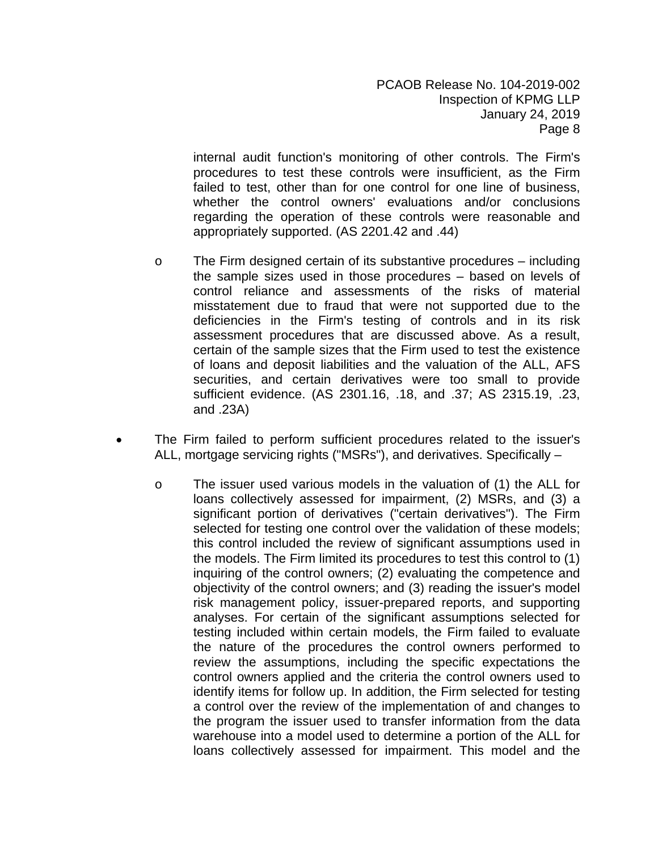internal audit function's monitoring of other controls. The Firm's procedures to test these controls were insufficient, as the Firm failed to test, other than for one control for one line of business, whether the control owners' evaluations and/or conclusions regarding the operation of these controls were reasonable and appropriately supported. (AS 2201.42 and .44)

- $\circ$  The Firm designed certain of its substantive procedures including the sample sizes used in those procedures – based on levels of control reliance and assessments of the risks of material misstatement due to fraud that were not supported due to the deficiencies in the Firm's testing of controls and in its risk assessment procedures that are discussed above. As a result, certain of the sample sizes that the Firm used to test the existence of loans and deposit liabilities and the valuation of the ALL, AFS securities, and certain derivatives were too small to provide sufficient evidence. (AS 2301.16, .18, and .37; AS 2315.19, .23, and .23A)
- The Firm failed to perform sufficient procedures related to the issuer's ALL, mortgage servicing rights ("MSRs"), and derivatives. Specifically –
	- o The issuer used various models in the valuation of (1) the ALL for loans collectively assessed for impairment, (2) MSRs, and (3) a significant portion of derivatives ("certain derivatives"). The Firm selected for testing one control over the validation of these models; this control included the review of significant assumptions used in the models. The Firm limited its procedures to test this control to (1) inquiring of the control owners; (2) evaluating the competence and objectivity of the control owners; and (3) reading the issuer's model risk management policy, issuer-prepared reports, and supporting analyses. For certain of the significant assumptions selected for testing included within certain models, the Firm failed to evaluate the nature of the procedures the control owners performed to review the assumptions, including the specific expectations the control owners applied and the criteria the control owners used to identify items for follow up. In addition, the Firm selected for testing a control over the review of the implementation of and changes to the program the issuer used to transfer information from the data warehouse into a model used to determine a portion of the ALL for loans collectively assessed for impairment. This model and the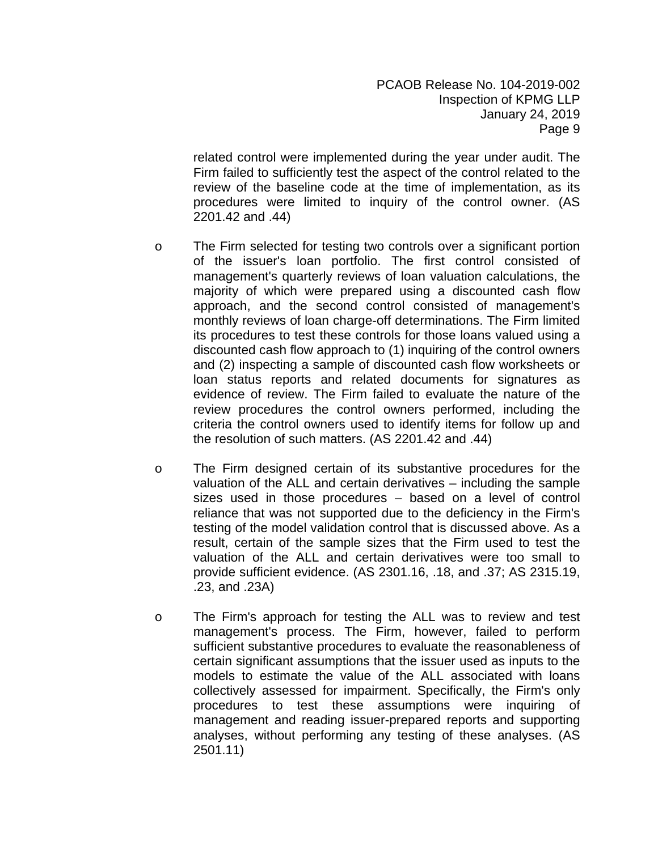related control were implemented during the year under audit. The Firm failed to sufficiently test the aspect of the control related to the review of the baseline code at the time of implementation, as its procedures were limited to inquiry of the control owner. (AS 2201.42 and .44)

- o The Firm selected for testing two controls over a significant portion of the issuer's loan portfolio. The first control consisted of management's quarterly reviews of loan valuation calculations, the majority of which were prepared using a discounted cash flow approach, and the second control consisted of management's monthly reviews of loan charge-off determinations. The Firm limited its procedures to test these controls for those loans valued using a discounted cash flow approach to (1) inquiring of the control owners and (2) inspecting a sample of discounted cash flow worksheets or loan status reports and related documents for signatures as evidence of review. The Firm failed to evaluate the nature of the review procedures the control owners performed, including the criteria the control owners used to identify items for follow up and the resolution of such matters. (AS 2201.42 and .44)
- o The Firm designed certain of its substantive procedures for the valuation of the ALL and certain derivatives – including the sample sizes used in those procedures – based on a level of control reliance that was not supported due to the deficiency in the Firm's testing of the model validation control that is discussed above. As a result, certain of the sample sizes that the Firm used to test the valuation of the ALL and certain derivatives were too small to provide sufficient evidence. (AS 2301.16, .18, and .37; AS 2315.19, .23, and .23A)
- o The Firm's approach for testing the ALL was to review and test management's process. The Firm, however, failed to perform sufficient substantive procedures to evaluate the reasonableness of certain significant assumptions that the issuer used as inputs to the models to estimate the value of the ALL associated with loans collectively assessed for impairment. Specifically, the Firm's only procedures to test these assumptions were inquiring of management and reading issuer-prepared reports and supporting analyses, without performing any testing of these analyses. (AS 2501.11)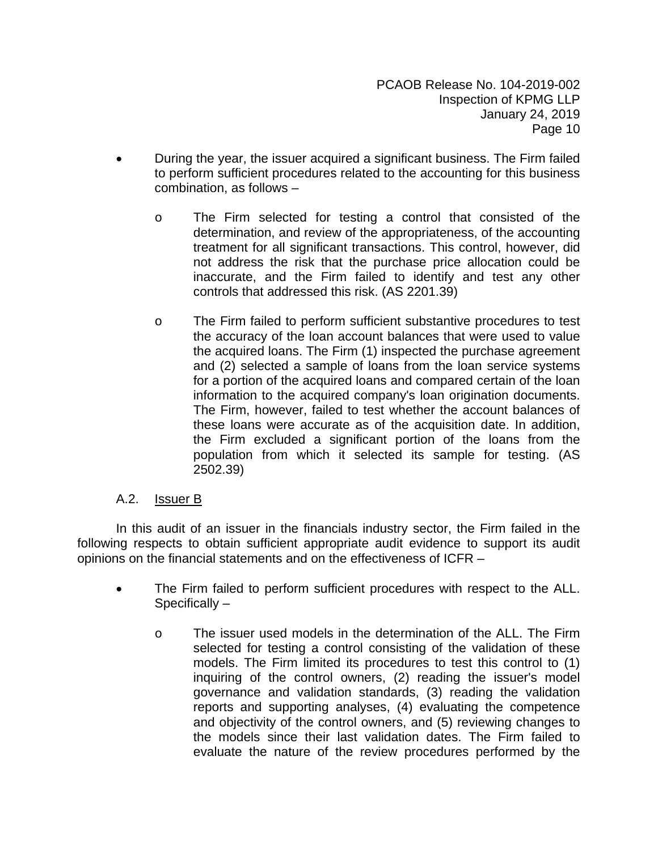- During the year, the issuer acquired a significant business. The Firm failed to perform sufficient procedures related to the accounting for this business combination, as follows –
	- o The Firm selected for testing a control that consisted of the determination, and review of the appropriateness, of the accounting treatment for all significant transactions. This control, however, did not address the risk that the purchase price allocation could be inaccurate, and the Firm failed to identify and test any other controls that addressed this risk. (AS 2201.39)
	- o The Firm failed to perform sufficient substantive procedures to test the accuracy of the loan account balances that were used to value the acquired loans. The Firm (1) inspected the purchase agreement and (2) selected a sample of loans from the loan service systems for a portion of the acquired loans and compared certain of the loan information to the acquired company's loan origination documents. The Firm, however, failed to test whether the account balances of these loans were accurate as of the acquisition date. In addition, the Firm excluded a significant portion of the loans from the population from which it selected its sample for testing. (AS 2502.39)

# A.2. Issuer B

In this audit of an issuer in the financials industry sector, the Firm failed in the following respects to obtain sufficient appropriate audit evidence to support its audit opinions on the financial statements and on the effectiveness of ICFR –

- The Firm failed to perform sufficient procedures with respect to the ALL. Specifically –
	- o The issuer used models in the determination of the ALL. The Firm selected for testing a control consisting of the validation of these models. The Firm limited its procedures to test this control to (1) inquiring of the control owners, (2) reading the issuer's model governance and validation standards, (3) reading the validation reports and supporting analyses, (4) evaluating the competence and objectivity of the control owners, and (5) reviewing changes to the models since their last validation dates. The Firm failed to evaluate the nature of the review procedures performed by the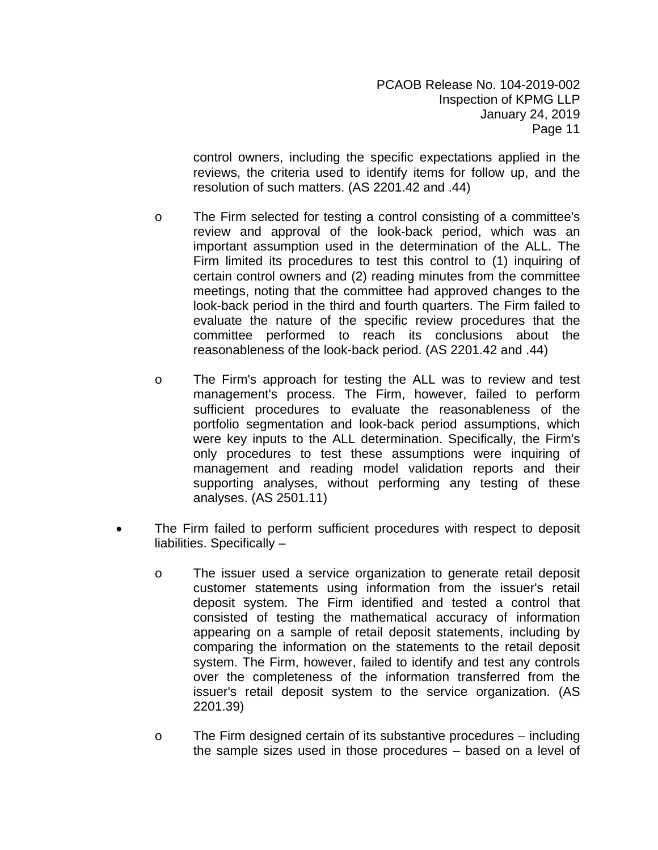control owners, including the specific expectations applied in the reviews, the criteria used to identify items for follow up, and the resolution of such matters. (AS 2201.42 and .44)

- o The Firm selected for testing a control consisting of a committee's review and approval of the look-back period, which was an important assumption used in the determination of the ALL. The Firm limited its procedures to test this control to (1) inquiring of certain control owners and (2) reading minutes from the committee meetings, noting that the committee had approved changes to the look-back period in the third and fourth quarters. The Firm failed to evaluate the nature of the specific review procedures that the committee performed to reach its conclusions about the reasonableness of the look-back period. (AS 2201.42 and .44)
- o The Firm's approach for testing the ALL was to review and test management's process. The Firm, however, failed to perform sufficient procedures to evaluate the reasonableness of the portfolio segmentation and look-back period assumptions, which were key inputs to the ALL determination. Specifically, the Firm's only procedures to test these assumptions were inquiring of management and reading model validation reports and their supporting analyses, without performing any testing of these analyses. (AS 2501.11)
- The Firm failed to perform sufficient procedures with respect to deposit liabilities. Specifically –
	- o The issuer used a service organization to generate retail deposit customer statements using information from the issuer's retail deposit system. The Firm identified and tested a control that consisted of testing the mathematical accuracy of information appearing on a sample of retail deposit statements, including by comparing the information on the statements to the retail deposit system. The Firm, however, failed to identify and test any controls over the completeness of the information transferred from the issuer's retail deposit system to the service organization. (AS 2201.39)
	- $\circ$  The Firm designed certain of its substantive procedures including the sample sizes used in those procedures – based on a level of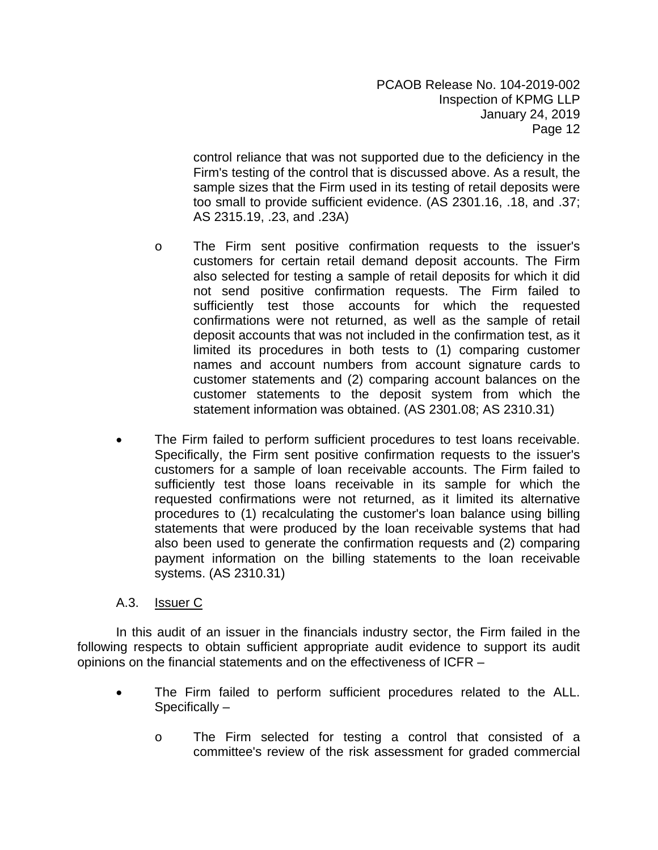control reliance that was not supported due to the deficiency in the Firm's testing of the control that is discussed above. As a result, the sample sizes that the Firm used in its testing of retail deposits were too small to provide sufficient evidence. (AS 2301.16, .18, and .37; AS 2315.19, .23, and .23A)

- o The Firm sent positive confirmation requests to the issuer's customers for certain retail demand deposit accounts. The Firm also selected for testing a sample of retail deposits for which it did not send positive confirmation requests. The Firm failed to sufficiently test those accounts for which the requested confirmations were not returned, as well as the sample of retail deposit accounts that was not included in the confirmation test, as it limited its procedures in both tests to (1) comparing customer names and account numbers from account signature cards to customer statements and (2) comparing account balances on the customer statements to the deposit system from which the statement information was obtained. (AS 2301.08; AS 2310.31)
- The Firm failed to perform sufficient procedures to test loans receivable. Specifically, the Firm sent positive confirmation requests to the issuer's customers for a sample of loan receivable accounts. The Firm failed to sufficiently test those loans receivable in its sample for which the requested confirmations were not returned, as it limited its alternative procedures to (1) recalculating the customer's loan balance using billing statements that were produced by the loan receivable systems that had also been used to generate the confirmation requests and (2) comparing payment information on the billing statements to the loan receivable systems. (AS 2310.31)

# A.3. Issuer C

In this audit of an issuer in the financials industry sector, the Firm failed in the following respects to obtain sufficient appropriate audit evidence to support its audit opinions on the financial statements and on the effectiveness of ICFR –

- The Firm failed to perform sufficient procedures related to the ALL. Specifically –
	- o The Firm selected for testing a control that consisted of a committee's review of the risk assessment for graded commercial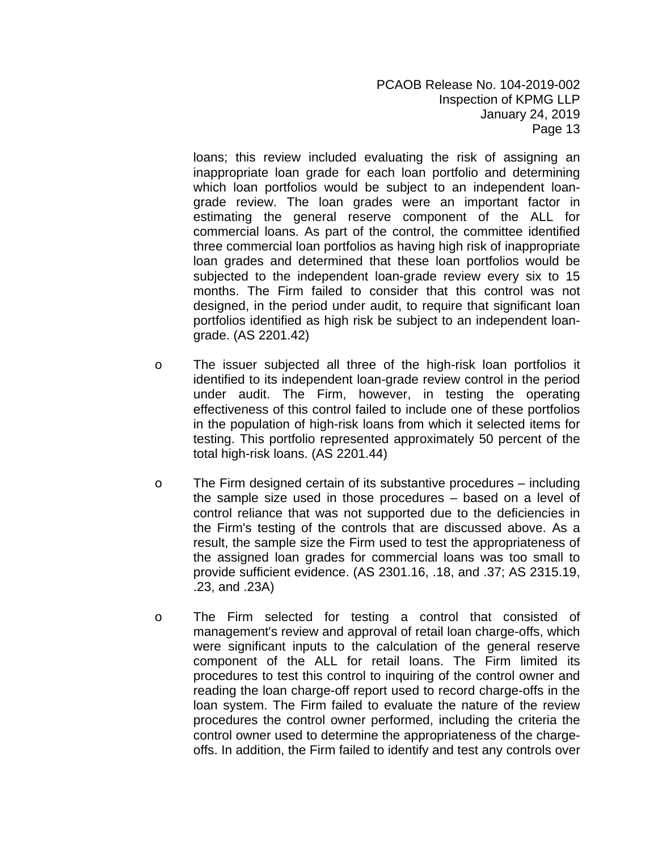loans; this review included evaluating the risk of assigning an inappropriate loan grade for each loan portfolio and determining which loan portfolios would be subject to an independent loangrade review. The loan grades were an important factor in estimating the general reserve component of the ALL for commercial loans. As part of the control, the committee identified three commercial loan portfolios as having high risk of inappropriate loan grades and determined that these loan portfolios would be subjected to the independent loan-grade review every six to 15 months. The Firm failed to consider that this control was not designed, in the period under audit, to require that significant loan portfolios identified as high risk be subject to an independent loangrade. (AS 2201.42)

- o The issuer subjected all three of the high-risk loan portfolios it identified to its independent loan-grade review control in the period under audit. The Firm, however, in testing the operating effectiveness of this control failed to include one of these portfolios in the population of high-risk loans from which it selected items for testing. This portfolio represented approximately 50 percent of the total high-risk loans. (AS 2201.44)
- $\circ$  The Firm designed certain of its substantive procedures including the sample size used in those procedures – based on a level of control reliance that was not supported due to the deficiencies in the Firm's testing of the controls that are discussed above. As a result, the sample size the Firm used to test the appropriateness of the assigned loan grades for commercial loans was too small to provide sufficient evidence. (AS 2301.16, .18, and .37; AS 2315.19, .23, and .23A)
- o The Firm selected for testing a control that consisted of management's review and approval of retail loan charge-offs, which were significant inputs to the calculation of the general reserve component of the ALL for retail loans. The Firm limited its procedures to test this control to inquiring of the control owner and reading the loan charge-off report used to record charge-offs in the loan system. The Firm failed to evaluate the nature of the review procedures the control owner performed, including the criteria the control owner used to determine the appropriateness of the chargeoffs. In addition, the Firm failed to identify and test any controls over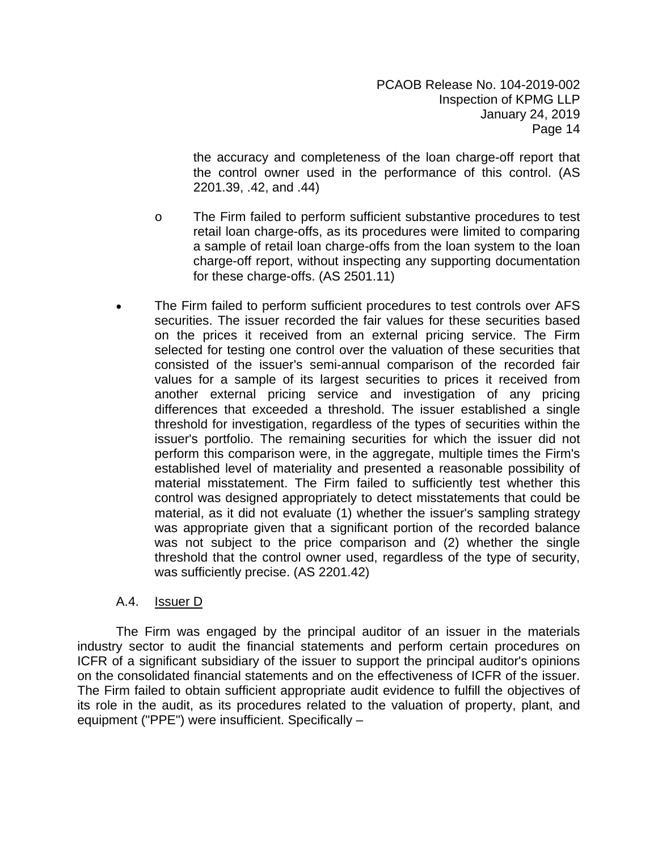the accuracy and completeness of the loan charge-off report that the control owner used in the performance of this control. (AS 2201.39, .42, and .44)

- o The Firm failed to perform sufficient substantive procedures to test retail loan charge-offs, as its procedures were limited to comparing a sample of retail loan charge-offs from the loan system to the loan charge-off report, without inspecting any supporting documentation for these charge-offs. (AS 2501.11)
- The Firm failed to perform sufficient procedures to test controls over AFS securities. The issuer recorded the fair values for these securities based on the prices it received from an external pricing service. The Firm selected for testing one control over the valuation of these securities that consisted of the issuer's semi-annual comparison of the recorded fair values for a sample of its largest securities to prices it received from another external pricing service and investigation of any pricing differences that exceeded a threshold. The issuer established a single threshold for investigation, regardless of the types of securities within the issuer's portfolio. The remaining securities for which the issuer did not perform this comparison were, in the aggregate, multiple times the Firm's established level of materiality and presented a reasonable possibility of material misstatement. The Firm failed to sufficiently test whether this control was designed appropriately to detect misstatements that could be material, as it did not evaluate (1) whether the issuer's sampling strategy was appropriate given that a significant portion of the recorded balance was not subject to the price comparison and (2) whether the single threshold that the control owner used, regardless of the type of security, was sufficiently precise. (AS 2201.42)

# A.4. Issuer D

The Firm was engaged by the principal auditor of an issuer in the materials industry sector to audit the financial statements and perform certain procedures on ICFR of a significant subsidiary of the issuer to support the principal auditor's opinions on the consolidated financial statements and on the effectiveness of ICFR of the issuer. The Firm failed to obtain sufficient appropriate audit evidence to fulfill the objectives of its role in the audit, as its procedures related to the valuation of property, plant, and equipment ("PPE") were insufficient. Specifically –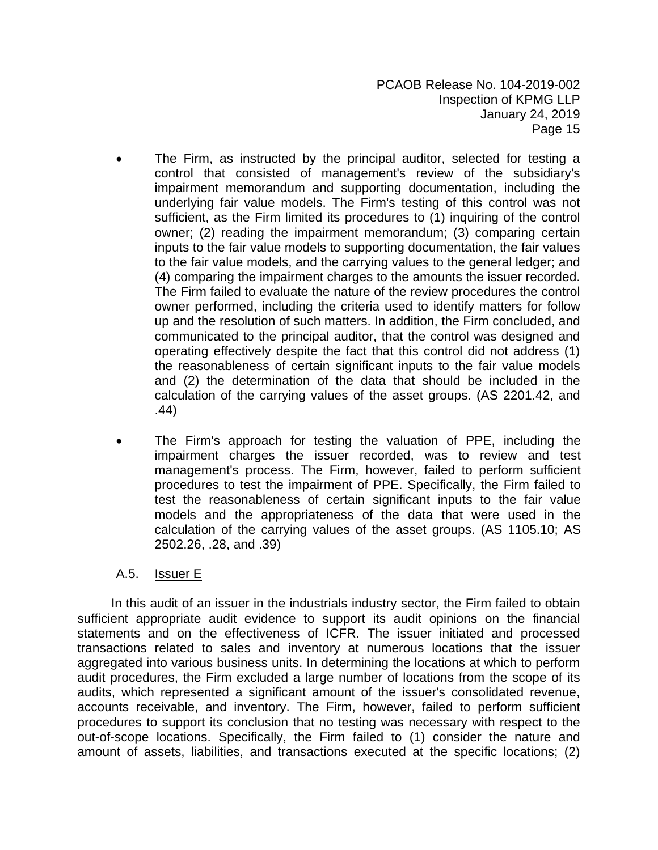- The Firm, as instructed by the principal auditor, selected for testing a control that consisted of management's review of the subsidiary's impairment memorandum and supporting documentation, including the underlying fair value models. The Firm's testing of this control was not sufficient, as the Firm limited its procedures to (1) inquiring of the control owner; (2) reading the impairment memorandum; (3) comparing certain inputs to the fair value models to supporting documentation, the fair values to the fair value models, and the carrying values to the general ledger; and (4) comparing the impairment charges to the amounts the issuer recorded. The Firm failed to evaluate the nature of the review procedures the control owner performed, including the criteria used to identify matters for follow up and the resolution of such matters. In addition, the Firm concluded, and communicated to the principal auditor, that the control was designed and operating effectively despite the fact that this control did not address (1) the reasonableness of certain significant inputs to the fair value models and (2) the determination of the data that should be included in the calculation of the carrying values of the asset groups. (AS 2201.42, and .44)
- The Firm's approach for testing the valuation of PPE, including the impairment charges the issuer recorded, was to review and test management's process. The Firm, however, failed to perform sufficient procedures to test the impairment of PPE. Specifically, the Firm failed to test the reasonableness of certain significant inputs to the fair value models and the appropriateness of the data that were used in the calculation of the carrying values of the asset groups. (AS 1105.10; AS 2502.26, .28, and .39)

# A.5. Issuer E

In this audit of an issuer in the industrials industry sector, the Firm failed to obtain sufficient appropriate audit evidence to support its audit opinions on the financial statements and on the effectiveness of ICFR. The issuer initiated and processed transactions related to sales and inventory at numerous locations that the issuer aggregated into various business units. In determining the locations at which to perform audit procedures, the Firm excluded a large number of locations from the scope of its audits, which represented a significant amount of the issuer's consolidated revenue, accounts receivable, and inventory. The Firm, however, failed to perform sufficient procedures to support its conclusion that no testing was necessary with respect to the out-of-scope locations. Specifically, the Firm failed to (1) consider the nature and amount of assets, liabilities, and transactions executed at the specific locations; (2)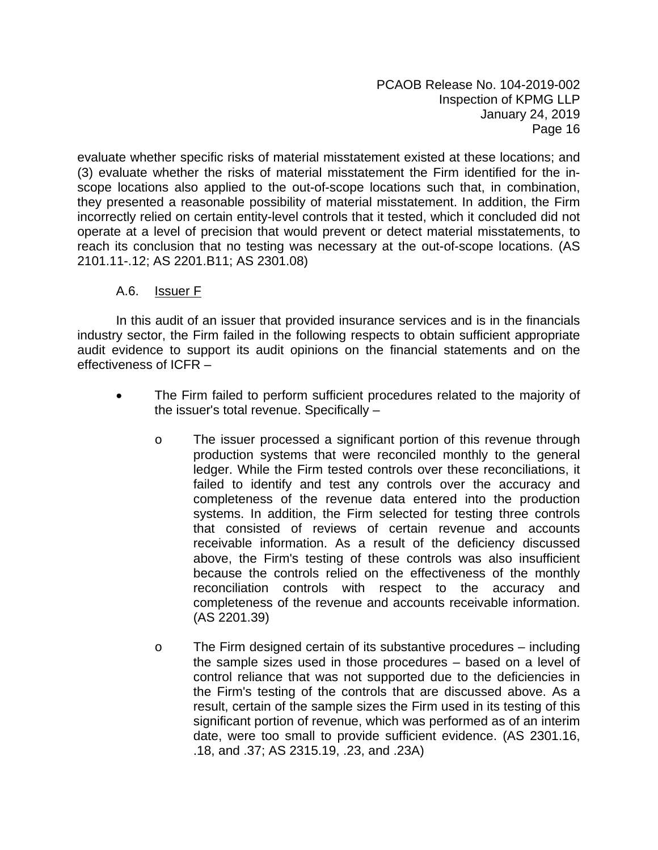evaluate whether specific risks of material misstatement existed at these locations; and (3) evaluate whether the risks of material misstatement the Firm identified for the inscope locations also applied to the out-of-scope locations such that, in combination, they presented a reasonable possibility of material misstatement. In addition, the Firm incorrectly relied on certain entity-level controls that it tested, which it concluded did not operate at a level of precision that would prevent or detect material misstatements, to reach its conclusion that no testing was necessary at the out-of-scope locations. (AS 2101.11-.12; AS 2201.B11; AS 2301.08)

#### A.6. Issuer F

In this audit of an issuer that provided insurance services and is in the financials industry sector, the Firm failed in the following respects to obtain sufficient appropriate audit evidence to support its audit opinions on the financial statements and on the effectiveness of ICFR –

- The Firm failed to perform sufficient procedures related to the majority of the issuer's total revenue. Specifically –
	- o The issuer processed a significant portion of this revenue through production systems that were reconciled monthly to the general ledger. While the Firm tested controls over these reconciliations, it failed to identify and test any controls over the accuracy and completeness of the revenue data entered into the production systems. In addition, the Firm selected for testing three controls that consisted of reviews of certain revenue and accounts receivable information. As a result of the deficiency discussed above, the Firm's testing of these controls was also insufficient because the controls relied on the effectiveness of the monthly reconciliation controls with respect to the accuracy and completeness of the revenue and accounts receivable information. (AS 2201.39)
	- $\circ$  The Firm designed certain of its substantive procedures including the sample sizes used in those procedures – based on a level of control reliance that was not supported due to the deficiencies in the Firm's testing of the controls that are discussed above. As a result, certain of the sample sizes the Firm used in its testing of this significant portion of revenue, which was performed as of an interim date, were too small to provide sufficient evidence. (AS 2301.16, .18, and .37; AS 2315.19, .23, and .23A)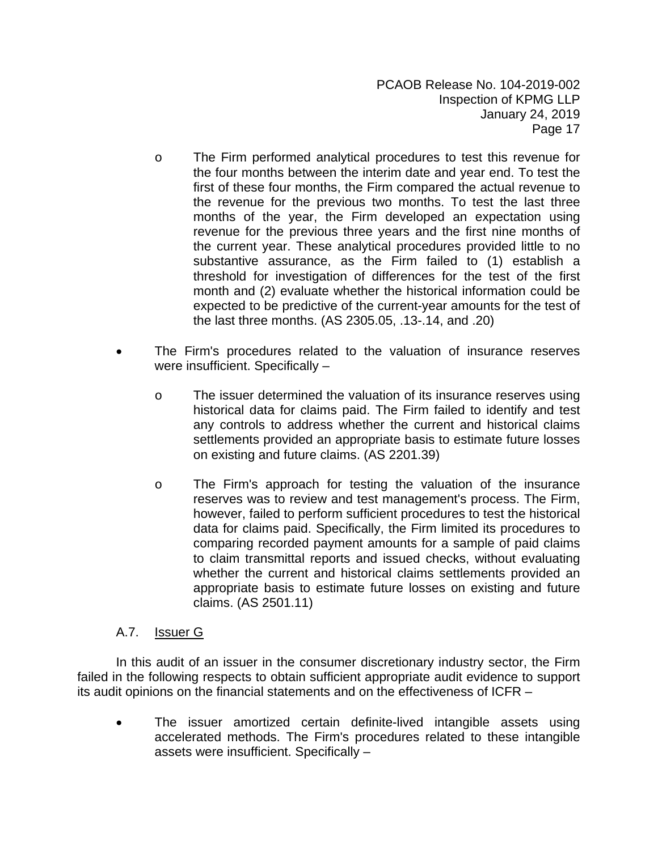- o The Firm performed analytical procedures to test this revenue for the four months between the interim date and year end. To test the first of these four months, the Firm compared the actual revenue to the revenue for the previous two months. To test the last three months of the year, the Firm developed an expectation using revenue for the previous three years and the first nine months of the current year. These analytical procedures provided little to no substantive assurance, as the Firm failed to (1) establish a threshold for investigation of differences for the test of the first month and (2) evaluate whether the historical information could be expected to be predictive of the current-year amounts for the test of the last three months. (AS 2305.05, .13-.14, and .20)
- The Firm's procedures related to the valuation of insurance reserves were insufficient. Specifically –
	- o The issuer determined the valuation of its insurance reserves using historical data for claims paid. The Firm failed to identify and test any controls to address whether the current and historical claims settlements provided an appropriate basis to estimate future losses on existing and future claims. (AS 2201.39)
	- o The Firm's approach for testing the valuation of the insurance reserves was to review and test management's process. The Firm, however, failed to perform sufficient procedures to test the historical data for claims paid. Specifically, the Firm limited its procedures to comparing recorded payment amounts for a sample of paid claims to claim transmittal reports and issued checks, without evaluating whether the current and historical claims settlements provided an appropriate basis to estimate future losses on existing and future claims. (AS 2501.11)

#### A.7. Issuer G

In this audit of an issuer in the consumer discretionary industry sector, the Firm failed in the following respects to obtain sufficient appropriate audit evidence to support its audit opinions on the financial statements and on the effectiveness of ICFR –

• The issuer amortized certain definite-lived intangible assets using accelerated methods. The Firm's procedures related to these intangible assets were insufficient. Specifically –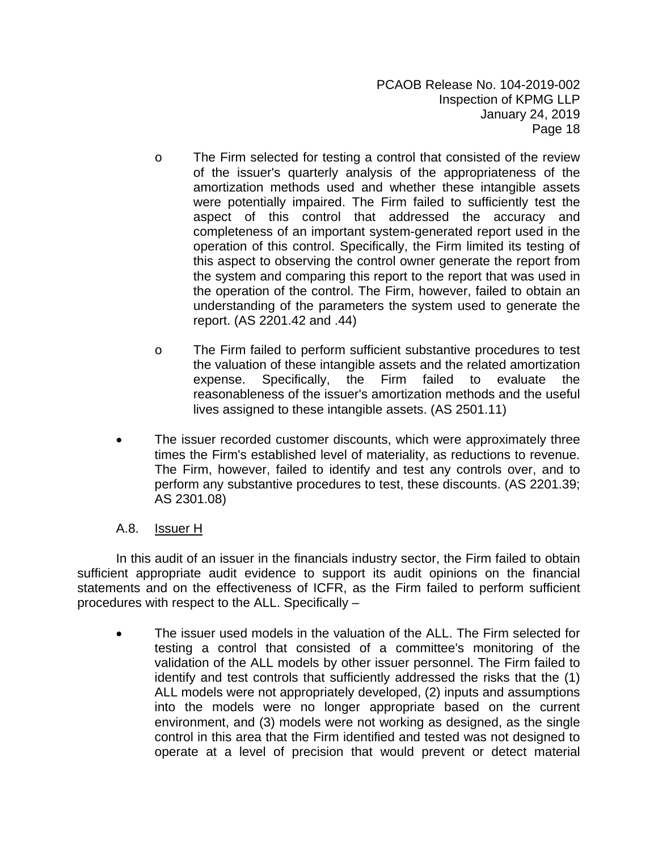- o The Firm selected for testing a control that consisted of the review of the issuer's quarterly analysis of the appropriateness of the amortization methods used and whether these intangible assets were potentially impaired. The Firm failed to sufficiently test the aspect of this control that addressed the accuracy and completeness of an important system-generated report used in the operation of this control. Specifically, the Firm limited its testing of this aspect to observing the control owner generate the report from the system and comparing this report to the report that was used in the operation of the control. The Firm, however, failed to obtain an understanding of the parameters the system used to generate the report. (AS 2201.42 and .44)
- o The Firm failed to perform sufficient substantive procedures to test the valuation of these intangible assets and the related amortization expense. Specifically, the Firm failed to evaluate the reasonableness of the issuer's amortization methods and the useful lives assigned to these intangible assets. (AS 2501.11)
- The issuer recorded customer discounts, which were approximately three times the Firm's established level of materiality, as reductions to revenue. The Firm, however, failed to identify and test any controls over, and to perform any substantive procedures to test, these discounts. (AS 2201.39; AS 2301.08)

# A.8. Issuer H

In this audit of an issuer in the financials industry sector, the Firm failed to obtain sufficient appropriate audit evidence to support its audit opinions on the financial statements and on the effectiveness of ICFR, as the Firm failed to perform sufficient procedures with respect to the ALL. Specifically –

 The issuer used models in the valuation of the ALL. The Firm selected for testing a control that consisted of a committee's monitoring of the validation of the ALL models by other issuer personnel. The Firm failed to identify and test controls that sufficiently addressed the risks that the (1) ALL models were not appropriately developed, (2) inputs and assumptions into the models were no longer appropriate based on the current environment, and (3) models were not working as designed, as the single control in this area that the Firm identified and tested was not designed to operate at a level of precision that would prevent or detect material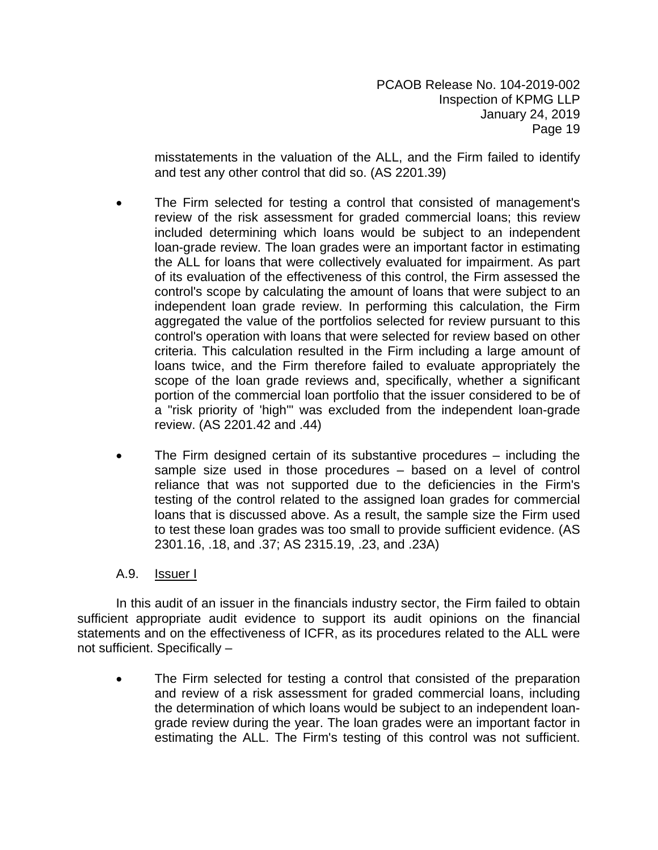misstatements in the valuation of the ALL, and the Firm failed to identify and test any other control that did so. (AS 2201.39)

- The Firm selected for testing a control that consisted of management's review of the risk assessment for graded commercial loans; this review included determining which loans would be subject to an independent loan-grade review. The loan grades were an important factor in estimating the ALL for loans that were collectively evaluated for impairment. As part of its evaluation of the effectiveness of this control, the Firm assessed the control's scope by calculating the amount of loans that were subject to an independent loan grade review. In performing this calculation, the Firm aggregated the value of the portfolios selected for review pursuant to this control's operation with loans that were selected for review based on other criteria. This calculation resulted in the Firm including a large amount of loans twice, and the Firm therefore failed to evaluate appropriately the scope of the loan grade reviews and, specifically, whether a significant portion of the commercial loan portfolio that the issuer considered to be of a "risk priority of 'high'" was excluded from the independent loan-grade review. (AS 2201.42 and .44)
- The Firm designed certain of its substantive procedures including the sample size used in those procedures – based on a level of control reliance that was not supported due to the deficiencies in the Firm's testing of the control related to the assigned loan grades for commercial loans that is discussed above. As a result, the sample size the Firm used to test these loan grades was too small to provide sufficient evidence. (AS 2301.16, .18, and .37; AS 2315.19, .23, and .23A)

# A.9. **Issuer I**

In this audit of an issuer in the financials industry sector, the Firm failed to obtain sufficient appropriate audit evidence to support its audit opinions on the financial statements and on the effectiveness of ICFR, as its procedures related to the ALL were not sufficient. Specifically –

 The Firm selected for testing a control that consisted of the preparation and review of a risk assessment for graded commercial loans, including the determination of which loans would be subject to an independent loangrade review during the year. The loan grades were an important factor in estimating the ALL. The Firm's testing of this control was not sufficient.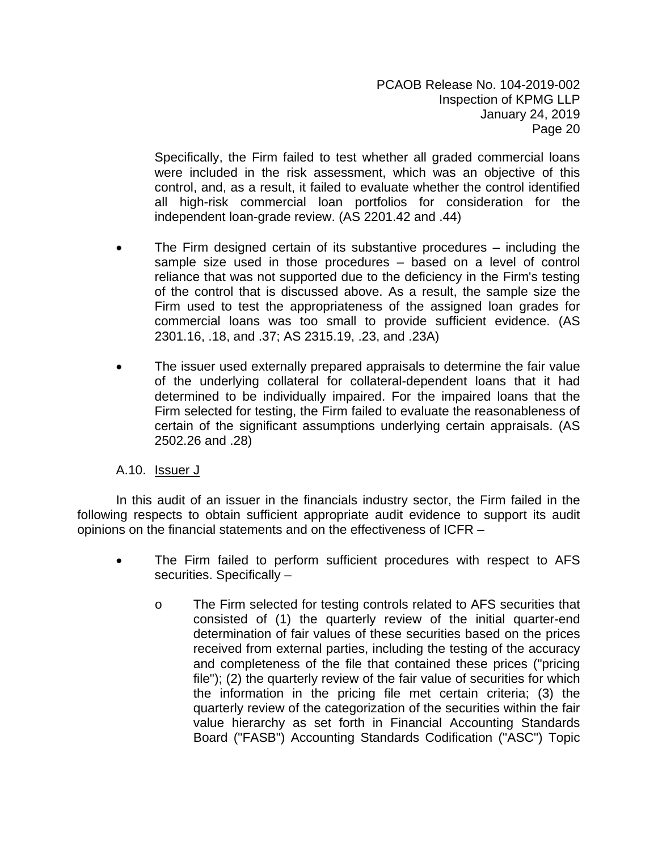Specifically, the Firm failed to test whether all graded commercial loans were included in the risk assessment, which was an objective of this control, and, as a result, it failed to evaluate whether the control identified all high-risk commercial loan portfolios for consideration for the independent loan-grade review. (AS 2201.42 and .44)

- The Firm designed certain of its substantive procedures including the sample size used in those procedures – based on a level of control reliance that was not supported due to the deficiency in the Firm's testing of the control that is discussed above. As a result, the sample size the Firm used to test the appropriateness of the assigned loan grades for commercial loans was too small to provide sufficient evidence. (AS 2301.16, .18, and .37; AS 2315.19, .23, and .23A)
- The issuer used externally prepared appraisals to determine the fair value of the underlying collateral for collateral-dependent loans that it had determined to be individually impaired. For the impaired loans that the Firm selected for testing, the Firm failed to evaluate the reasonableness of certain of the significant assumptions underlying certain appraisals. (AS 2502.26 and .28)

# A.10. Issuer J

In this audit of an issuer in the financials industry sector, the Firm failed in the following respects to obtain sufficient appropriate audit evidence to support its audit opinions on the financial statements and on the effectiveness of ICFR –

- The Firm failed to perform sufficient procedures with respect to AFS securities. Specifically –
	- o The Firm selected for testing controls related to AFS securities that consisted of (1) the quarterly review of the initial quarter-end determination of fair values of these securities based on the prices received from external parties, including the testing of the accuracy and completeness of the file that contained these prices ("pricing file"); (2) the quarterly review of the fair value of securities for which the information in the pricing file met certain criteria; (3) the quarterly review of the categorization of the securities within the fair value hierarchy as set forth in Financial Accounting Standards Board ("FASB") Accounting Standards Codification ("ASC") Topic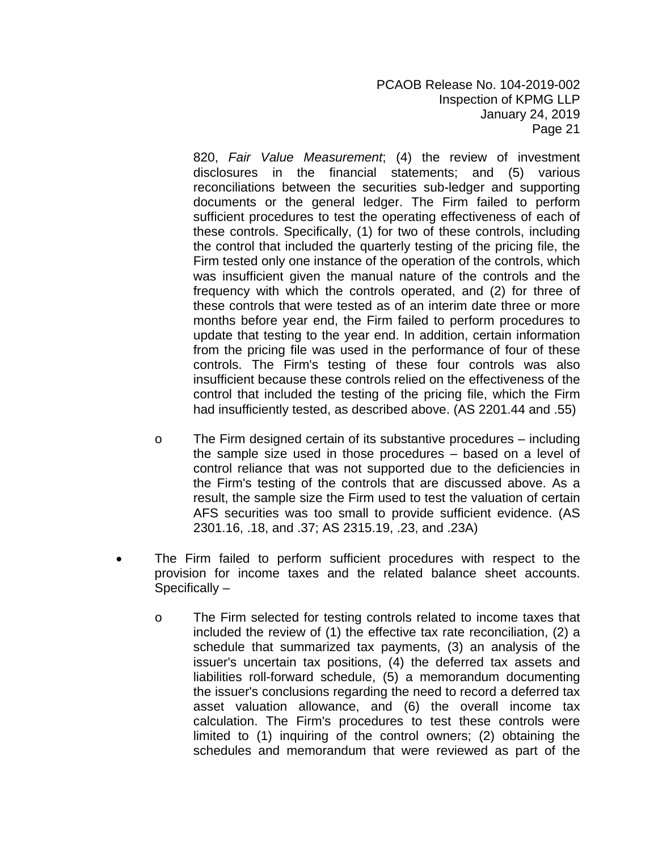820, *Fair Value Measurement*; (4) the review of investment disclosures in the financial statements; and (5) various reconciliations between the securities sub-ledger and supporting documents or the general ledger. The Firm failed to perform sufficient procedures to test the operating effectiveness of each of these controls. Specifically, (1) for two of these controls, including the control that included the quarterly testing of the pricing file, the Firm tested only one instance of the operation of the controls, which was insufficient given the manual nature of the controls and the frequency with which the controls operated, and (2) for three of these controls that were tested as of an interim date three or more months before year end, the Firm failed to perform procedures to update that testing to the year end. In addition, certain information from the pricing file was used in the performance of four of these controls. The Firm's testing of these four controls was also insufficient because these controls relied on the effectiveness of the control that included the testing of the pricing file, which the Firm had insufficiently tested, as described above. (AS 2201.44 and .55)

- o The Firm designed certain of its substantive procedures including the sample size used in those procedures – based on a level of control reliance that was not supported due to the deficiencies in the Firm's testing of the controls that are discussed above. As a result, the sample size the Firm used to test the valuation of certain AFS securities was too small to provide sufficient evidence. (AS 2301.16, .18, and .37; AS 2315.19, .23, and .23A)
- The Firm failed to perform sufficient procedures with respect to the provision for income taxes and the related balance sheet accounts. Specifically –
	- o The Firm selected for testing controls related to income taxes that included the review of (1) the effective tax rate reconciliation, (2) a schedule that summarized tax payments, (3) an analysis of the issuer's uncertain tax positions, (4) the deferred tax assets and liabilities roll-forward schedule, (5) a memorandum documenting the issuer's conclusions regarding the need to record a deferred tax asset valuation allowance, and (6) the overall income tax calculation. The Firm's procedures to test these controls were limited to (1) inquiring of the control owners; (2) obtaining the schedules and memorandum that were reviewed as part of the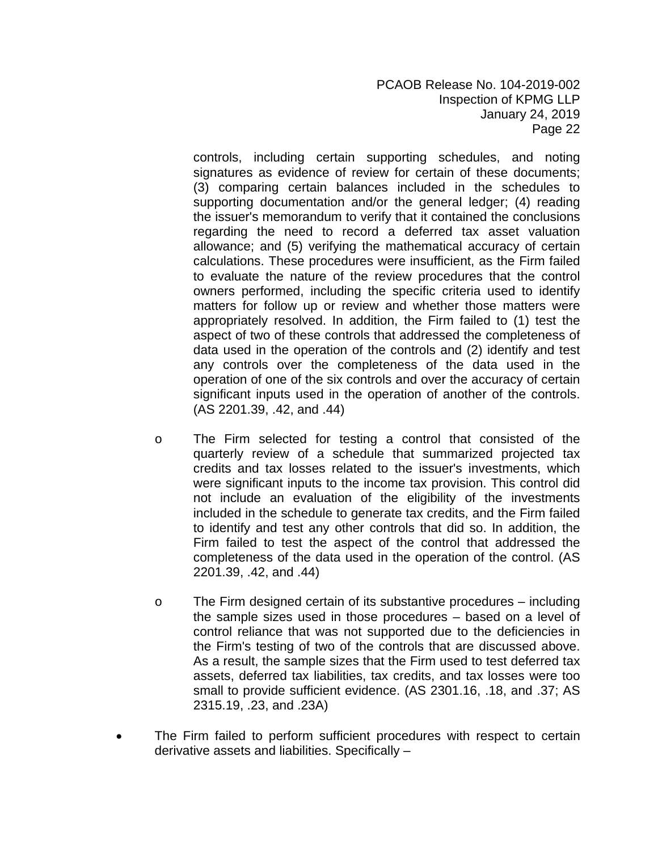controls, including certain supporting schedules, and noting signatures as evidence of review for certain of these documents; (3) comparing certain balances included in the schedules to supporting documentation and/or the general ledger; (4) reading the issuer's memorandum to verify that it contained the conclusions regarding the need to record a deferred tax asset valuation allowance; and (5) verifying the mathematical accuracy of certain calculations. These procedures were insufficient, as the Firm failed to evaluate the nature of the review procedures that the control owners performed, including the specific criteria used to identify matters for follow up or review and whether those matters were appropriately resolved. In addition, the Firm failed to (1) test the aspect of two of these controls that addressed the completeness of data used in the operation of the controls and (2) identify and test any controls over the completeness of the data used in the operation of one of the six controls and over the accuracy of certain significant inputs used in the operation of another of the controls. (AS 2201.39, .42, and .44)

- o The Firm selected for testing a control that consisted of the quarterly review of a schedule that summarized projected tax credits and tax losses related to the issuer's investments, which were significant inputs to the income tax provision. This control did not include an evaluation of the eligibility of the investments included in the schedule to generate tax credits, and the Firm failed to identify and test any other controls that did so. In addition, the Firm failed to test the aspect of the control that addressed the completeness of the data used in the operation of the control. (AS 2201.39, .42, and .44)
- o The Firm designed certain of its substantive procedures including the sample sizes used in those procedures – based on a level of control reliance that was not supported due to the deficiencies in the Firm's testing of two of the controls that are discussed above. As a result, the sample sizes that the Firm used to test deferred tax assets, deferred tax liabilities, tax credits, and tax losses were too small to provide sufficient evidence. (AS 2301.16, .18, and .37; AS 2315.19, .23, and .23A)
- The Firm failed to perform sufficient procedures with respect to certain derivative assets and liabilities. Specifically –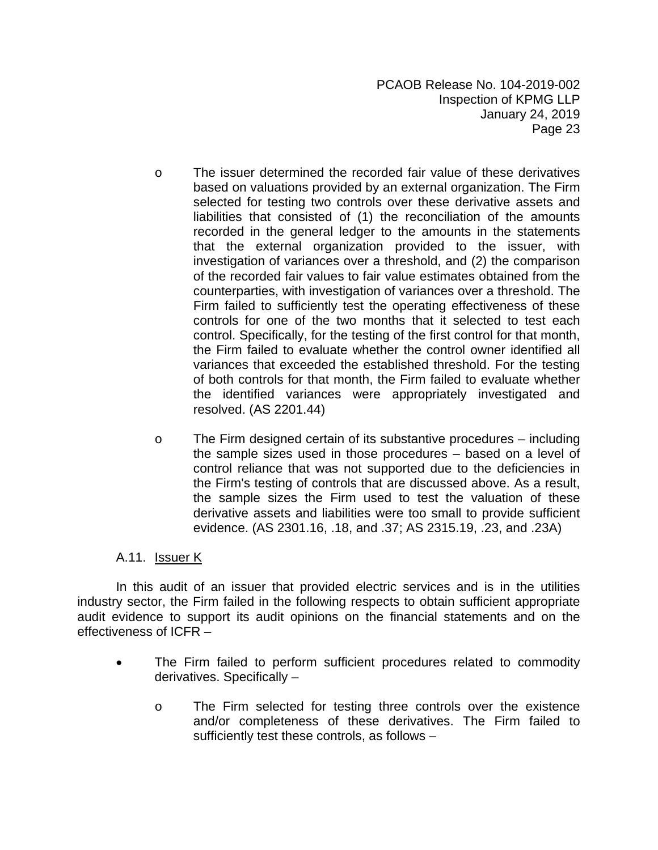- o The issuer determined the recorded fair value of these derivatives based on valuations provided by an external organization. The Firm selected for testing two controls over these derivative assets and liabilities that consisted of (1) the reconciliation of the amounts recorded in the general ledger to the amounts in the statements that the external organization provided to the issuer, with investigation of variances over a threshold, and (2) the comparison of the recorded fair values to fair value estimates obtained from the counterparties, with investigation of variances over a threshold. The Firm failed to sufficiently test the operating effectiveness of these controls for one of the two months that it selected to test each control. Specifically, for the testing of the first control for that month, the Firm failed to evaluate whether the control owner identified all variances that exceeded the established threshold. For the testing of both controls for that month, the Firm failed to evaluate whether the identified variances were appropriately investigated and resolved. (AS 2201.44)
- o The Firm designed certain of its substantive procedures including the sample sizes used in those procedures – based on a level of control reliance that was not supported due to the deficiencies in the Firm's testing of controls that are discussed above. As a result, the sample sizes the Firm used to test the valuation of these derivative assets and liabilities were too small to provide sufficient evidence. (AS 2301.16, .18, and .37; AS 2315.19, .23, and .23A)

# A.11. **Issuer K**

In this audit of an issuer that provided electric services and is in the utilities industry sector, the Firm failed in the following respects to obtain sufficient appropriate audit evidence to support its audit opinions on the financial statements and on the effectiveness of ICFR –

- The Firm failed to perform sufficient procedures related to commodity derivatives. Specifically –
	- o The Firm selected for testing three controls over the existence and/or completeness of these derivatives. The Firm failed to sufficiently test these controls, as follows –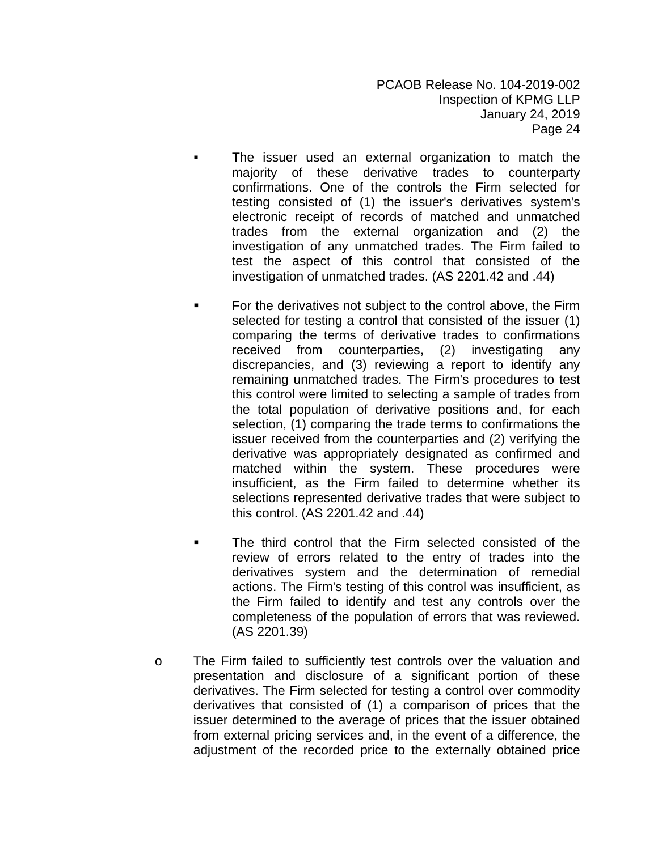- The issuer used an external organization to match the majority of these derivative trades to counterparty confirmations. One of the controls the Firm selected for testing consisted of (1) the issuer's derivatives system's electronic receipt of records of matched and unmatched trades from the external organization and (2) the investigation of any unmatched trades. The Firm failed to test the aspect of this control that consisted of the investigation of unmatched trades. (AS 2201.42 and .44)
- For the derivatives not subject to the control above, the Firm selected for testing a control that consisted of the issuer (1) comparing the terms of derivative trades to confirmations received from counterparties, (2) investigating any discrepancies, and (3) reviewing a report to identify any remaining unmatched trades. The Firm's procedures to test this control were limited to selecting a sample of trades from the total population of derivative positions and, for each selection, (1) comparing the trade terms to confirmations the issuer received from the counterparties and (2) verifying the derivative was appropriately designated as confirmed and matched within the system. These procedures were insufficient, as the Firm failed to determine whether its selections represented derivative trades that were subject to this control. (AS 2201.42 and .44)
- The third control that the Firm selected consisted of the review of errors related to the entry of trades into the derivatives system and the determination of remedial actions. The Firm's testing of this control was insufficient, as the Firm failed to identify and test any controls over the completeness of the population of errors that was reviewed. (AS 2201.39)
- o The Firm failed to sufficiently test controls over the valuation and presentation and disclosure of a significant portion of these derivatives. The Firm selected for testing a control over commodity derivatives that consisted of (1) a comparison of prices that the issuer determined to the average of prices that the issuer obtained from external pricing services and, in the event of a difference, the adjustment of the recorded price to the externally obtained price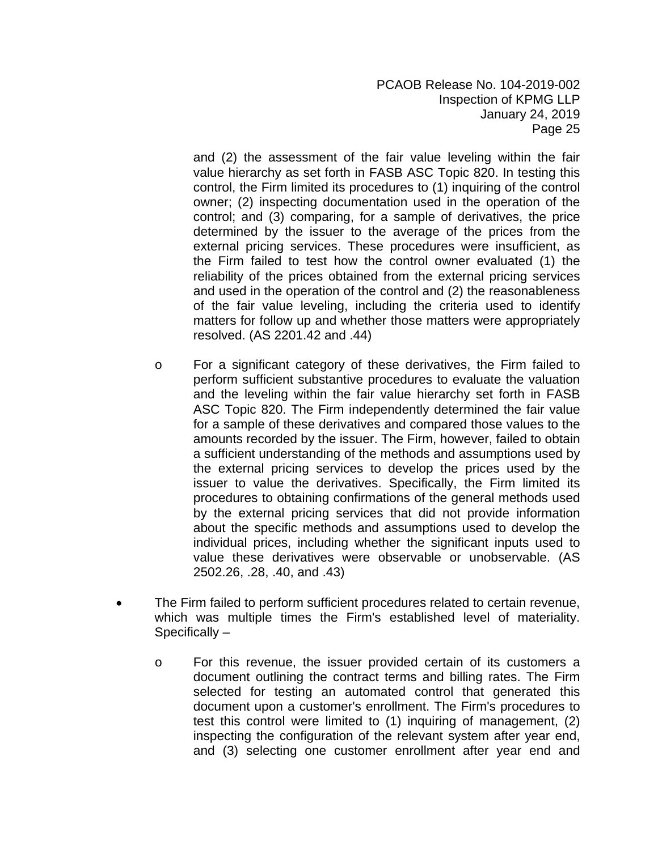and (2) the assessment of the fair value leveling within the fair value hierarchy as set forth in FASB ASC Topic 820. In testing this control, the Firm limited its procedures to (1) inquiring of the control owner; (2) inspecting documentation used in the operation of the control; and (3) comparing, for a sample of derivatives, the price determined by the issuer to the average of the prices from the external pricing services. These procedures were insufficient, as the Firm failed to test how the control owner evaluated (1) the reliability of the prices obtained from the external pricing services and used in the operation of the control and (2) the reasonableness of the fair value leveling, including the criteria used to identify matters for follow up and whether those matters were appropriately resolved. (AS 2201.42 and .44)

- o For a significant category of these derivatives, the Firm failed to perform sufficient substantive procedures to evaluate the valuation and the leveling within the fair value hierarchy set forth in FASB ASC Topic 820. The Firm independently determined the fair value for a sample of these derivatives and compared those values to the amounts recorded by the issuer. The Firm, however, failed to obtain a sufficient understanding of the methods and assumptions used by the external pricing services to develop the prices used by the issuer to value the derivatives. Specifically, the Firm limited its procedures to obtaining confirmations of the general methods used by the external pricing services that did not provide information about the specific methods and assumptions used to develop the individual prices, including whether the significant inputs used to value these derivatives were observable or unobservable. (AS 2502.26, .28, .40, and .43)
- The Firm failed to perform sufficient procedures related to certain revenue, which was multiple times the Firm's established level of materiality. Specifically –
	- o For this revenue, the issuer provided certain of its customers a document outlining the contract terms and billing rates. The Firm selected for testing an automated control that generated this document upon a customer's enrollment. The Firm's procedures to test this control were limited to (1) inquiring of management, (2) inspecting the configuration of the relevant system after year end, and (3) selecting one customer enrollment after year end and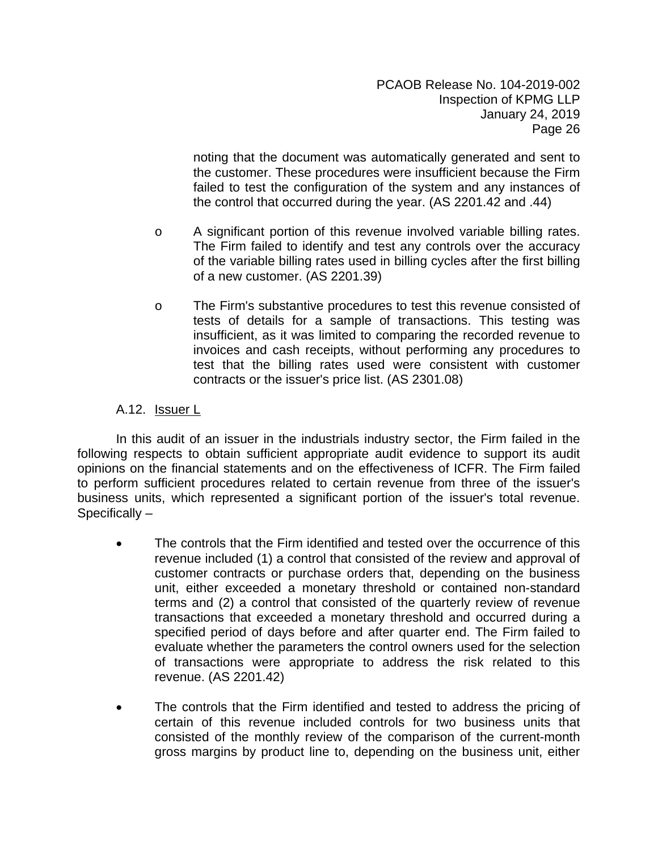noting that the document was automatically generated and sent to the customer. These procedures were insufficient because the Firm failed to test the configuration of the system and any instances of the control that occurred during the year. (AS 2201.42 and .44)

- o A significant portion of this revenue involved variable billing rates. The Firm failed to identify and test any controls over the accuracy of the variable billing rates used in billing cycles after the first billing of a new customer. (AS 2201.39)
- o The Firm's substantive procedures to test this revenue consisted of tests of details for a sample of transactions. This testing was insufficient, as it was limited to comparing the recorded revenue to invoices and cash receipts, without performing any procedures to test that the billing rates used were consistent with customer contracts or the issuer's price list. (AS 2301.08)

# A.12. Issuer L

In this audit of an issuer in the industrials industry sector, the Firm failed in the following respects to obtain sufficient appropriate audit evidence to support its audit opinions on the financial statements and on the effectiveness of ICFR. The Firm failed to perform sufficient procedures related to certain revenue from three of the issuer's business units, which represented a significant portion of the issuer's total revenue. Specifically –

- The controls that the Firm identified and tested over the occurrence of this revenue included (1) a control that consisted of the review and approval of customer contracts or purchase orders that, depending on the business unit, either exceeded a monetary threshold or contained non-standard terms and (2) a control that consisted of the quarterly review of revenue transactions that exceeded a monetary threshold and occurred during a specified period of days before and after quarter end. The Firm failed to evaluate whether the parameters the control owners used for the selection of transactions were appropriate to address the risk related to this revenue. (AS 2201.42)
- The controls that the Firm identified and tested to address the pricing of certain of this revenue included controls for two business units that consisted of the monthly review of the comparison of the current-month gross margins by product line to, depending on the business unit, either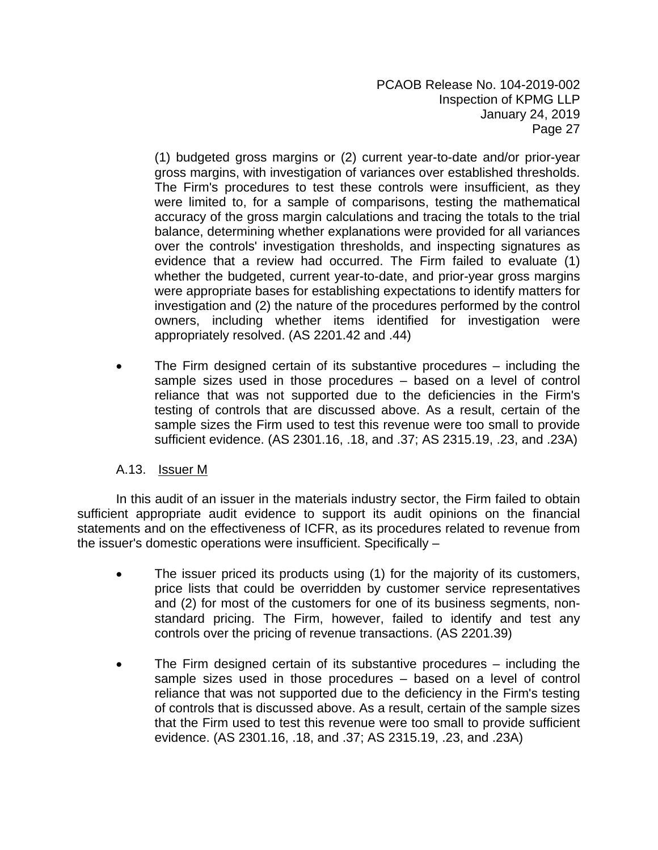(1) budgeted gross margins or (2) current year-to-date and/or prior-year gross margins, with investigation of variances over established thresholds. The Firm's procedures to test these controls were insufficient, as they were limited to, for a sample of comparisons, testing the mathematical accuracy of the gross margin calculations and tracing the totals to the trial balance, determining whether explanations were provided for all variances over the controls' investigation thresholds, and inspecting signatures as evidence that a review had occurred. The Firm failed to evaluate (1) whether the budgeted, current year-to-date, and prior-year gross margins were appropriate bases for establishing expectations to identify matters for investigation and (2) the nature of the procedures performed by the control owners, including whether items identified for investigation were appropriately resolved. (AS 2201.42 and .44)

 The Firm designed certain of its substantive procedures – including the sample sizes used in those procedures – based on a level of control reliance that was not supported due to the deficiencies in the Firm's testing of controls that are discussed above. As a result, certain of the sample sizes the Firm used to test this revenue were too small to provide sufficient evidence. (AS 2301.16, .18, and .37; AS 2315.19, .23, and .23A)

# A.13. Issuer M

In this audit of an issuer in the materials industry sector, the Firm failed to obtain sufficient appropriate audit evidence to support its audit opinions on the financial statements and on the effectiveness of ICFR, as its procedures related to revenue from the issuer's domestic operations were insufficient. Specifically –

- The issuer priced its products using (1) for the majority of its customers, price lists that could be overridden by customer service representatives and (2) for most of the customers for one of its business segments, nonstandard pricing. The Firm, however, failed to identify and test any controls over the pricing of revenue transactions. (AS 2201.39)
- The Firm designed certain of its substantive procedures including the sample sizes used in those procedures – based on a level of control reliance that was not supported due to the deficiency in the Firm's testing of controls that is discussed above. As a result, certain of the sample sizes that the Firm used to test this revenue were too small to provide sufficient evidence. (AS 2301.16, .18, and .37; AS 2315.19, .23, and .23A)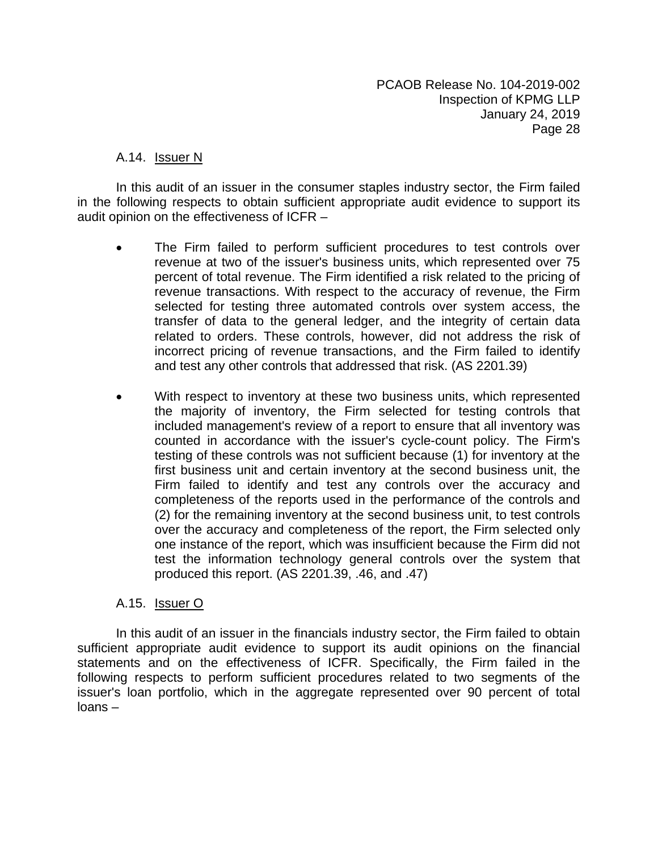#### A.14. Issuer N

In this audit of an issuer in the consumer staples industry sector, the Firm failed in the following respects to obtain sufficient appropriate audit evidence to support its audit opinion on the effectiveness of ICFR –

- The Firm failed to perform sufficient procedures to test controls over revenue at two of the issuer's business units, which represented over 75 percent of total revenue. The Firm identified a risk related to the pricing of revenue transactions. With respect to the accuracy of revenue, the Firm selected for testing three automated controls over system access, the transfer of data to the general ledger, and the integrity of certain data related to orders. These controls, however, did not address the risk of incorrect pricing of revenue transactions, and the Firm failed to identify and test any other controls that addressed that risk. (AS 2201.39)
- With respect to inventory at these two business units, which represented the majority of inventory, the Firm selected for testing controls that included management's review of a report to ensure that all inventory was counted in accordance with the issuer's cycle-count policy. The Firm's testing of these controls was not sufficient because (1) for inventory at the first business unit and certain inventory at the second business unit, the Firm failed to identify and test any controls over the accuracy and completeness of the reports used in the performance of the controls and (2) for the remaining inventory at the second business unit, to test controls over the accuracy and completeness of the report, the Firm selected only one instance of the report, which was insufficient because the Firm did not test the information technology general controls over the system that produced this report. (AS 2201.39, .46, and .47)

# A.15. Issuer O

In this audit of an issuer in the financials industry sector, the Firm failed to obtain sufficient appropriate audit evidence to support its audit opinions on the financial statements and on the effectiveness of ICFR. Specifically, the Firm failed in the following respects to perform sufficient procedures related to two segments of the issuer's loan portfolio, which in the aggregate represented over 90 percent of total loans –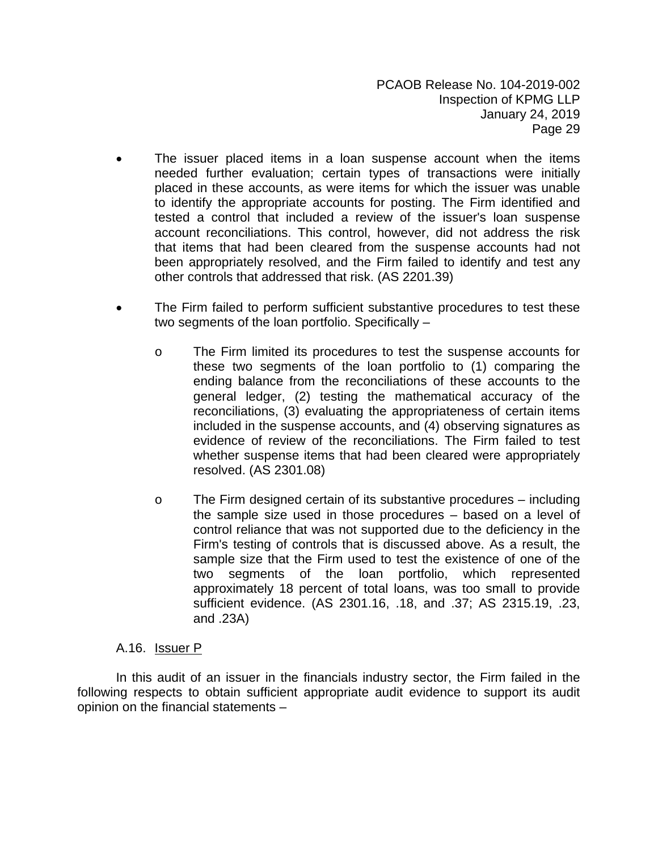- The issuer placed items in a loan suspense account when the items needed further evaluation; certain types of transactions were initially placed in these accounts, as were items for which the issuer was unable to identify the appropriate accounts for posting. The Firm identified and tested a control that included a review of the issuer's loan suspense account reconciliations. This control, however, did not address the risk that items that had been cleared from the suspense accounts had not been appropriately resolved, and the Firm failed to identify and test any other controls that addressed that risk. (AS 2201.39)
- The Firm failed to perform sufficient substantive procedures to test these two segments of the loan portfolio. Specifically –
	- o The Firm limited its procedures to test the suspense accounts for these two segments of the loan portfolio to (1) comparing the ending balance from the reconciliations of these accounts to the general ledger, (2) testing the mathematical accuracy of the reconciliations, (3) evaluating the appropriateness of certain items included in the suspense accounts, and (4) observing signatures as evidence of review of the reconciliations. The Firm failed to test whether suspense items that had been cleared were appropriately resolved. (AS 2301.08)
	- o The Firm designed certain of its substantive procedures including the sample size used in those procedures – based on a level of control reliance that was not supported due to the deficiency in the Firm's testing of controls that is discussed above. As a result, the sample size that the Firm used to test the existence of one of the two segments of the loan portfolio, which represented approximately 18 percent of total loans, was too small to provide sufficient evidence. (AS 2301.16, .18, and .37; AS 2315.19, .23, and .23A)

# A.16. **Issuer P**

In this audit of an issuer in the financials industry sector, the Firm failed in the following respects to obtain sufficient appropriate audit evidence to support its audit opinion on the financial statements –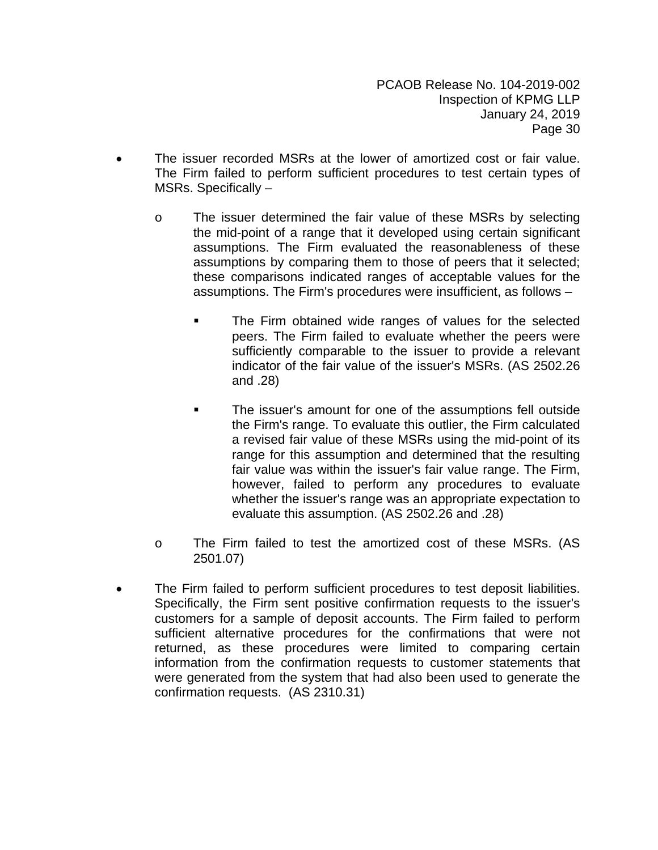- The issuer recorded MSRs at the lower of amortized cost or fair value. The Firm failed to perform sufficient procedures to test certain types of MSRs. Specifically –
	- o The issuer determined the fair value of these MSRs by selecting the mid-point of a range that it developed using certain significant assumptions. The Firm evaluated the reasonableness of these assumptions by comparing them to those of peers that it selected; these comparisons indicated ranges of acceptable values for the assumptions. The Firm's procedures were insufficient, as follows –
		- The Firm obtained wide ranges of values for the selected peers. The Firm failed to evaluate whether the peers were sufficiently comparable to the issuer to provide a relevant indicator of the fair value of the issuer's MSRs. (AS 2502.26 and .28)
		- The issuer's amount for one of the assumptions fell outside the Firm's range. To evaluate this outlier, the Firm calculated a revised fair value of these MSRs using the mid-point of its range for this assumption and determined that the resulting fair value was within the issuer's fair value range. The Firm, however, failed to perform any procedures to evaluate whether the issuer's range was an appropriate expectation to evaluate this assumption. (AS 2502.26 and .28)
	- o The Firm failed to test the amortized cost of these MSRs. (AS 2501.07)
- The Firm failed to perform sufficient procedures to test deposit liabilities. Specifically, the Firm sent positive confirmation requests to the issuer's customers for a sample of deposit accounts. The Firm failed to perform sufficient alternative procedures for the confirmations that were not returned, as these procedures were limited to comparing certain information from the confirmation requests to customer statements that were generated from the system that had also been used to generate the confirmation requests. (AS 2310.31)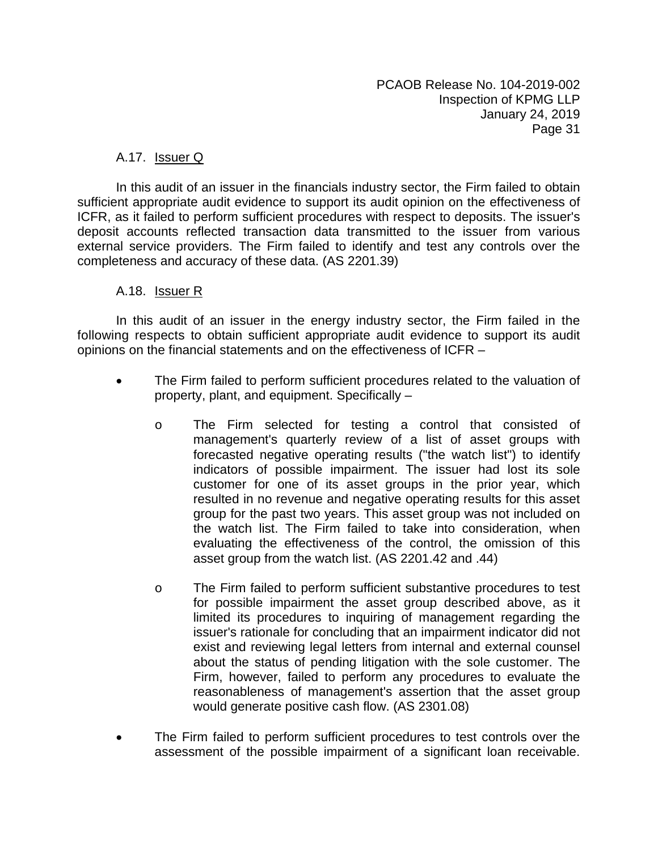# A.17. Issuer Q

In this audit of an issuer in the financials industry sector, the Firm failed to obtain sufficient appropriate audit evidence to support its audit opinion on the effectiveness of ICFR, as it failed to perform sufficient procedures with respect to deposits. The issuer's deposit accounts reflected transaction data transmitted to the issuer from various external service providers. The Firm failed to identify and test any controls over the completeness and accuracy of these data. (AS 2201.39)

#### A.18. Issuer R

In this audit of an issuer in the energy industry sector, the Firm failed in the following respects to obtain sufficient appropriate audit evidence to support its audit opinions on the financial statements and on the effectiveness of ICFR –

- The Firm failed to perform sufficient procedures related to the valuation of property, plant, and equipment. Specifically –
	- o The Firm selected for testing a control that consisted of management's quarterly review of a list of asset groups with forecasted negative operating results ("the watch list") to identify indicators of possible impairment. The issuer had lost its sole customer for one of its asset groups in the prior year, which resulted in no revenue and negative operating results for this asset group for the past two years. This asset group was not included on the watch list. The Firm failed to take into consideration, when evaluating the effectiveness of the control, the omission of this asset group from the watch list. (AS 2201.42 and .44)
	- o The Firm failed to perform sufficient substantive procedures to test for possible impairment the asset group described above, as it limited its procedures to inquiring of management regarding the issuer's rationale for concluding that an impairment indicator did not exist and reviewing legal letters from internal and external counsel about the status of pending litigation with the sole customer. The Firm, however, failed to perform any procedures to evaluate the reasonableness of management's assertion that the asset group would generate positive cash flow. (AS 2301.08)
- The Firm failed to perform sufficient procedures to test controls over the assessment of the possible impairment of a significant loan receivable.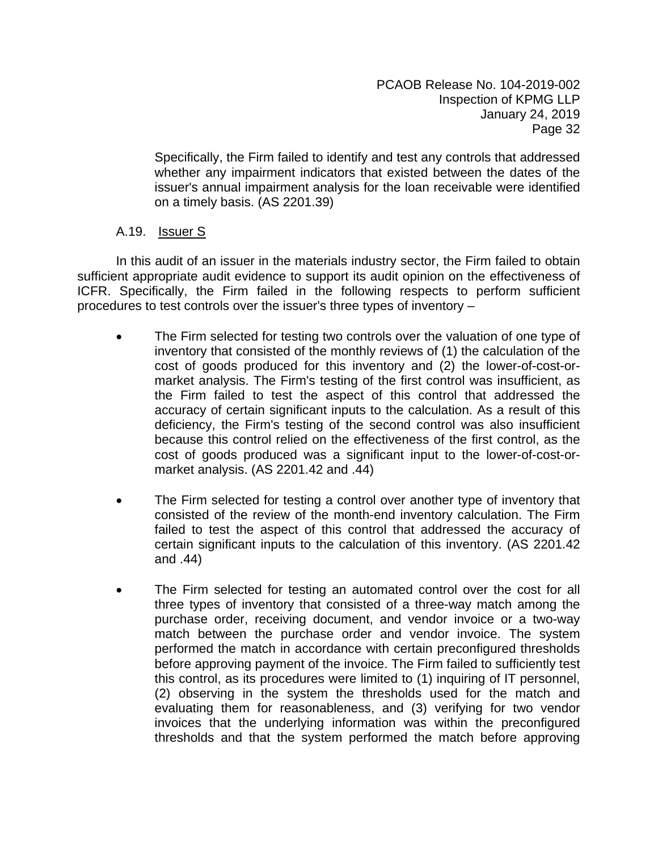Specifically, the Firm failed to identify and test any controls that addressed whether any impairment indicators that existed between the dates of the issuer's annual impairment analysis for the loan receivable were identified on a timely basis. (AS 2201.39)

# A.19. Issuer S

In this audit of an issuer in the materials industry sector, the Firm failed to obtain sufficient appropriate audit evidence to support its audit opinion on the effectiveness of ICFR. Specifically, the Firm failed in the following respects to perform sufficient procedures to test controls over the issuer's three types of inventory –

- The Firm selected for testing two controls over the valuation of one type of inventory that consisted of the monthly reviews of (1) the calculation of the cost of goods produced for this inventory and (2) the lower-of-cost-ormarket analysis. The Firm's testing of the first control was insufficient, as the Firm failed to test the aspect of this control that addressed the accuracy of certain significant inputs to the calculation. As a result of this deficiency, the Firm's testing of the second control was also insufficient because this control relied on the effectiveness of the first control, as the cost of goods produced was a significant input to the lower-of-cost-ormarket analysis. (AS 2201.42 and .44)
- The Firm selected for testing a control over another type of inventory that consisted of the review of the month-end inventory calculation. The Firm failed to test the aspect of this control that addressed the accuracy of certain significant inputs to the calculation of this inventory. (AS 2201.42 and .44)
- The Firm selected for testing an automated control over the cost for all three types of inventory that consisted of a three-way match among the purchase order, receiving document, and vendor invoice or a two-way match between the purchase order and vendor invoice. The system performed the match in accordance with certain preconfigured thresholds before approving payment of the invoice. The Firm failed to sufficiently test this control, as its procedures were limited to (1) inquiring of IT personnel, (2) observing in the system the thresholds used for the match and evaluating them for reasonableness, and (3) verifying for two vendor invoices that the underlying information was within the preconfigured thresholds and that the system performed the match before approving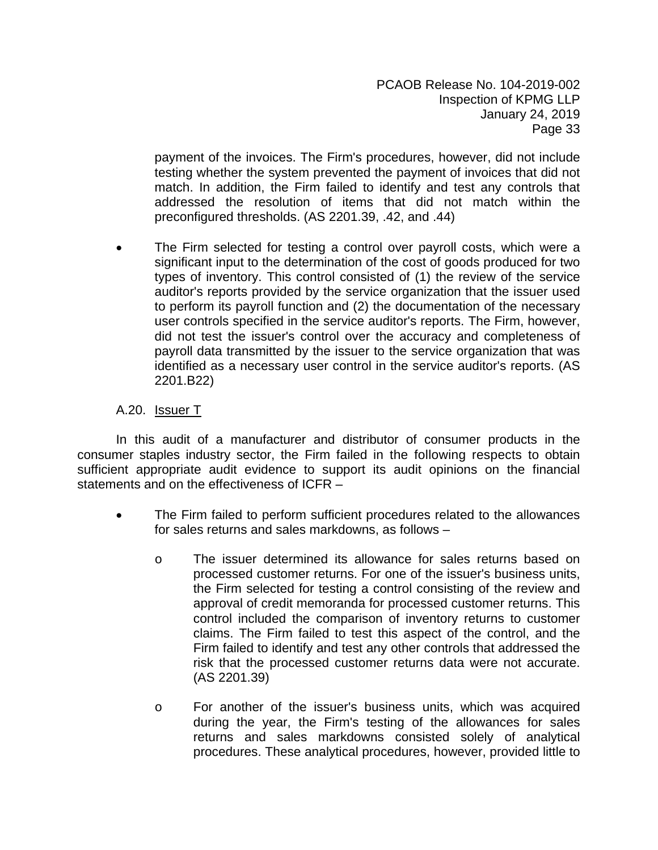payment of the invoices. The Firm's procedures, however, did not include testing whether the system prevented the payment of invoices that did not match. In addition, the Firm failed to identify and test any controls that addressed the resolution of items that did not match within the preconfigured thresholds. (AS 2201.39, .42, and .44)

 The Firm selected for testing a control over payroll costs, which were a significant input to the determination of the cost of goods produced for two types of inventory. This control consisted of (1) the review of the service auditor's reports provided by the service organization that the issuer used to perform its payroll function and (2) the documentation of the necessary user controls specified in the service auditor's reports. The Firm, however, did not test the issuer's control over the accuracy and completeness of payroll data transmitted by the issuer to the service organization that was identified as a necessary user control in the service auditor's reports. (AS 2201.B22)

# A.20. Issuer T

In this audit of a manufacturer and distributor of consumer products in the consumer staples industry sector, the Firm failed in the following respects to obtain sufficient appropriate audit evidence to support its audit opinions on the financial statements and on the effectiveness of ICFR –

- The Firm failed to perform sufficient procedures related to the allowances for sales returns and sales markdowns, as follows –
	- o The issuer determined its allowance for sales returns based on processed customer returns. For one of the issuer's business units, the Firm selected for testing a control consisting of the review and approval of credit memoranda for processed customer returns. This control included the comparison of inventory returns to customer claims. The Firm failed to test this aspect of the control, and the Firm failed to identify and test any other controls that addressed the risk that the processed customer returns data were not accurate. (AS 2201.39)
	- o For another of the issuer's business units, which was acquired during the year, the Firm's testing of the allowances for sales returns and sales markdowns consisted solely of analytical procedures. These analytical procedures, however, provided little to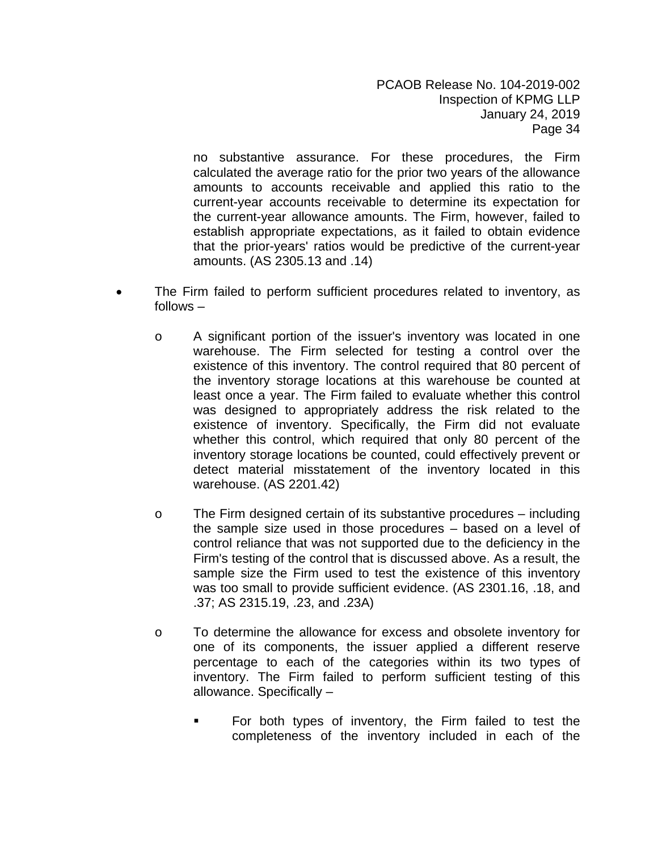no substantive assurance. For these procedures, the Firm calculated the average ratio for the prior two years of the allowance amounts to accounts receivable and applied this ratio to the current-year accounts receivable to determine its expectation for the current-year allowance amounts. The Firm, however, failed to establish appropriate expectations, as it failed to obtain evidence that the prior-years' ratios would be predictive of the current-year amounts. (AS 2305.13 and .14)

- The Firm failed to perform sufficient procedures related to inventory, as follows –
	- o A significant portion of the issuer's inventory was located in one warehouse. The Firm selected for testing a control over the existence of this inventory. The control required that 80 percent of the inventory storage locations at this warehouse be counted at least once a year. The Firm failed to evaluate whether this control was designed to appropriately address the risk related to the existence of inventory. Specifically, the Firm did not evaluate whether this control, which required that only 80 percent of the inventory storage locations be counted, could effectively prevent or detect material misstatement of the inventory located in this warehouse. (AS 2201.42)
	- o The Firm designed certain of its substantive procedures including the sample size used in those procedures – based on a level of control reliance that was not supported due to the deficiency in the Firm's testing of the control that is discussed above. As a result, the sample size the Firm used to test the existence of this inventory was too small to provide sufficient evidence. (AS 2301.16, .18, and .37; AS 2315.19, .23, and .23A)
	- o To determine the allowance for excess and obsolete inventory for one of its components, the issuer applied a different reserve percentage to each of the categories within its two types of inventory. The Firm failed to perform sufficient testing of this allowance. Specifically –
		- For both types of inventory, the Firm failed to test the completeness of the inventory included in each of the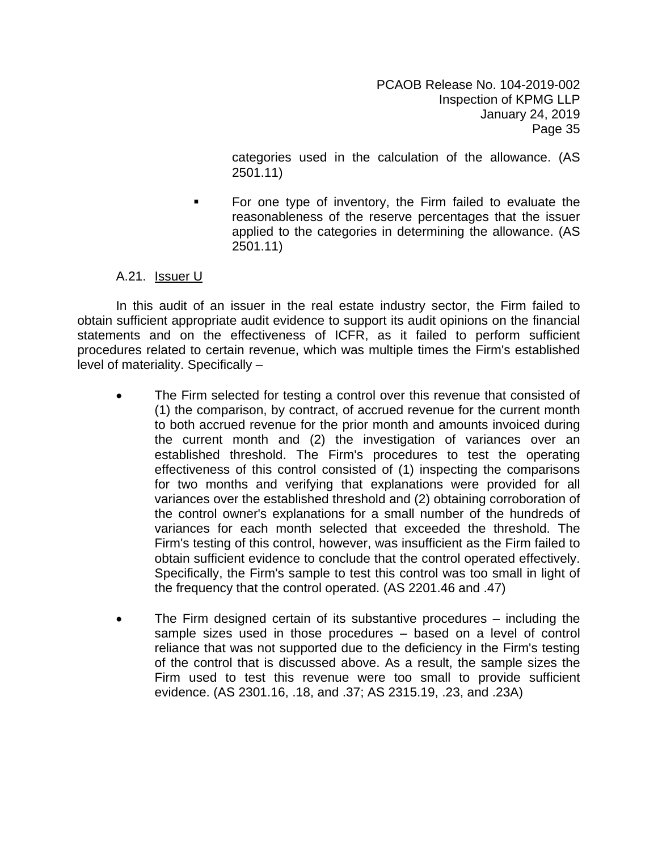categories used in the calculation of the allowance. (AS 2501.11)

 For one type of inventory, the Firm failed to evaluate the reasonableness of the reserve percentages that the issuer applied to the categories in determining the allowance. (AS 2501.11)

#### A.21. Issuer U

In this audit of an issuer in the real estate industry sector, the Firm failed to obtain sufficient appropriate audit evidence to support its audit opinions on the financial statements and on the effectiveness of ICFR, as it failed to perform sufficient procedures related to certain revenue, which was multiple times the Firm's established level of materiality. Specifically –

- The Firm selected for testing a control over this revenue that consisted of (1) the comparison, by contract, of accrued revenue for the current month to both accrued revenue for the prior month and amounts invoiced during the current month and (2) the investigation of variances over an established threshold. The Firm's procedures to test the operating effectiveness of this control consisted of (1) inspecting the comparisons for two months and verifying that explanations were provided for all variances over the established threshold and (2) obtaining corroboration of the control owner's explanations for a small number of the hundreds of variances for each month selected that exceeded the threshold. The Firm's testing of this control, however, was insufficient as the Firm failed to obtain sufficient evidence to conclude that the control operated effectively. Specifically, the Firm's sample to test this control was too small in light of the frequency that the control operated. (AS 2201.46 and .47)
- The Firm designed certain of its substantive procedures including the sample sizes used in those procedures – based on a level of control reliance that was not supported due to the deficiency in the Firm's testing of the control that is discussed above. As a result, the sample sizes the Firm used to test this revenue were too small to provide sufficient evidence. (AS 2301.16, .18, and .37; AS 2315.19, .23, and .23A)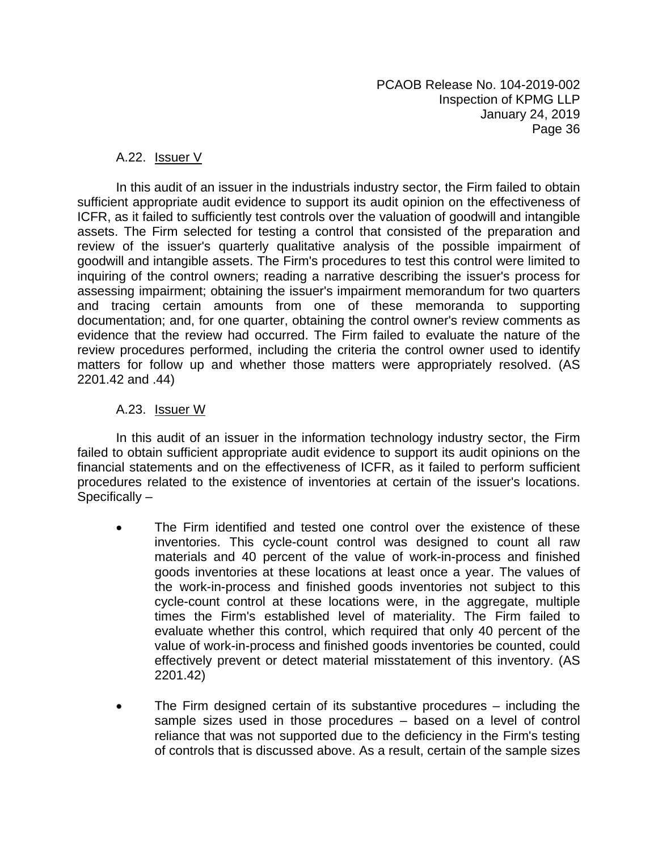#### A.22. Issuer V

In this audit of an issuer in the industrials industry sector, the Firm failed to obtain sufficient appropriate audit evidence to support its audit opinion on the effectiveness of ICFR, as it failed to sufficiently test controls over the valuation of goodwill and intangible assets. The Firm selected for testing a control that consisted of the preparation and review of the issuer's quarterly qualitative analysis of the possible impairment of goodwill and intangible assets. The Firm's procedures to test this control were limited to inquiring of the control owners; reading a narrative describing the issuer's process for assessing impairment; obtaining the issuer's impairment memorandum for two quarters and tracing certain amounts from one of these memoranda to supporting documentation; and, for one quarter, obtaining the control owner's review comments as evidence that the review had occurred. The Firm failed to evaluate the nature of the review procedures performed, including the criteria the control owner used to identify matters for follow up and whether those matters were appropriately resolved. (AS 2201.42 and .44)

#### A.23. Issuer W

In this audit of an issuer in the information technology industry sector, the Firm failed to obtain sufficient appropriate audit evidence to support its audit opinions on the financial statements and on the effectiveness of ICFR, as it failed to perform sufficient procedures related to the existence of inventories at certain of the issuer's locations. Specifically –

- The Firm identified and tested one control over the existence of these inventories. This cycle-count control was designed to count all raw materials and 40 percent of the value of work-in-process and finished goods inventories at these locations at least once a year. The values of the work-in-process and finished goods inventories not subject to this cycle-count control at these locations were, in the aggregate, multiple times the Firm's established level of materiality. The Firm failed to evaluate whether this control, which required that only 40 percent of the value of work-in-process and finished goods inventories be counted, could effectively prevent or detect material misstatement of this inventory. (AS 2201.42)
- The Firm designed certain of its substantive procedures including the sample sizes used in those procedures – based on a level of control reliance that was not supported due to the deficiency in the Firm's testing of controls that is discussed above. As a result, certain of the sample sizes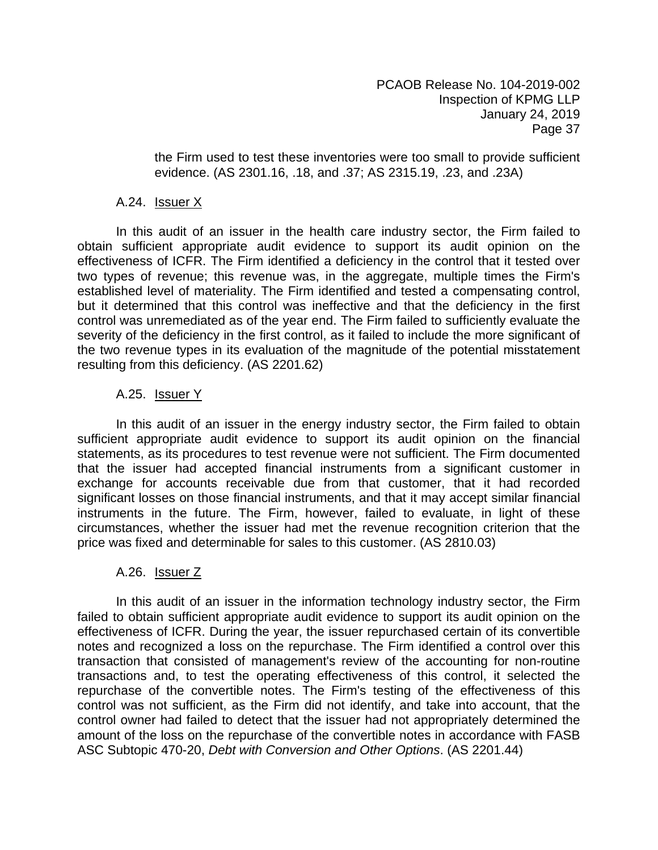the Firm used to test these inventories were too small to provide sufficient evidence. (AS 2301.16, .18, and .37; AS 2315.19, .23, and .23A)

#### A.24. Issuer X

In this audit of an issuer in the health care industry sector, the Firm failed to obtain sufficient appropriate audit evidence to support its audit opinion on the effectiveness of ICFR. The Firm identified a deficiency in the control that it tested over two types of revenue; this revenue was, in the aggregate, multiple times the Firm's established level of materiality. The Firm identified and tested a compensating control, but it determined that this control was ineffective and that the deficiency in the first control was unremediated as of the year end. The Firm failed to sufficiently evaluate the severity of the deficiency in the first control, as it failed to include the more significant of the two revenue types in its evaluation of the magnitude of the potential misstatement resulting from this deficiency. (AS 2201.62)

# A.25. Issuer Y

In this audit of an issuer in the energy industry sector, the Firm failed to obtain sufficient appropriate audit evidence to support its audit opinion on the financial statements, as its procedures to test revenue were not sufficient. The Firm documented that the issuer had accepted financial instruments from a significant customer in exchange for accounts receivable due from that customer, that it had recorded significant losses on those financial instruments, and that it may accept similar financial instruments in the future. The Firm, however, failed to evaluate, in light of these circumstances, whether the issuer had met the revenue recognition criterion that the price was fixed and determinable for sales to this customer. (AS 2810.03)

# A.26. Issuer Z

In this audit of an issuer in the information technology industry sector, the Firm failed to obtain sufficient appropriate audit evidence to support its audit opinion on the effectiveness of ICFR. During the year, the issuer repurchased certain of its convertible notes and recognized a loss on the repurchase. The Firm identified a control over this transaction that consisted of management's review of the accounting for non-routine transactions and, to test the operating effectiveness of this control, it selected the repurchase of the convertible notes. The Firm's testing of the effectiveness of this control was not sufficient, as the Firm did not identify, and take into account, that the control owner had failed to detect that the issuer had not appropriately determined the amount of the loss on the repurchase of the convertible notes in accordance with FASB ASC Subtopic 470-20, *Debt with Conversion and Other Options*. (AS 2201.44)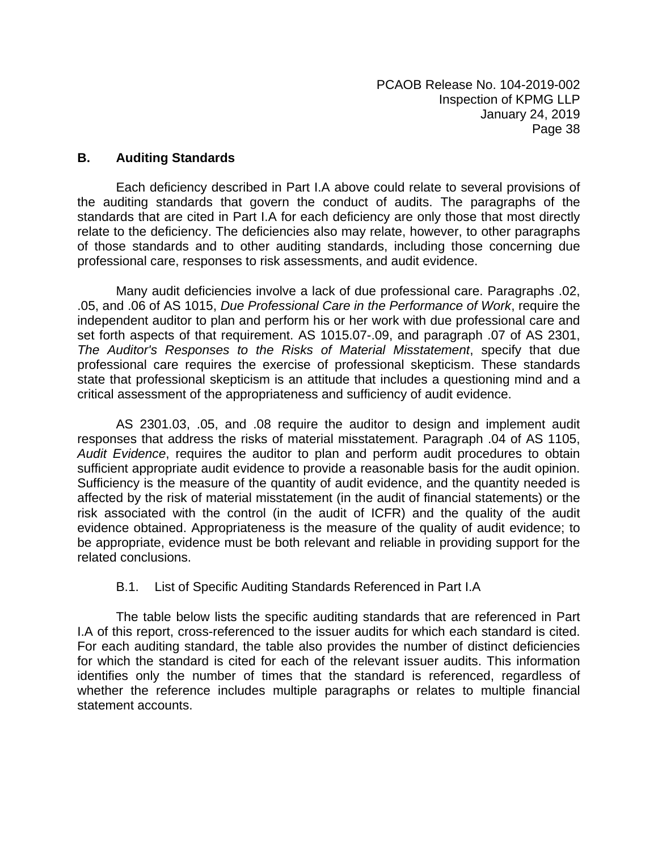#### **B. Auditing Standards**

Each deficiency described in Part I.A above could relate to several provisions of the auditing standards that govern the conduct of audits. The paragraphs of the standards that are cited in Part I.A for each deficiency are only those that most directly relate to the deficiency. The deficiencies also may relate, however, to other paragraphs of those standards and to other auditing standards, including those concerning due professional care, responses to risk assessments, and audit evidence.

Many audit deficiencies involve a lack of due professional care. Paragraphs .02, .05, and .06 of AS 1015, *Due Professional Care in the Performance of Work*, require the independent auditor to plan and perform his or her work with due professional care and set forth aspects of that requirement. AS 1015.07-.09, and paragraph .07 of AS 2301, *The Auditor's Responses to the Risks of Material Misstatement*, specify that due professional care requires the exercise of professional skepticism. These standards state that professional skepticism is an attitude that includes a questioning mind and a critical assessment of the appropriateness and sufficiency of audit evidence.

AS 2301.03, .05, and .08 require the auditor to design and implement audit responses that address the risks of material misstatement. Paragraph .04 of AS 1105, *Audit Evidence*, requires the auditor to plan and perform audit procedures to obtain sufficient appropriate audit evidence to provide a reasonable basis for the audit opinion. Sufficiency is the measure of the quantity of audit evidence, and the quantity needed is affected by the risk of material misstatement (in the audit of financial statements) or the risk associated with the control (in the audit of ICFR) and the quality of the audit evidence obtained. Appropriateness is the measure of the quality of audit evidence; to be appropriate, evidence must be both relevant and reliable in providing support for the related conclusions.

# B.1. List of Specific Auditing Standards Referenced in Part I.A

The table below lists the specific auditing standards that are referenced in Part I.A of this report, cross-referenced to the issuer audits for which each standard is cited. For each auditing standard, the table also provides the number of distinct deficiencies for which the standard is cited for each of the relevant issuer audits. This information identifies only the number of times that the standard is referenced, regardless of whether the reference includes multiple paragraphs or relates to multiple financial statement accounts.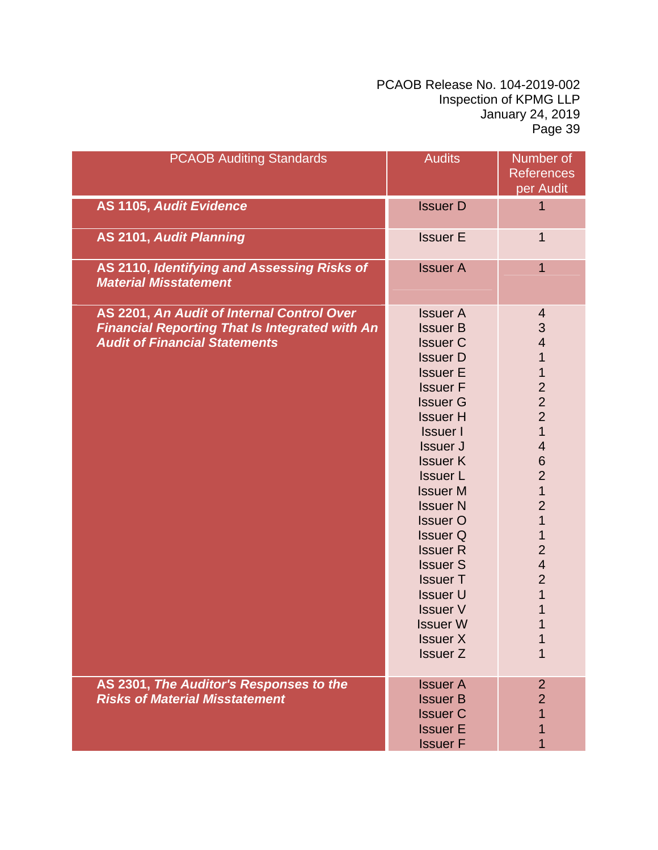| <b>PCAOB Auditing Standards</b>                                                                                                             | <b>Audits</b>                                                                                                                                                                                                                                                                                                                                                                                                                                                        | Number of                                                                                                                                                                                                                                                                                                                                     |
|---------------------------------------------------------------------------------------------------------------------------------------------|----------------------------------------------------------------------------------------------------------------------------------------------------------------------------------------------------------------------------------------------------------------------------------------------------------------------------------------------------------------------------------------------------------------------------------------------------------------------|-----------------------------------------------------------------------------------------------------------------------------------------------------------------------------------------------------------------------------------------------------------------------------------------------------------------------------------------------|
|                                                                                                                                             |                                                                                                                                                                                                                                                                                                                                                                                                                                                                      | <b>References</b>                                                                                                                                                                                                                                                                                                                             |
|                                                                                                                                             |                                                                                                                                                                                                                                                                                                                                                                                                                                                                      | per Audit                                                                                                                                                                                                                                                                                                                                     |
| <b>AS 1105, Audit Evidence</b>                                                                                                              | <b>Issuer D</b>                                                                                                                                                                                                                                                                                                                                                                                                                                                      | $\overline{1}$                                                                                                                                                                                                                                                                                                                                |
| <b>AS 2101, Audit Planning</b>                                                                                                              | <b>Issuer E</b>                                                                                                                                                                                                                                                                                                                                                                                                                                                      | $\mathbf 1$                                                                                                                                                                                                                                                                                                                                   |
| AS 2110, Identifying and Assessing Risks of<br><b>Material Misstatement</b>                                                                 | <b>Issuer A</b>                                                                                                                                                                                                                                                                                                                                                                                                                                                      | 1                                                                                                                                                                                                                                                                                                                                             |
| AS 2201, An Audit of Internal Control Over<br><b>Financial Reporting That Is Integrated with An</b><br><b>Audit of Financial Statements</b> | <b>Issuer A</b><br><b>Issuer B</b><br><b>Issuer C</b><br><b>Issuer D</b><br><b>Issuer E</b><br><b>Issuer F</b><br><b>Issuer G</b><br><b>Issuer H</b><br><b>Issuer I</b><br><b>Issuer J</b><br><b>Issuer K</b><br><b>Issuer L</b><br><b>Issuer M</b><br><b>Issuer N</b><br><b>Issuer O</b><br><b>Issuer Q</b><br><b>Issuer R</b><br><b>Issuer S</b><br><b>Issuer T</b><br><b>Issuer U</b><br><b>Issuer V</b><br><b>Issuer W</b><br><b>Issuer X</b><br><b>Issuer Z</b> | 4<br>$\mathsf 3$<br>$\overline{\mathcal{A}}$<br>$\mathbf 1$<br>1<br>$\overline{c}$<br>$\overline{2}$<br>$\overline{2}$<br>$\overline{1}$<br>$\overline{\mathbf{4}}$<br>6<br>$\overline{2}$<br>$\mathbf{1}$<br>$\overline{2}$<br>$\mathbf 1$<br>$\mathbf 1$<br>$\overline{2}$<br>$\overline{\mathbf{4}}$<br>$\overline{2}$<br>$\mathbf 1$<br>1 |
| AS 2301, The Auditor's Responses to the<br><b>Risks of Material Misstatement</b>                                                            | <b>Issuer A</b><br><b>Issuer B</b><br><b>Issuer C</b><br><b>Issuer E</b><br><b>Issuer F</b>                                                                                                                                                                                                                                                                                                                                                                          | $\overline{2}$<br>$\overline{2}$                                                                                                                                                                                                                                                                                                              |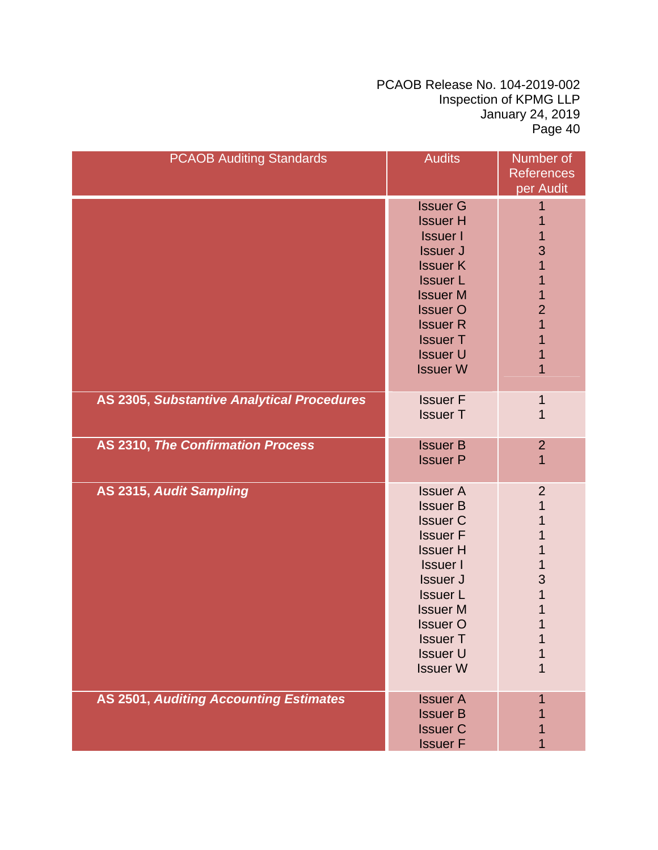| <b>PCAOB Auditing Standards</b>               | <b>Audits</b>                                                                                                                                                                                                                                       | Number of<br><b>References</b><br>per Audit                           |
|-----------------------------------------------|-----------------------------------------------------------------------------------------------------------------------------------------------------------------------------------------------------------------------------------------------------|-----------------------------------------------------------------------|
|                                               | <b>Issuer G</b><br><b>Issuer H</b><br><b>Issuer I</b><br><b>Issuer J</b><br><b>Issuer K</b><br><b>Issuer L</b><br><b>Issuer M</b><br><b>Issuer O</b><br><b>Issuer R</b><br><b>Issuer T</b><br><b>Issuer U</b><br><b>Issuer W</b>                    | 1<br>1<br>1<br>3<br>1<br>1<br>1<br>$\overline{2}$<br>1<br>1<br>1<br>1 |
| AS 2305, Substantive Analytical Procedures    | <b>Issuer F</b><br><b>Issuer T</b>                                                                                                                                                                                                                  | 1<br>1                                                                |
| <b>AS 2310, The Confirmation Process</b>      | <b>Issuer B</b><br><b>Issuer P</b>                                                                                                                                                                                                                  | $\overline{2}$<br>1                                                   |
| AS 2315, Audit Sampling                       | <b>Issuer A</b><br><b>Issuer B</b><br><b>Issuer C</b><br><b>Issuer F</b><br><b>Issuer H</b><br><b>Issuer I</b><br><b>Issuer J</b><br><b>Issuer L</b><br><b>Issuer M</b><br><b>Issuer O</b><br><b>Issuer T</b><br><b>Issuer U</b><br><b>Issuer W</b> | $\overline{2}$<br>$\mathbf 1$<br>1<br>1<br>1<br>1<br>3<br>$\mathbf 1$ |
| <b>AS 2501, Auditing Accounting Estimates</b> | <b>Issuer A</b><br><b>Issuer B</b><br><b>Issuer C</b><br><b>Issuer F</b>                                                                                                                                                                            |                                                                       |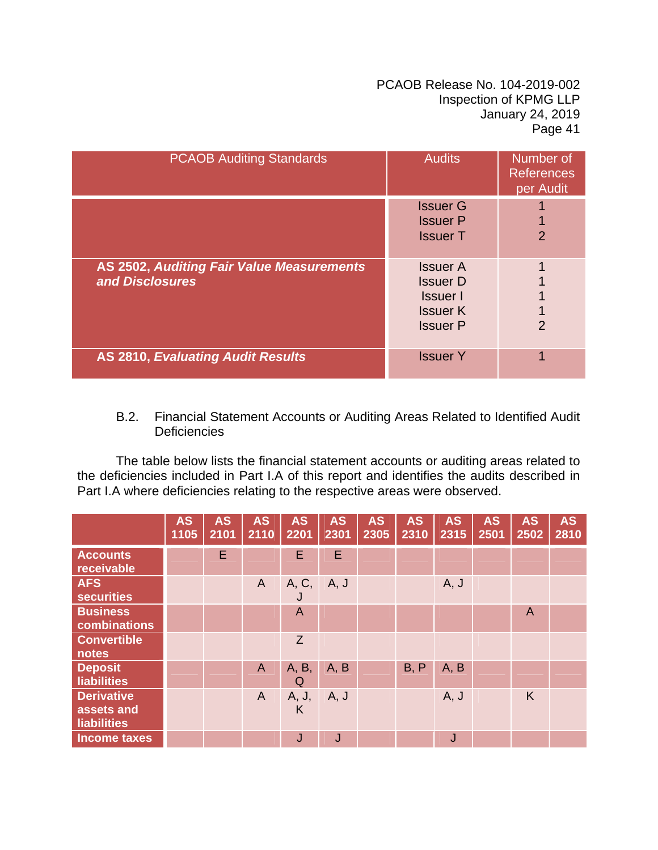| <b>PCAOB Auditing Standards</b>                              | <b>Audits</b>                                                                               | Number of<br><b>References</b><br>per Audit |
|--------------------------------------------------------------|---------------------------------------------------------------------------------------------|---------------------------------------------|
|                                                              | <b>Issuer G</b><br><b>Issuer P</b><br><b>Issuer T</b>                                       | $\overline{2}$                              |
| AS 2502, Auditing Fair Value Measurements<br>and Disclosures | <b>Issuer A</b><br><b>Issuer D</b><br><b>Issuer</b> I<br><b>Issuer K</b><br><b>Issuer P</b> | $\overline{2}$                              |
| <b>AS 2810, Evaluating Audit Results</b>                     | <b>Issuer Y</b>                                                                             |                                             |

# B.2. Financial Statement Accounts or Auditing Areas Related to Identified Audit **Deficiencies**

The table below lists the financial statement accounts or auditing areas related to the deficiencies included in Part I.A of this report and identifies the audits described in Part I.A where deficiencies relating to the respective areas were observed.

|                                                       | <b>AS</b><br>1105 | <b>AS</b><br>2101 | <b>AS</b><br>2110 | <b>AS</b><br>2201 | <b>AS</b><br>2301 | <b>AS</b><br>2305 | <b>AS</b><br>2310 | <b>AS</b><br>2315 | <b>AS</b><br>2501 | <b>AS</b><br>2502 | <b>AS</b><br>2810 |
|-------------------------------------------------------|-------------------|-------------------|-------------------|-------------------|-------------------|-------------------|-------------------|-------------------|-------------------|-------------------|-------------------|
| <b>Accounts</b><br>receivable                         |                   | E                 |                   | E                 | E                 |                   |                   |                   |                   |                   |                   |
| <b>AFS</b><br><b>securities</b>                       |                   |                   | $\overline{A}$    | A, C,<br>J        | A, J              |                   |                   | A, J              |                   |                   |                   |
| <b>Business</b><br>combinations                       |                   |                   |                   | A                 |                   |                   |                   |                   |                   | A                 |                   |
| <b>Convertible</b><br>notes                           |                   |                   |                   | Z                 |                   |                   |                   |                   |                   |                   |                   |
| <b>Deposit</b><br>liabilities                         |                   |                   | $\mathsf{A}$      | A, B,<br>Q        | A, B              |                   | B, P              | A, B              |                   |                   |                   |
| <b>Derivative</b><br>assets and<br><b>liabilities</b> |                   |                   | $\overline{A}$    | A, J,<br>K        | A, J              |                   |                   | A, J              |                   | K                 |                   |
| <b>Income taxes</b>                                   |                   |                   |                   | J                 | J                 |                   |                   | J                 |                   |                   |                   |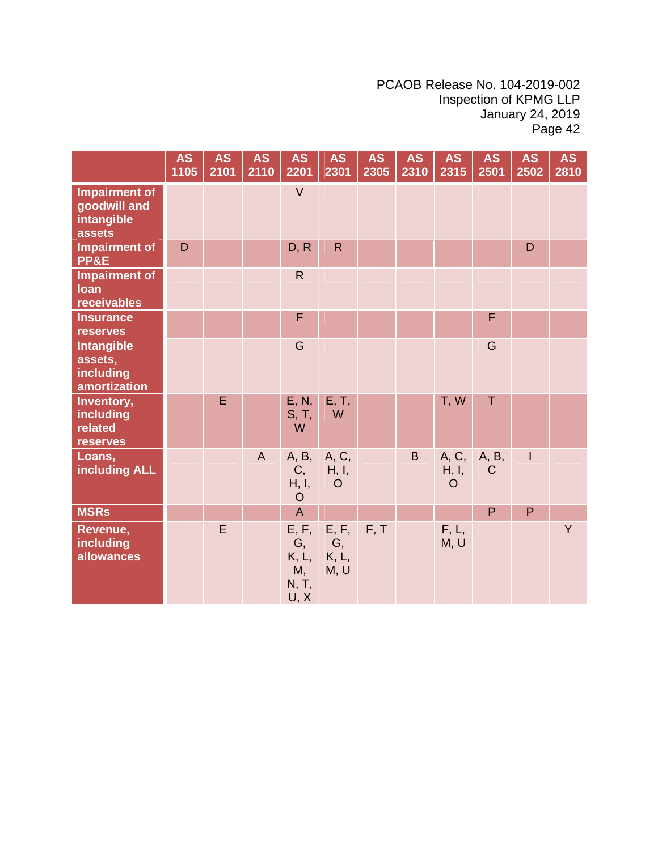|                                                              | <b>AS</b><br>1105 | <b>AS</b><br>2101 | <b>AS</b><br>2110 | <b>AS</b><br>2201                           | <b>AS</b><br>2301                | <b>AS</b><br>2305 | <b>AS</b><br>2310 | <b>AS</b><br>2315         | <b>AS</b><br>2501 | <b>AS</b><br>2502 | <b>AS</b><br>2810 |
|--------------------------------------------------------------|-------------------|-------------------|-------------------|---------------------------------------------|----------------------------------|-------------------|-------------------|---------------------------|-------------------|-------------------|-------------------|
| <b>Impairment of</b><br>goodwill and<br>intangible<br>assets |                   |                   |                   | $\vee$                                      |                                  |                   |                   |                           |                   |                   |                   |
| <b>Impairment of</b><br>PP&E                                 | D                 |                   |                   | D, R                                        | $\mathsf{R}$                     |                   |                   |                           |                   | D                 |                   |
| <b>Impairment of</b><br><b>loan</b><br>receivables           |                   |                   |                   | $\mathsf{R}$                                |                                  |                   |                   |                           |                   |                   |                   |
| <b>Insurance</b><br>reserves                                 |                   |                   |                   | F                                           |                                  |                   |                   |                           | F                 |                   |                   |
| <b>Intangible</b><br>assets,<br>including<br>amortization    |                   |                   |                   | G                                           |                                  |                   |                   |                           | G                 |                   |                   |
| Inventory,<br>including<br>related<br><b>reserves</b>        |                   | E                 |                   | E, N,<br>S, T,<br>W                         | E, T,<br>W                       |                   |                   | T, W                      | Τ                 |                   |                   |
| Loans,<br>including ALL                                      |                   |                   | $\overline{A}$    | A, B,<br>C,<br>H, I,<br>$\circ$             | A, C,<br>H, I,<br>$\overline{O}$ |                   | B                 | A, C,<br>H, I,<br>$\circ$ | A, B,<br>C        | $\mathsf{I}$      |                   |
| <b>MSRs</b>                                                  |                   |                   |                   | $\overline{A}$                              |                                  |                   |                   |                           | P                 | P                 |                   |
| Revenue,<br>including<br>allowances                          |                   | E                 |                   | E, F,<br>G,<br>K, L,<br>M,<br>N, T,<br>U, X | E, F,<br>G,<br>K, L,<br>M, U     | F, T              |                   | F, L,<br>M, U             |                   |                   | Y                 |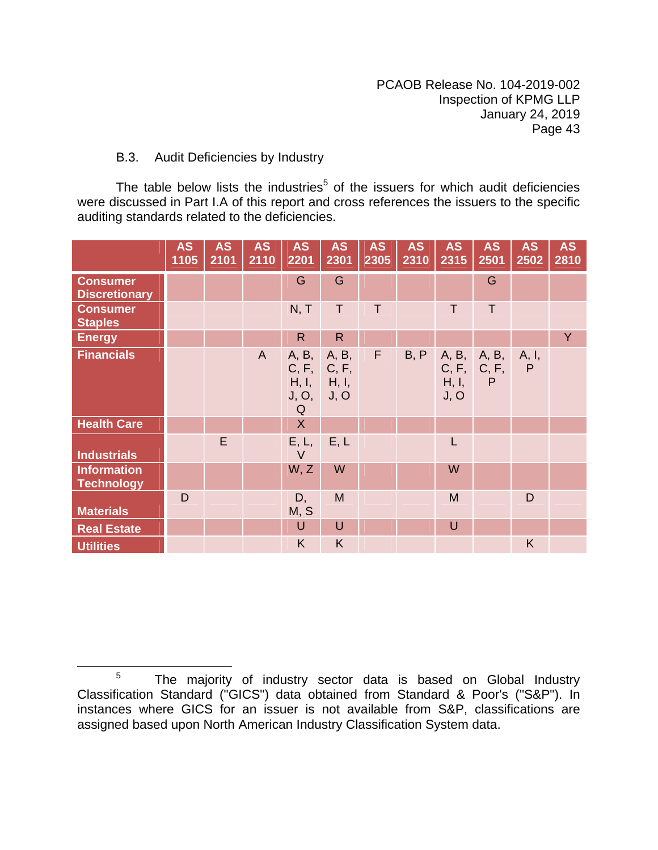# B.3. Audit Deficiencies by Industry

The table below lists the industries<sup>5</sup> of the issuers for which audit deficiencies were discussed in Part I.A of this report and cross references the issuers to the specific auditing standards related to the deficiencies.

|                                         | <b>AS</b><br>1105 | <b>AS</b><br>2101 | <b>AS</b><br>2110 | <b>AS</b><br>2201                                 | <b>AS</b><br>2301 | <b>AS</b><br>2305 | <b>AS</b><br>2310 | <b>AS</b><br>2315 | <b>AS</b><br>2501                          | <b>AS</b><br>2502 | <b>AS</b><br>2810 |
|-----------------------------------------|-------------------|-------------------|-------------------|---------------------------------------------------|-------------------|-------------------|-------------------|-------------------|--------------------------------------------|-------------------|-------------------|
| <b>Consumer</b><br><b>Discretionary</b> |                   |                   |                   | G                                                 | G                 |                   |                   |                   | G                                          |                   |                   |
| <b>Consumer</b><br><b>Staples</b>       |                   |                   |                   | N, T                                              | $\top$            | T                 |                   | T                 | T.                                         |                   |                   |
| <b>Energy</b>                           |                   |                   |                   | $\mathsf{R}$                                      | $\mathsf{R}$      |                   |                   |                   |                                            |                   | Y                 |
| <b>Financials</b>                       |                   |                   | $\mathsf{A}$      | A, B,<br>C, F, C, F,<br>H, I, H, I,<br>J, O,<br>Q | A, B,<br>J, O     | F.                | B, P              | H, I,<br>J, O     | A, B, A, B,<br>C, F, C, F,<br>$\mathsf{P}$ | A, I,<br>P        |                   |
| <b>Health Care</b>                      |                   |                   |                   | $\mathsf{X}$                                      |                   |                   |                   |                   |                                            |                   |                   |
| <b>Industrials</b>                      |                   | E                 |                   | E, L,<br>$\vee$                                   | E, L              |                   |                   | L                 |                                            |                   |                   |
| <b>Information</b><br><b>Technology</b> |                   |                   |                   | W, Z                                              | W                 |                   |                   | W                 |                                            |                   |                   |
| <b>Materials</b>                        | D                 |                   |                   | D,<br>M, S                                        | M                 |                   |                   | M                 |                                            | D                 |                   |
| <b>Real Estate</b>                      |                   |                   |                   | U                                                 | $\cup$            |                   |                   | $\cup$            |                                            |                   |                   |
| <b>Utilities</b>                        |                   |                   |                   | K                                                 | K                 |                   |                   |                   |                                            | K                 |                   |

<sup>&</sup>lt;sup>5</sup> The majority of industry sector data is based on Global Industry Classification Standard ("GICS") data obtained from Standard & Poor's ("S&P"). In instances where GICS for an issuer is not available from S&P, classifications are assigned based upon North American Industry Classification System data.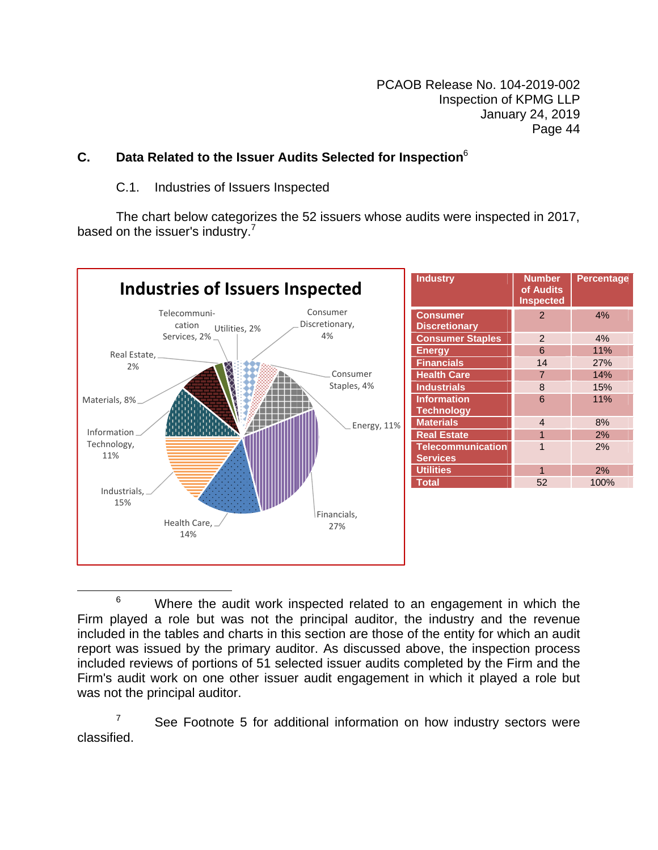# **C. Data Related to the Issuer Audits Selected for Inspection**<sup>6</sup>

#### C.1. Industries of Issuers Inspected

The chart below categorizes the 52 issuers whose audits were inspected in 2017, based on the issuer's industry. $7$ 



**EXECUTE:**<br>
<sup>6</sup> Where the audit work inspected related to an engagement in which the Firm played a role but was not the principal auditor, the industry and the revenue included in the tables and charts in this section are those of the entity for which an audit report was issued by the primary auditor. As discussed above, the inspection process included reviews of portions of 51 selected issuer audits completed by the Firm and the Firm's audit work on one other issuer audit engagement in which it played a role but was not the principal auditor.

7 See Footnote 5 for additional information on how industry sectors were classified.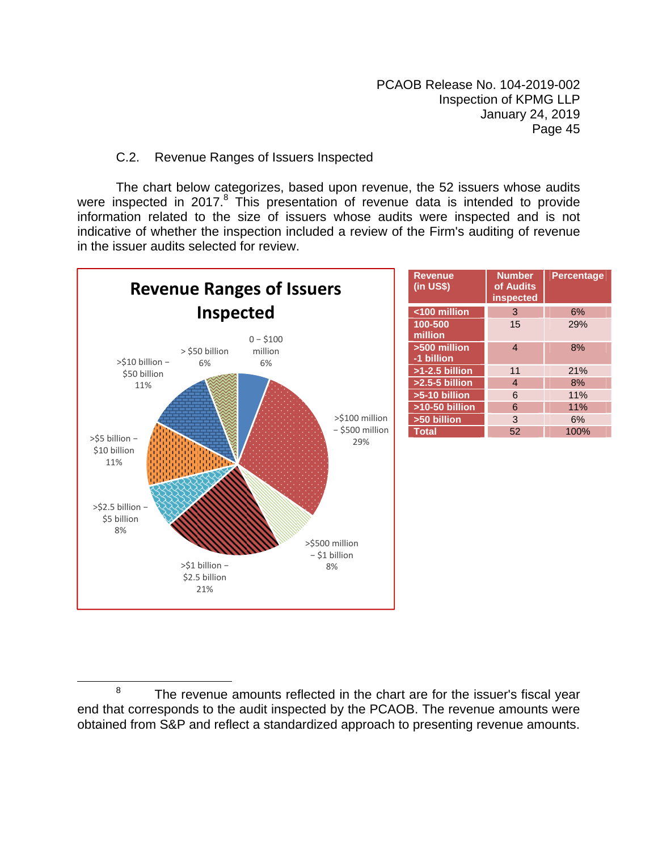# C.2. Revenue Ranges of Issuers Inspected

 The chart below categorizes, based upon revenue, the 52 issuers whose audits were inspected in 2017. $8$  This presentation of revenue data is intended to provide information related to the size of issuers whose audits were inspected and is not indicative of whether the inspection included a review of the Firm's auditing of revenue in the issuer audits selected for review.



| <b>Revenue</b><br>$(in USS)$ | <b>Number</b><br>of Audits<br><b>inspected</b> | <b>Percentage</b> |
|------------------------------|------------------------------------------------|-------------------|
| <100 million                 | 3                                              | 6%                |
| 100-500<br>million           | 15                                             | 29%               |
| >500 million<br>-1 billion   | 4                                              | 8%                |
| $>1-2.5$ billion             | 11                                             | 21%               |
| $>2.5-5$ billion             | 4                                              | 8%                |
| >5-10 billion                | 6                                              | 11%               |
| >10-50 billion               | 6                                              | 11%               |
| >50 billion                  | 3                                              | 6%                |
| <b>Total</b>                 | 52                                             | 100%              |

**Example 2** The revenue amounts reflected in the chart are for the issuer's fiscal year end that corresponds to the audit inspected by the PCAOB. The revenue amounts were obtained from S&P and reflect a standardized approach to presenting revenue amounts.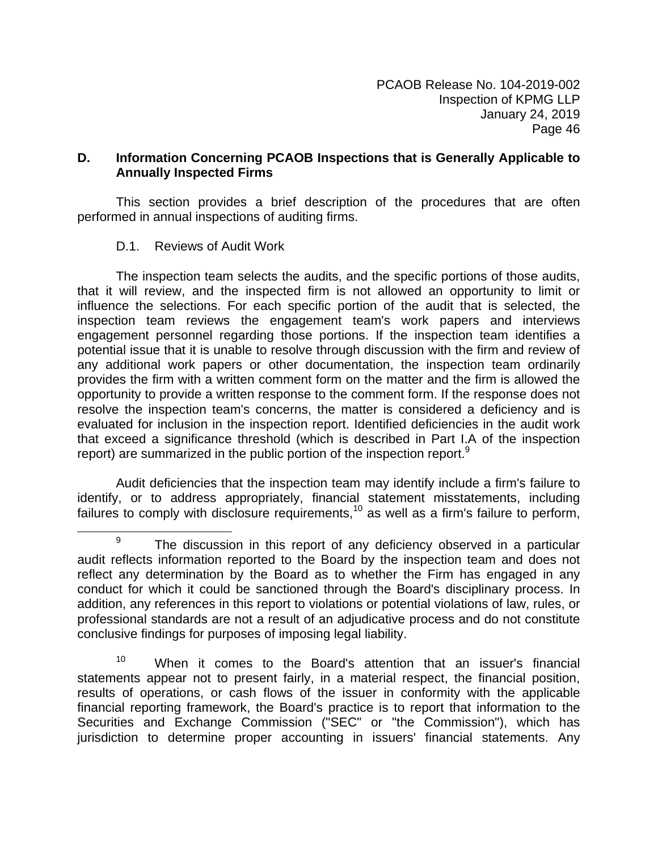# **D. Information Concerning PCAOB Inspections that is Generally Applicable to Annually Inspected Firms**

This section provides a brief description of the procedures that are often performed in annual inspections of auditing firms.

# D.1. Reviews of Audit Work

The inspection team selects the audits, and the specific portions of those audits, that it will review, and the inspected firm is not allowed an opportunity to limit or influence the selections. For each specific portion of the audit that is selected, the inspection team reviews the engagement team's work papers and interviews engagement personnel regarding those portions. If the inspection team identifies a potential issue that it is unable to resolve through discussion with the firm and review of any additional work papers or other documentation, the inspection team ordinarily provides the firm with a written comment form on the matter and the firm is allowed the opportunity to provide a written response to the comment form. If the response does not resolve the inspection team's concerns, the matter is considered a deficiency and is evaluated for inclusion in the inspection report. Identified deficiencies in the audit work that exceed a significance threshold (which is described in Part I.A of the inspection report) are summarized in the public portion of the inspection report.<sup>9</sup>

Audit deficiencies that the inspection team may identify include a firm's failure to identify, or to address appropriately, financial statement misstatements, including failures to comply with disclosure requirements,<sup>10</sup> as well as a firm's failure to perform,

 $9$  The discussion in this report of any deficiency observed in a particular audit reflects information reported to the Board by the inspection team and does not reflect any determination by the Board as to whether the Firm has engaged in any conduct for which it could be sanctioned through the Board's disciplinary process. In addition, any references in this report to violations or potential violations of law, rules, or professional standards are not a result of an adjudicative process and do not constitute conclusive findings for purposes of imposing legal liability.

<sup>&</sup>lt;sup>10</sup> When it comes to the Board's attention that an issuer's financial statements appear not to present fairly, in a material respect, the financial position, results of operations, or cash flows of the issuer in conformity with the applicable financial reporting framework, the Board's practice is to report that information to the Securities and Exchange Commission ("SEC" or "the Commission"), which has jurisdiction to determine proper accounting in issuers' financial statements. Any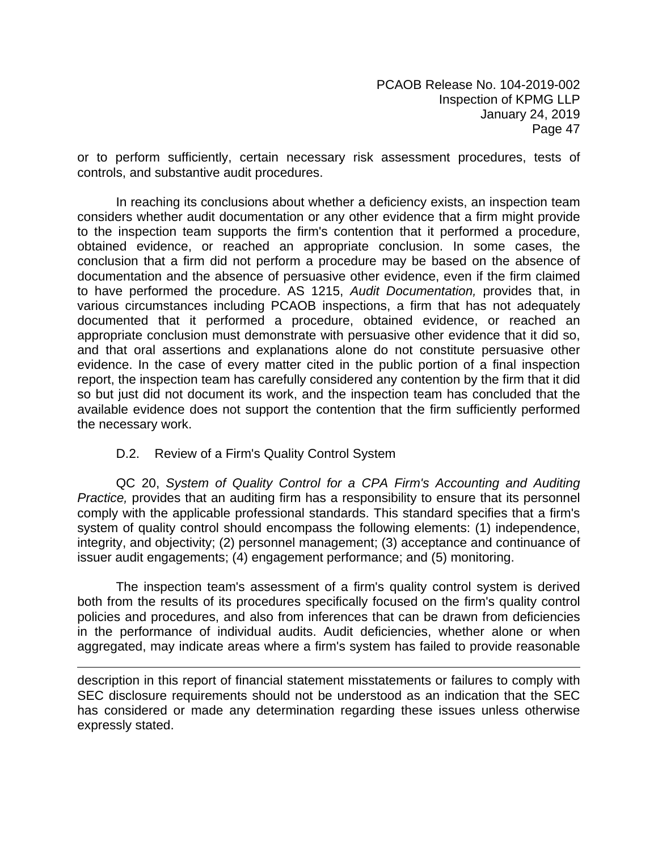or to perform sufficiently, certain necessary risk assessment procedures, tests of controls, and substantive audit procedures.

In reaching its conclusions about whether a deficiency exists, an inspection team considers whether audit documentation or any other evidence that a firm might provide to the inspection team supports the firm's contention that it performed a procedure, obtained evidence, or reached an appropriate conclusion. In some cases, the conclusion that a firm did not perform a procedure may be based on the absence of documentation and the absence of persuasive other evidence, even if the firm claimed to have performed the procedure. AS 1215, *Audit Documentation,* provides that, in various circumstances including PCAOB inspections, a firm that has not adequately documented that it performed a procedure, obtained evidence, or reached an appropriate conclusion must demonstrate with persuasive other evidence that it did so, and that oral assertions and explanations alone do not constitute persuasive other evidence. In the case of every matter cited in the public portion of a final inspection report, the inspection team has carefully considered any contention by the firm that it did so but just did not document its work, and the inspection team has concluded that the available evidence does not support the contention that the firm sufficiently performed the necessary work.

# D.2. Review of a Firm's Quality Control System

QC 20, *System of Quality Control for a CPA Firm's Accounting and Auditing Practice,* provides that an auditing firm has a responsibility to ensure that its personnel comply with the applicable professional standards. This standard specifies that a firm's system of quality control should encompass the following elements: (1) independence, integrity, and objectivity; (2) personnel management; (3) acceptance and continuance of issuer audit engagements; (4) engagement performance; and (5) monitoring.

The inspection team's assessment of a firm's quality control system is derived both from the results of its procedures specifically focused on the firm's quality control policies and procedures, and also from inferences that can be drawn from deficiencies in the performance of individual audits. Audit deficiencies, whether alone or when aggregated, may indicate areas where a firm's system has failed to provide reasonable

description in this report of financial statement misstatements or failures to comply with SEC disclosure requirements should not be understood as an indication that the SEC has considered or made any determination regarding these issues unless otherwise expressly stated.

<u> 1989 - Johann Stein, marwolaethau a gweledydd a ganlad y ganlad y ganlad y ganlad y ganlad y ganlad y ganlad</u>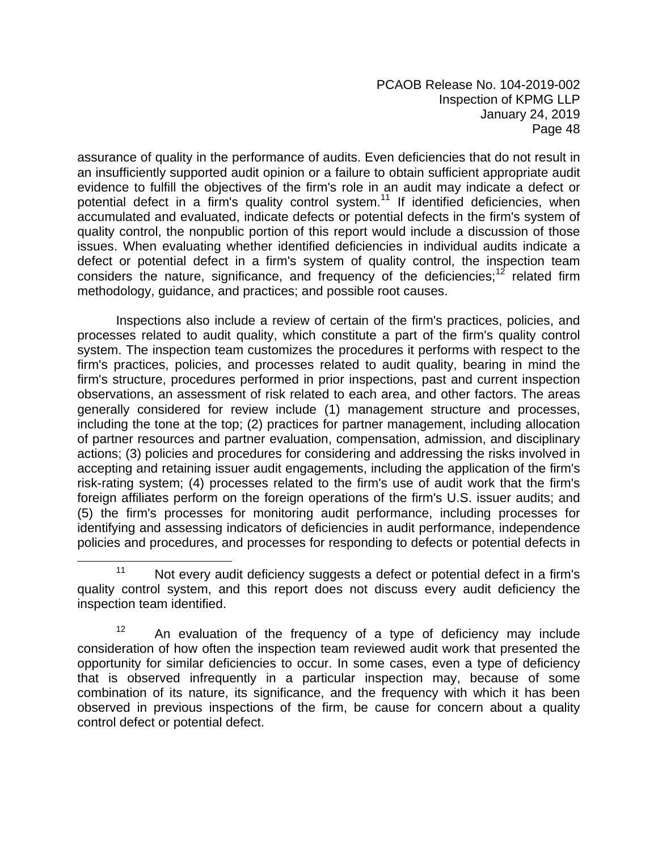assurance of quality in the performance of audits. Even deficiencies that do not result in an insufficiently supported audit opinion or a failure to obtain sufficient appropriate audit evidence to fulfill the objectives of the firm's role in an audit may indicate a defect or potential defect in a firm's quality control system.<sup>11</sup> If identified deficiencies, when accumulated and evaluated, indicate defects or potential defects in the firm's system of quality control, the nonpublic portion of this report would include a discussion of those issues. When evaluating whether identified deficiencies in individual audits indicate a defect or potential defect in a firm's system of quality control, the inspection team considers the nature, significance, and frequency of the deficiencies;<sup>12</sup> related firm methodology, guidance, and practices; and possible root causes.

Inspections also include a review of certain of the firm's practices, policies, and processes related to audit quality, which constitute a part of the firm's quality control system. The inspection team customizes the procedures it performs with respect to the firm's practices, policies, and processes related to audit quality, bearing in mind the firm's structure, procedures performed in prior inspections, past and current inspection observations, an assessment of risk related to each area, and other factors. The areas generally considered for review include (1) management structure and processes, including the tone at the top; (2) practices for partner management, including allocation of partner resources and partner evaluation, compensation, admission, and disciplinary actions; (3) policies and procedures for considering and addressing the risks involved in accepting and retaining issuer audit engagements, including the application of the firm's risk-rating system; (4) processes related to the firm's use of audit work that the firm's foreign affiliates perform on the foreign operations of the firm's U.S. issuer audits; and (5) the firm's processes for monitoring audit performance, including processes for identifying and assessing indicators of deficiencies in audit performance, independence policies and procedures, and processes for responding to defects or potential defects in

 $11$  Not every audit deficiency suggests a defect or potential defect in a firm's quality control system, and this report does not discuss every audit deficiency the inspection team identified.

 $12$  An evaluation of the frequency of a type of deficiency may include consideration of how often the inspection team reviewed audit work that presented the opportunity for similar deficiencies to occur. In some cases, even a type of deficiency that is observed infrequently in a particular inspection may, because of some combination of its nature, its significance, and the frequency with which it has been observed in previous inspections of the firm, be cause for concern about a quality control defect or potential defect.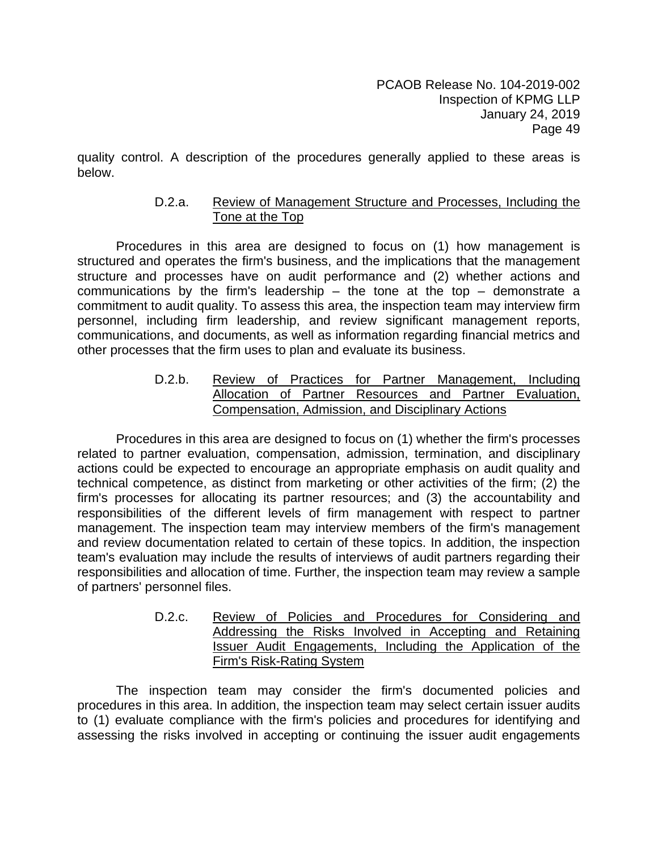quality control. A description of the procedures generally applied to these areas is below.

# D.2.a. Review of Management Structure and Processes, Including the Tone at the Top

Procedures in this area are designed to focus on (1) how management is structured and operates the firm's business, and the implications that the management structure and processes have on audit performance and (2) whether actions and communications by the firm's leadership  $-$  the tone at the top  $-$  demonstrate a commitment to audit quality. To assess this area, the inspection team may interview firm personnel, including firm leadership, and review significant management reports, communications, and documents, as well as information regarding financial metrics and other processes that the firm uses to plan and evaluate its business.

> D.2.b. Review of Practices for Partner Management, Including Allocation of Partner Resources and Partner Evaluation, Compensation, Admission, and Disciplinary Actions

Procedures in this area are designed to focus on (1) whether the firm's processes related to partner evaluation, compensation, admission, termination, and disciplinary actions could be expected to encourage an appropriate emphasis on audit quality and technical competence, as distinct from marketing or other activities of the firm; (2) the firm's processes for allocating its partner resources; and (3) the accountability and responsibilities of the different levels of firm management with respect to partner management. The inspection team may interview members of the firm's management and review documentation related to certain of these topics. In addition, the inspection team's evaluation may include the results of interviews of audit partners regarding their responsibilities and allocation of time. Further, the inspection team may review a sample of partners' personnel files.

> D.2.c. Review of Policies and Procedures for Considering and Addressing the Risks Involved in Accepting and Retaining Issuer Audit Engagements, Including the Application of the Firm's Risk-Rating System

The inspection team may consider the firm's documented policies and procedures in this area. In addition, the inspection team may select certain issuer audits to (1) evaluate compliance with the firm's policies and procedures for identifying and assessing the risks involved in accepting or continuing the issuer audit engagements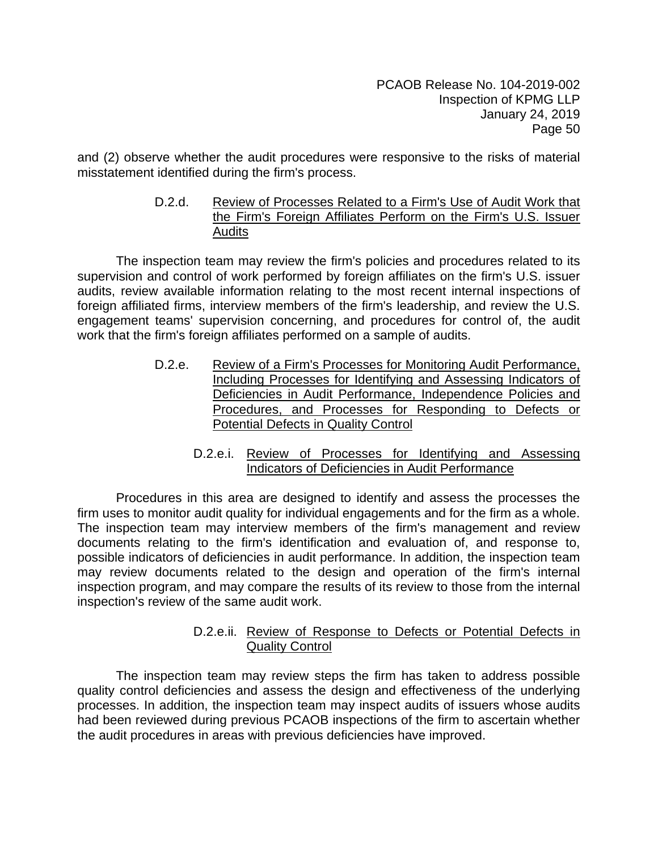and (2) observe whether the audit procedures were responsive to the risks of material misstatement identified during the firm's process.

# D.2.d. Review of Processes Related to a Firm's Use of Audit Work that the Firm's Foreign Affiliates Perform on the Firm's U.S. Issuer **Audits**

The inspection team may review the firm's policies and procedures related to its supervision and control of work performed by foreign affiliates on the firm's U.S. issuer audits, review available information relating to the most recent internal inspections of foreign affiliated firms, interview members of the firm's leadership, and review the U.S. engagement teams' supervision concerning, and procedures for control of, the audit work that the firm's foreign affiliates performed on a sample of audits.

- D.2.e. Review of a Firm's Processes for Monitoring Audit Performance, Including Processes for Identifying and Assessing Indicators of Deficiencies in Audit Performance, Independence Policies and Procedures, and Processes for Responding to Defects or Potential Defects in Quality Control
	- D.2.e.i. Review of Processes for Identifying and Assessing Indicators of Deficiencies in Audit Performance

Procedures in this area are designed to identify and assess the processes the firm uses to monitor audit quality for individual engagements and for the firm as a whole. The inspection team may interview members of the firm's management and review documents relating to the firm's identification and evaluation of, and response to, possible indicators of deficiencies in audit performance. In addition, the inspection team may review documents related to the design and operation of the firm's internal inspection program, and may compare the results of its review to those from the internal inspection's review of the same audit work.

# D.2.e.ii. Review of Response to Defects or Potential Defects in Quality Control

The inspection team may review steps the firm has taken to address possible quality control deficiencies and assess the design and effectiveness of the underlying processes. In addition, the inspection team may inspect audits of issuers whose audits had been reviewed during previous PCAOB inspections of the firm to ascertain whether the audit procedures in areas with previous deficiencies have improved.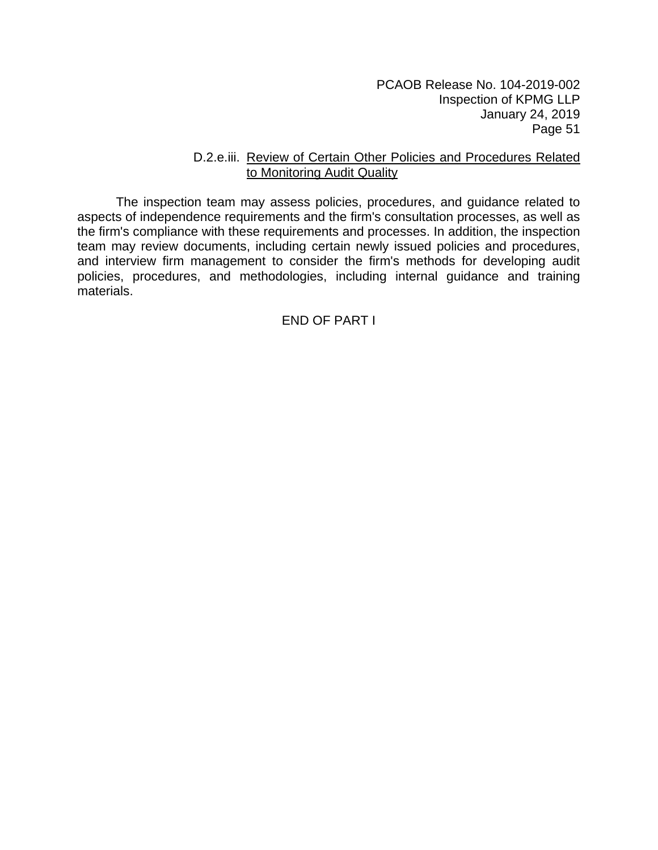#### D.2.e.iii. Review of Certain Other Policies and Procedures Related to Monitoring Audit Quality

The inspection team may assess policies, procedures, and guidance related to aspects of independence requirements and the firm's consultation processes, as well as the firm's compliance with these requirements and processes. In addition, the inspection team may review documents, including certain newly issued policies and procedures, and interview firm management to consider the firm's methods for developing audit policies, procedures, and methodologies, including internal guidance and training materials.

END OF PART I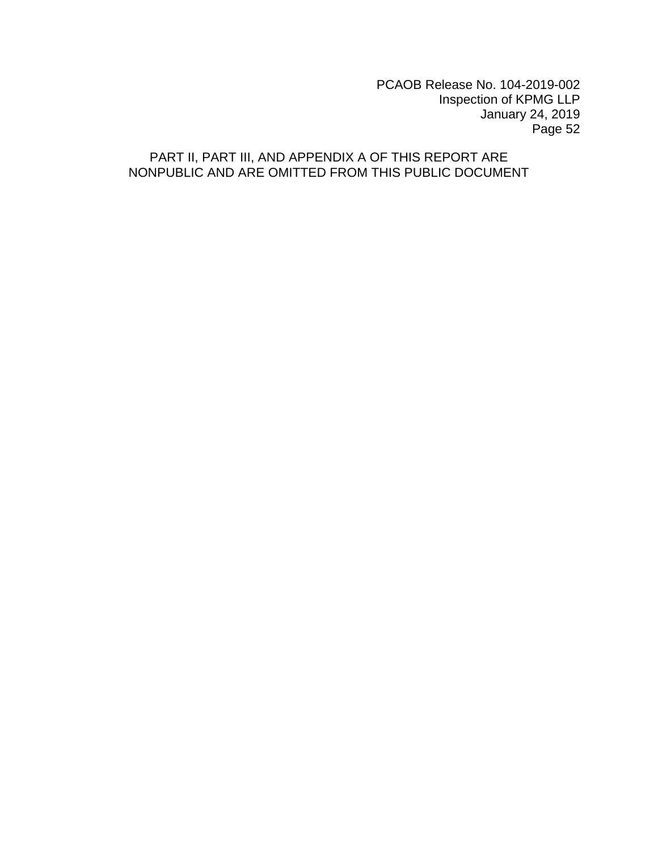# PART II, PART III, AND APPENDIX A OF THIS REPORT ARE NONPUBLIC AND ARE OMITTED FROM THIS PUBLIC DOCUMENT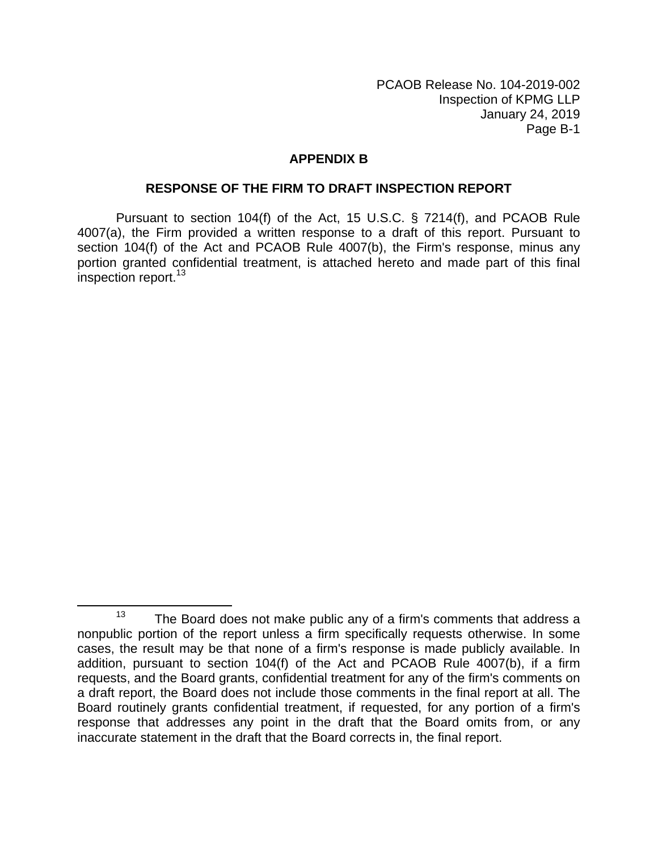# **APPENDIX B**

#### **RESPONSE OF THE FIRM TO DRAFT INSPECTION REPORT**

Pursuant to section 104(f) of the Act, 15 U.S.C. § 7214(f), and PCAOB Rule 4007(a), the Firm provided a written response to a draft of this report. Pursuant to section 104(f) of the Act and PCAOB Rule 4007(b), the Firm's response, minus any portion granted confidential treatment, is attached hereto and made part of this final inspection report.<sup>13</sup>

 $13$  The Board does not make public any of a firm's comments that address a nonpublic portion of the report unless a firm specifically requests otherwise. In some cases, the result may be that none of a firm's response is made publicly available. In addition, pursuant to section 104(f) of the Act and PCAOB Rule 4007(b), if a firm requests, and the Board grants, confidential treatment for any of the firm's comments on a draft report, the Board does not include those comments in the final report at all. The Board routinely grants confidential treatment, if requested, for any portion of a firm's response that addresses any point in the draft that the Board omits from, or any inaccurate statement in the draft that the Board corrects in, the final report.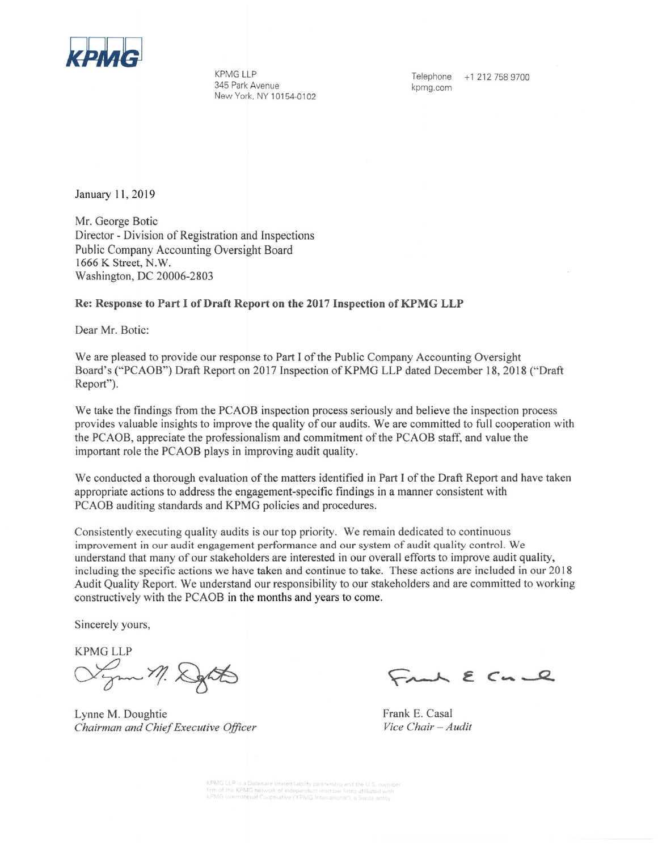

**KPMG LLP** 345 Park Avenue New York, NY 10154-0102

Telephone +1 212 758 9700 kpmg.com

January 11, 2019

Mr. George Botic Director - Division of Registration and Inspections Public Company Accounting Oversight Board 1666 K Street, N.W. Washington, DC 20006-2803

#### Re: Response to Part I of Draft Report on the 2017 Inspection of KPMG LLP

Dear Mr. Botic:

We are pleased to provide our response to Part I of the Public Company Accounting Oversight Board's ("PCAOB") Draft Report on 2017 Inspection of KPMG LLP dated December 18, 2018 ("Draft Report").

We take the findings from the PCAOB inspection process seriously and believe the inspection process provides valuable insights to improve the quality of our audits. We are committed to full cooperation with the PCAOB, appreciate the professionalism and commitment of the PCAOB staff, and value the important role the PCAOB plays in improving audit quality.

We conducted a thorough evaluation of the matters identified in Part I of the Draft Report and have taken appropriate actions to address the engagement-specific findings in a manner consistent with PCAOB auditing standards and KPMG policies and procedures.

Consistently executing quality audits is our top priority. We remain dedicated to continuous improvement in our audit engagement performance and our system of audit quality control. We understand that many of our stakeholders are interested in our overall efforts to improve audit quality, including the specific actions we have taken and continue to take. These actions are included in our 2018 Audit Quality Report. We understand our responsibility to our stakeholders and are committed to working constructively with the PCAOB in the months and years to come.

Sincerely yours,

**KPMG LLP** Lynn M. Depth

Lynne M. Doughtie Chairman and Chief Executive Officer

Frank E Cu e

Frank E. Casal Vice Chair - Audit

KPMG LLP is a Delaware limited liability partnership and the U.S. member<br>firm of the KPMG network of independent member firms affiliated with<br>KPMG International Cooperative ("KPMG International"), a Swiss entity.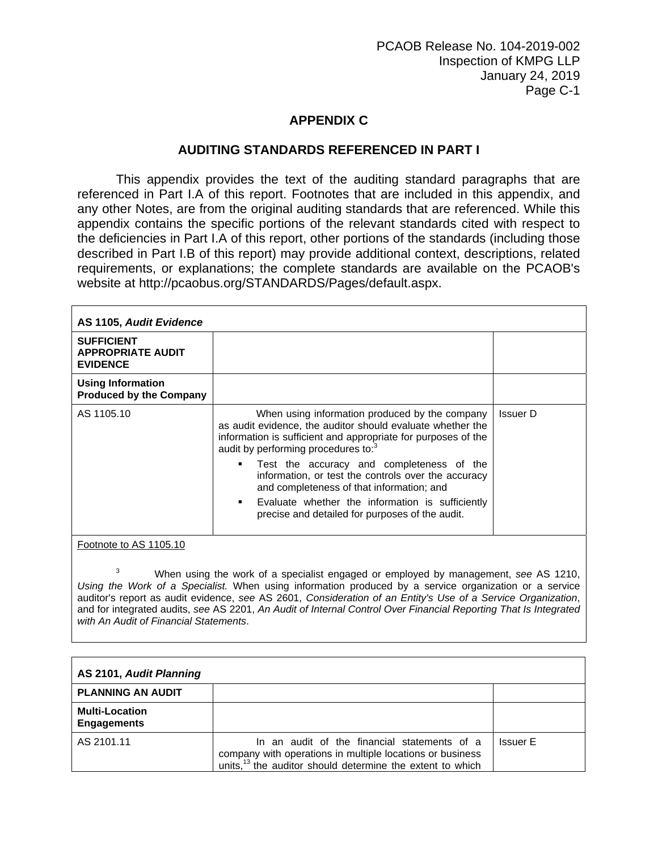# **APPENDIX C**

# **AUDITING STANDARDS REFERENCED IN PART I**

This appendix provides the text of the auditing standard paragraphs that are referenced in Part I.A of this report. Footnotes that are included in this appendix, and any other Notes, are from the original auditing standards that are referenced. While this appendix contains the specific portions of the relevant standards cited with respect to the deficiencies in Part I.A of this report, other portions of the standards (including those described in Part I.B of this report) may provide additional context, descriptions, related requirements, or explanations; the complete standards are available on the PCAOB's website at http://pcaobus.org/STANDARDS/Pages/default.aspx.

| AS 1105, Audit Evidence<br><b>SUFFICIENT</b><br><b>APPROPRIATE AUDIT</b><br><b>EVIDENCE</b> |                                                                                                                                                                                                                                                                                                                                                                                                                                                                                                               |                 |
|---------------------------------------------------------------------------------------------|---------------------------------------------------------------------------------------------------------------------------------------------------------------------------------------------------------------------------------------------------------------------------------------------------------------------------------------------------------------------------------------------------------------------------------------------------------------------------------------------------------------|-----------------|
|                                                                                             |                                                                                                                                                                                                                                                                                                                                                                                                                                                                                                               |                 |
| <b>Using Information</b><br><b>Produced by the Company</b>                                  |                                                                                                                                                                                                                                                                                                                                                                                                                                                                                                               |                 |
| AS 1105.10                                                                                  | When using information produced by the company<br>as audit evidence, the auditor should evaluate whether the<br>information is sufficient and appropriate for purposes of the<br>audit by performing procedures to: <sup>3</sup><br>Test the accuracy and completeness of the<br>٠<br>information, or test the controls over the accuracy<br>and completeness of that information; and<br>Evaluate whether the information is sufficiently<br>$\mathbf{r}$<br>precise and detailed for purposes of the audit. | <b>Issuer D</b> |
| Footnote to AS 1105.10                                                                      |                                                                                                                                                                                                                                                                                                                                                                                                                                                                                                               |                 |

3 When using the work of a specialist engaged or employed by management, *see* AS 1210, *Using the Work of a Specialist.* When using information produced by a service organization or a service auditor's report as audit evidence, *see* AS 2601, *Consideration of an Entity's Use of a Service Organization*, and for integrated audits, *see* AS 2201, *An Audit of Internal Control Over Financial Reporting That Is Integrated with An Audit of Financial Statements*.

| AS 2101, Audit Planning                     |                                                                                                                                                                                    |                 |
|---------------------------------------------|------------------------------------------------------------------------------------------------------------------------------------------------------------------------------------|-----------------|
| <b>PLANNING AN AUDIT</b>                    |                                                                                                                                                                                    |                 |
| <b>Multi-Location</b><br><b>Engagements</b> |                                                                                                                                                                                    |                 |
| AS 2101.11                                  | In an audit of the financial statements of a<br>company with operations in multiple locations or business<br>units, <sup>13</sup> the auditor should determine the extent to which | <b>Issuer E</b> |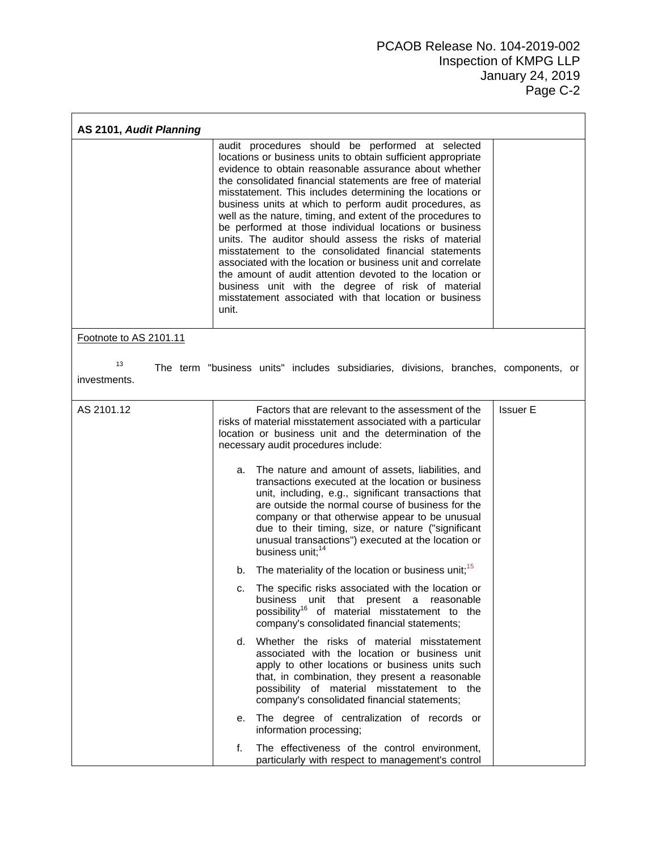| AS 2101, Audit Planning |       |                                                                                                                                                                                                                                                                                                                                                                                                                                                                                                                                                                                                                                                                                                                                                                                                                                                      |                 |
|-------------------------|-------|------------------------------------------------------------------------------------------------------------------------------------------------------------------------------------------------------------------------------------------------------------------------------------------------------------------------------------------------------------------------------------------------------------------------------------------------------------------------------------------------------------------------------------------------------------------------------------------------------------------------------------------------------------------------------------------------------------------------------------------------------------------------------------------------------------------------------------------------------|-----------------|
|                         | unit. | audit procedures should be performed at selected<br>locations or business units to obtain sufficient appropriate<br>evidence to obtain reasonable assurance about whether<br>the consolidated financial statements are free of material<br>misstatement. This includes determining the locations or<br>business units at which to perform audit procedures, as<br>well as the nature, timing, and extent of the procedures to<br>be performed at those individual locations or business<br>units. The auditor should assess the risks of material<br>misstatement to the consolidated financial statements<br>associated with the location or business unit and correlate<br>the amount of audit attention devoted to the location or<br>business unit with the degree of risk of material<br>misstatement associated with that location or business |                 |
| Footnote to AS 2101.11  |       |                                                                                                                                                                                                                                                                                                                                                                                                                                                                                                                                                                                                                                                                                                                                                                                                                                                      |                 |
| 13<br>investments.      |       | The term "business units" includes subsidiaries, divisions, branches, components, or                                                                                                                                                                                                                                                                                                                                                                                                                                                                                                                                                                                                                                                                                                                                                                 |                 |
| AS 2101.12              |       | Factors that are relevant to the assessment of the<br>risks of material misstatement associated with a particular<br>location or business unit and the determination of the<br>necessary audit procedures include:                                                                                                                                                                                                                                                                                                                                                                                                                                                                                                                                                                                                                                   | <b>Issuer E</b> |
|                         | а.    | The nature and amount of assets, liabilities, and<br>transactions executed at the location or business<br>unit, including, e.g., significant transactions that<br>are outside the normal course of business for the<br>company or that otherwise appear to be unusual<br>due to their timing, size, or nature ("significant<br>unusual transactions") executed at the location or<br>business unit; <sup>14</sup>                                                                                                                                                                                                                                                                                                                                                                                                                                    |                 |
|                         | b.    | The materiality of the location or business unit; <sup>15</sup>                                                                                                                                                                                                                                                                                                                                                                                                                                                                                                                                                                                                                                                                                                                                                                                      |                 |
|                         | c.    | The specific risks associated with the location or<br>business unit that present a reasonable<br>possibility <sup>16</sup> of material misstatement to the<br>company's consolidated financial statements;                                                                                                                                                                                                                                                                                                                                                                                                                                                                                                                                                                                                                                           |                 |
|                         |       | d. Whether the risks of material misstatement<br>associated with the location or business unit<br>apply to other locations or business units such<br>that, in combination, they present a reasonable<br>possibility of material misstatement to the<br>company's consolidated financial statements;                                                                                                                                                                                                                                                                                                                                                                                                                                                                                                                                                  |                 |
|                         | е.    | The degree of centralization of records or<br>information processing;                                                                                                                                                                                                                                                                                                                                                                                                                                                                                                                                                                                                                                                                                                                                                                                |                 |
|                         | f.    | The effectiveness of the control environment,<br>particularly with respect to management's control                                                                                                                                                                                                                                                                                                                                                                                                                                                                                                                                                                                                                                                                                                                                                   |                 |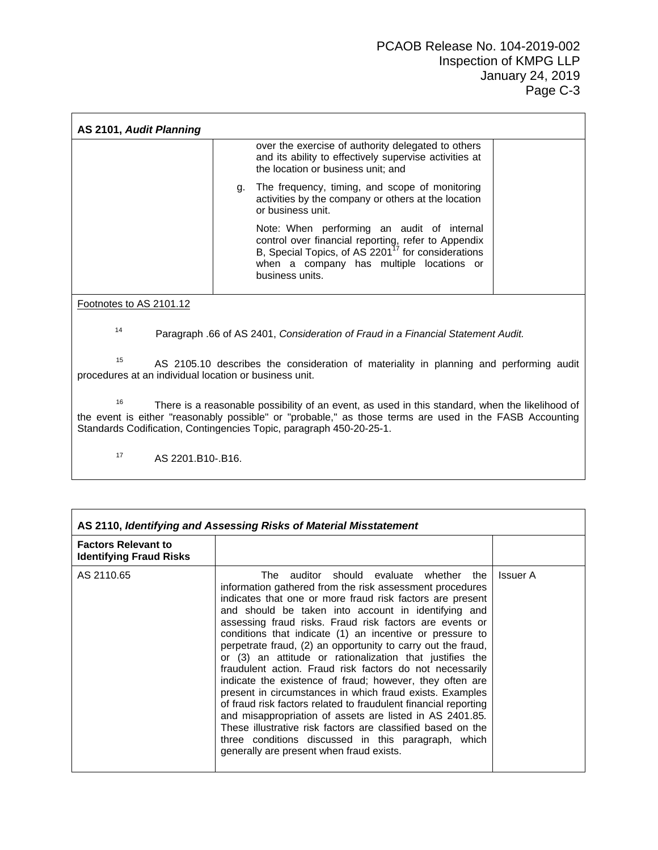| AS 2101, Audit Planning |                                                                                                                                                                                                                                    |  |  |
|-------------------------|------------------------------------------------------------------------------------------------------------------------------------------------------------------------------------------------------------------------------------|--|--|
|                         | over the exercise of authority delegated to others<br>and its ability to effectively supervise activities at<br>the location or business unit; and                                                                                 |  |  |
| g.                      | The frequency, timing, and scope of monitoring<br>activities by the company or others at the location<br>or business unit.                                                                                                         |  |  |
|                         | Note: When performing an audit of internal<br>control over financial reporting, refer to Appendix<br>B, Special Topics, of AS 2201 <sup>17</sup> for considerations<br>when a company has multiple locations or<br>business units. |  |  |
| Footnotes to AS 2101.12 |                                                                                                                                                                                                                                    |  |  |

14 Paragraph .66 of AS 2401, *Consideration of Fraud in a Financial Statement Audit.* 

<sup>15</sup> AS 2105.10 describes the consideration of materiality in planning and performing audit procedures at an individual location or business unit.

<sup>16</sup> There is a reasonable possibility of an event, as used in this standard, when the likelihood of the event is either "reasonably possible" or "probable," as those terms are used in the FASB Accounting Standards Codification, Contingencies Topic, paragraph 450-20-25-1.

17 AS 2201.B10-.B16.

| AS 2110, Identifying and Assessing Risks of Material Misstatement |                                                                                                                                                                                                                                                                                                                                                                                                                                                                                                                                                                                                                                                                                                                                                                                                                                                                                                                                                                 |          |  |
|-------------------------------------------------------------------|-----------------------------------------------------------------------------------------------------------------------------------------------------------------------------------------------------------------------------------------------------------------------------------------------------------------------------------------------------------------------------------------------------------------------------------------------------------------------------------------------------------------------------------------------------------------------------------------------------------------------------------------------------------------------------------------------------------------------------------------------------------------------------------------------------------------------------------------------------------------------------------------------------------------------------------------------------------------|----------|--|
| <b>Factors Relevant to</b><br><b>Identifying Fraud Risks</b>      |                                                                                                                                                                                                                                                                                                                                                                                                                                                                                                                                                                                                                                                                                                                                                                                                                                                                                                                                                                 |          |  |
| AS 2110.65                                                        | The auditor should evaluate whether the<br>information gathered from the risk assessment procedures<br>indicates that one or more fraud risk factors are present<br>and should be taken into account in identifying and<br>assessing fraud risks. Fraud risk factors are events or<br>conditions that indicate (1) an incentive or pressure to<br>perpetrate fraud, (2) an opportunity to carry out the fraud,<br>or (3) an attitude or rationalization that justifies the<br>fraudulent action. Fraud risk factors do not necessarily<br>indicate the existence of fraud; however, they often are<br>present in circumstances in which fraud exists. Examples<br>of fraud risk factors related to fraudulent financial reporting<br>and misappropriation of assets are listed in AS 2401.85.<br>These illustrative risk factors are classified based on the<br>three conditions discussed in this paragraph, which<br>generally are present when fraud exists. | Issuer A |  |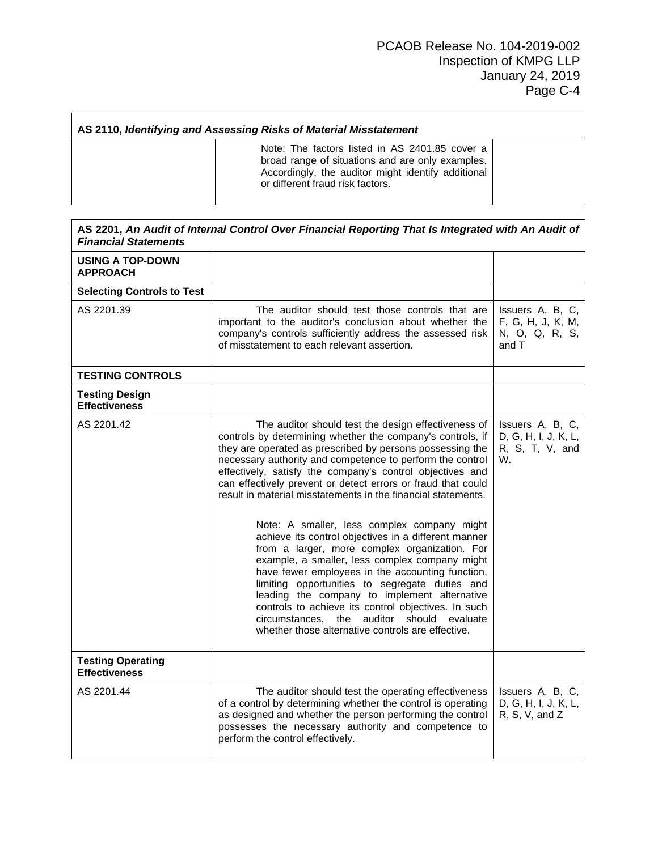| AS 2110, Identifying and Assessing Risks of Material Misstatement |                                                                                                                                                                                              |  |  |
|-------------------------------------------------------------------|----------------------------------------------------------------------------------------------------------------------------------------------------------------------------------------------|--|--|
|                                                                   | Note: The factors listed in AS 2401.85 cover a<br>broad range of situations and are only examples.<br>Accordingly, the auditor might identify additional<br>or different fraud risk factors. |  |  |

Г

| AS 2201, An Audit of Internal Control Over Financial Reporting That Is Integrated with An Audit of<br><b>Financial Statements</b> |                                                                                                                                                                                                                                                                                                                                                                                                                                                                                                                                                                                                                                                                                                                                                                                                                                                                                                                                                                           |                                                                   |  |
|-----------------------------------------------------------------------------------------------------------------------------------|---------------------------------------------------------------------------------------------------------------------------------------------------------------------------------------------------------------------------------------------------------------------------------------------------------------------------------------------------------------------------------------------------------------------------------------------------------------------------------------------------------------------------------------------------------------------------------------------------------------------------------------------------------------------------------------------------------------------------------------------------------------------------------------------------------------------------------------------------------------------------------------------------------------------------------------------------------------------------|-------------------------------------------------------------------|--|
| <b>USING A TOP-DOWN</b><br><b>APPROACH</b>                                                                                        |                                                                                                                                                                                                                                                                                                                                                                                                                                                                                                                                                                                                                                                                                                                                                                                                                                                                                                                                                                           |                                                                   |  |
| <b>Selecting Controls to Test</b>                                                                                                 |                                                                                                                                                                                                                                                                                                                                                                                                                                                                                                                                                                                                                                                                                                                                                                                                                                                                                                                                                                           |                                                                   |  |
| AS 2201.39                                                                                                                        | The auditor should test those controls that are<br>important to the auditor's conclusion about whether the<br>company's controls sufficiently address the assessed risk<br>of misstatement to each relevant assertion.                                                                                                                                                                                                                                                                                                                                                                                                                                                                                                                                                                                                                                                                                                                                                    | Issuers A, B, C,<br>F, G, H, J, K, M,<br>N, O, Q, R, S,<br>and T  |  |
| <b>TESTING CONTROLS</b>                                                                                                           |                                                                                                                                                                                                                                                                                                                                                                                                                                                                                                                                                                                                                                                                                                                                                                                                                                                                                                                                                                           |                                                                   |  |
| <b>Testing Design</b><br><b>Effectiveness</b>                                                                                     |                                                                                                                                                                                                                                                                                                                                                                                                                                                                                                                                                                                                                                                                                                                                                                                                                                                                                                                                                                           |                                                                   |  |
| AS 2201.42                                                                                                                        | The auditor should test the design effectiveness of<br>controls by determining whether the company's controls, if<br>they are operated as prescribed by persons possessing the<br>necessary authority and competence to perform the control<br>effectively, satisfy the company's control objectives and<br>can effectively prevent or detect errors or fraud that could<br>result in material misstatements in the financial statements.<br>Note: A smaller, less complex company might<br>achieve its control objectives in a different manner<br>from a larger, more complex organization. For<br>example, a smaller, less complex company might<br>have fewer employees in the accounting function,<br>limiting opportunities to segregate duties and<br>leading the company to implement alternative<br>controls to achieve its control objectives. In such<br>the auditor<br>should evaluate<br>circumstances.<br>whether those alternative controls are effective. | Issuers A, B, C,<br>D, G, H, I, J, K, L,<br>R, S, T, V, and<br>W. |  |
| <b>Testing Operating</b><br><b>Effectiveness</b>                                                                                  |                                                                                                                                                                                                                                                                                                                                                                                                                                                                                                                                                                                                                                                                                                                                                                                                                                                                                                                                                                           |                                                                   |  |
| AS 2201.44                                                                                                                        | The auditor should test the operating effectiveness<br>of a control by determining whether the control is operating<br>as designed and whether the person performing the control<br>possesses the necessary authority and competence to<br>perform the control effectively.                                                                                                                                                                                                                                                                                                                                                                                                                                                                                                                                                                                                                                                                                               | Issuers A, B, C,<br>D, G, H, I, J, K, L,<br>R, S, V, and Z        |  |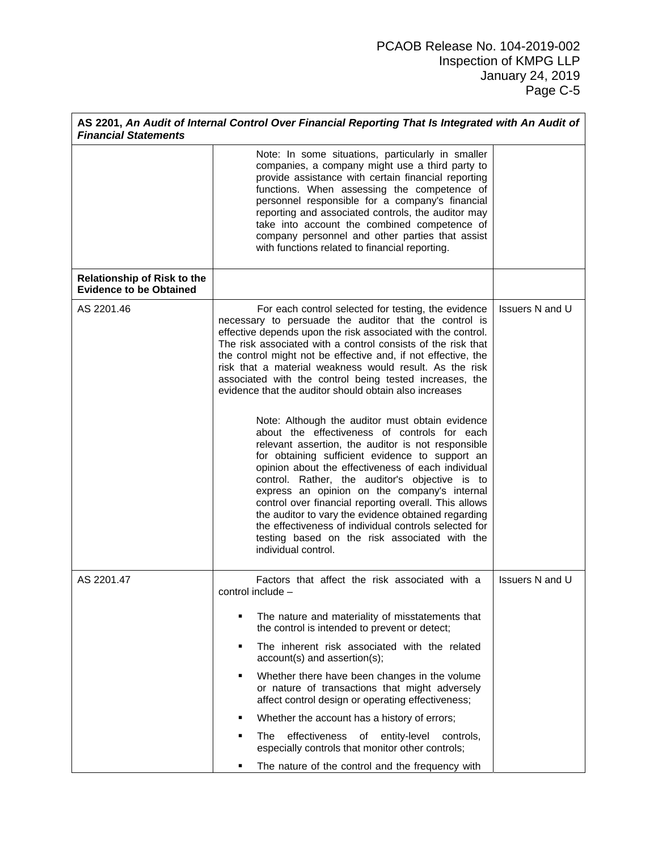| <b>Financial Statements</b>                                          | AS 2201, An Audit of Internal Control Over Financial Reporting That Is Integrated with An Audit of                                                                                                                                                                                                                                                                                                                                                                                                                                                                                                                |                        |
|----------------------------------------------------------------------|-------------------------------------------------------------------------------------------------------------------------------------------------------------------------------------------------------------------------------------------------------------------------------------------------------------------------------------------------------------------------------------------------------------------------------------------------------------------------------------------------------------------------------------------------------------------------------------------------------------------|------------------------|
|                                                                      | Note: In some situations, particularly in smaller<br>companies, a company might use a third party to<br>provide assistance with certain financial reporting<br>functions. When assessing the competence of<br>personnel responsible for a company's financial<br>reporting and associated controls, the auditor may<br>take into account the combined competence of<br>company personnel and other parties that assist<br>with functions related to financial reporting.                                                                                                                                          |                        |
| <b>Relationship of Risk to the</b><br><b>Evidence to be Obtained</b> |                                                                                                                                                                                                                                                                                                                                                                                                                                                                                                                                                                                                                   |                        |
| AS 2201.46                                                           | For each control selected for testing, the evidence<br>necessary to persuade the auditor that the control is<br>effective depends upon the risk associated with the control.<br>The risk associated with a control consists of the risk that<br>the control might not be effective and, if not effective, the<br>risk that a material weakness would result. As the risk<br>associated with the control being tested increases, the<br>evidence that the auditor should obtain also increases                                                                                                                     | <b>Issuers N and U</b> |
|                                                                      | Note: Although the auditor must obtain evidence<br>about the effectiveness of controls for each<br>relevant assertion, the auditor is not responsible<br>for obtaining sufficient evidence to support an<br>opinion about the effectiveness of each individual<br>control. Rather, the auditor's objective is to<br>express an opinion on the company's internal<br>control over financial reporting overall. This allows<br>the auditor to vary the evidence obtained regarding<br>the effectiveness of individual controls selected for<br>testing based on the risk associated with the<br>individual control. |                        |
| AS 2201.47                                                           | Factors that affect the risk associated with a<br>control include -                                                                                                                                                                                                                                                                                                                                                                                                                                                                                                                                               | <b>Issuers N and U</b> |
|                                                                      | The nature and materiality of misstatements that<br>п<br>the control is intended to prevent or detect;                                                                                                                                                                                                                                                                                                                                                                                                                                                                                                            |                        |
|                                                                      | The inherent risk associated with the related<br>Ξ<br>account(s) and assertion(s);                                                                                                                                                                                                                                                                                                                                                                                                                                                                                                                                |                        |
|                                                                      | Whether there have been changes in the volume<br>٠<br>or nature of transactions that might adversely<br>affect control design or operating effectiveness;                                                                                                                                                                                                                                                                                                                                                                                                                                                         |                        |
|                                                                      | Whether the account has a history of errors;<br>٠                                                                                                                                                                                                                                                                                                                                                                                                                                                                                                                                                                 |                        |
|                                                                      | effectiveness<br>of<br>entity-level<br>controls,<br>٠<br>The<br>especially controls that monitor other controls;                                                                                                                                                                                                                                                                                                                                                                                                                                                                                                  |                        |
|                                                                      | The nature of the control and the frequency with<br>٠                                                                                                                                                                                                                                                                                                                                                                                                                                                                                                                                                             |                        |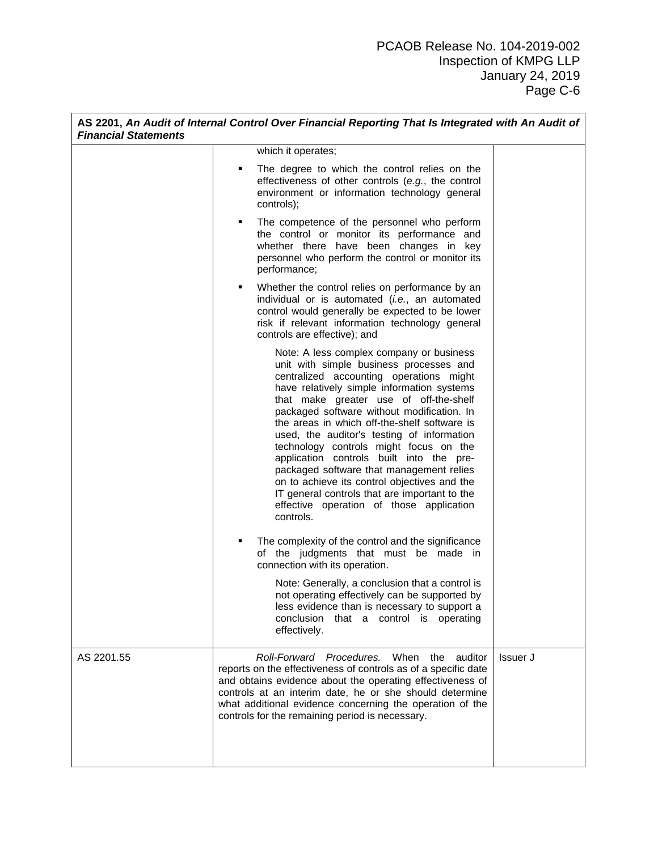| <b>Financial Statements</b> |   | AS 2201, An Audit of Internal Control Over Financial Reporting That Is Integrated with An Audit of                                                                                                                                                                                                                                                                                                                                                                                                                                                                                                                                                             |          |
|-----------------------------|---|----------------------------------------------------------------------------------------------------------------------------------------------------------------------------------------------------------------------------------------------------------------------------------------------------------------------------------------------------------------------------------------------------------------------------------------------------------------------------------------------------------------------------------------------------------------------------------------------------------------------------------------------------------------|----------|
|                             |   | which it operates;                                                                                                                                                                                                                                                                                                                                                                                                                                                                                                                                                                                                                                             |          |
|                             | ٠ | The degree to which the control relies on the<br>effectiveness of other controls (e.g., the control<br>environment or information technology general<br>controls);                                                                                                                                                                                                                                                                                                                                                                                                                                                                                             |          |
|                             | ٠ | The competence of the personnel who perform<br>the control or monitor its performance and<br>whether there have been changes in key<br>personnel who perform the control or monitor its<br>performance;                                                                                                                                                                                                                                                                                                                                                                                                                                                        |          |
|                             | ٠ | Whether the control relies on performance by an<br>individual or is automated (i.e., an automated<br>control would generally be expected to be lower<br>risk if relevant information technology general<br>controls are effective); and                                                                                                                                                                                                                                                                                                                                                                                                                        |          |
|                             |   | Note: A less complex company or business<br>unit with simple business processes and<br>centralized accounting operations might<br>have relatively simple information systems<br>that make greater use of off-the-shelf<br>packaged software without modification. In<br>the areas in which off-the-shelf software is<br>used, the auditor's testing of information<br>technology controls might focus on the<br>application controls built into the pre-<br>packaged software that management relies<br>on to achieve its control objectives and the<br>IT general controls that are important to the<br>effective operation of those application<br>controls. |          |
|                             | ٠ | The complexity of the control and the significance<br>of the judgments that must be made in<br>connection with its operation.                                                                                                                                                                                                                                                                                                                                                                                                                                                                                                                                  |          |
|                             |   | Note: Generally, a conclusion that a control is<br>not operating effectively can be supported by<br>less evidence than is necessary to support a<br>conclusion<br>that a control is operating<br>effectively.                                                                                                                                                                                                                                                                                                                                                                                                                                                  |          |
| AS 2201.55                  |   | Roll-Forward Procedures. When the<br>auditor<br>reports on the effectiveness of controls as of a specific date<br>and obtains evidence about the operating effectiveness of<br>controls at an interim date, he or she should determine<br>what additional evidence concerning the operation of the<br>controls for the remaining period is necessary.                                                                                                                                                                                                                                                                                                          | Issuer J |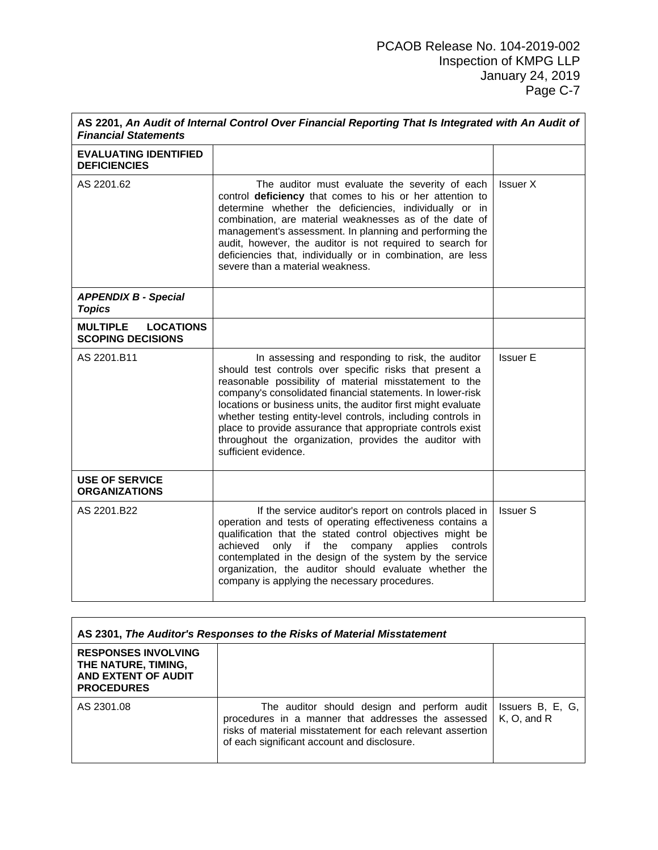| AS 2201, An Audit of Internal Control Over Financial Reporting That Is Integrated with An Audit of<br><b>Financial Statements</b> |                                                                                                                                                                                                                                                                                                                                                                                                                                                                                                                      |                 |  |
|-----------------------------------------------------------------------------------------------------------------------------------|----------------------------------------------------------------------------------------------------------------------------------------------------------------------------------------------------------------------------------------------------------------------------------------------------------------------------------------------------------------------------------------------------------------------------------------------------------------------------------------------------------------------|-----------------|--|
| <b>EVALUATING IDENTIFIED</b><br><b>DEFICIENCIES</b>                                                                               |                                                                                                                                                                                                                                                                                                                                                                                                                                                                                                                      |                 |  |
| AS 2201.62                                                                                                                        | The auditor must evaluate the severity of each<br>control deficiency that comes to his or her attention to<br>determine whether the deficiencies, individually or in<br>combination, are material weaknesses as of the date of<br>management's assessment. In planning and performing the<br>audit, however, the auditor is not required to search for<br>deficiencies that, individually or in combination, are less<br>severe than a material weakness.                                                            | Issuer X        |  |
| <b>APPENDIX B - Special</b><br><b>Topics</b>                                                                                      |                                                                                                                                                                                                                                                                                                                                                                                                                                                                                                                      |                 |  |
| <b>MULTIPLE</b><br><b>LOCATIONS</b><br><b>SCOPING DECISIONS</b>                                                                   |                                                                                                                                                                                                                                                                                                                                                                                                                                                                                                                      |                 |  |
| AS 2201.B11                                                                                                                       | In assessing and responding to risk, the auditor<br>should test controls over specific risks that present a<br>reasonable possibility of material misstatement to the<br>company's consolidated financial statements. In lower-risk<br>locations or business units, the auditor first might evaluate<br>whether testing entity-level controls, including controls in<br>place to provide assurance that appropriate controls exist<br>throughout the organization, provides the auditor with<br>sufficient evidence. | <b>Issuer E</b> |  |
| <b>USE OF SERVICE</b><br><b>ORGANIZATIONS</b>                                                                                     |                                                                                                                                                                                                                                                                                                                                                                                                                                                                                                                      |                 |  |
| AS 2201.B22                                                                                                                       | If the service auditor's report on controls placed in<br>operation and tests of operating effectiveness contains a<br>qualification that the stated control objectives might be<br>achieved<br>company<br>only<br>if<br>the<br>applies<br>controls<br>contemplated in the design of the system by the service<br>organization, the auditor should evaluate whether the<br>company is applying the necessary procedures.                                                                                              | <b>Issuer S</b> |  |

| AS 2301, The Auditor's Responses to the Risks of Material Misstatement                        |                                                                                                                                                                                                                |                                  |
|-----------------------------------------------------------------------------------------------|----------------------------------------------------------------------------------------------------------------------------------------------------------------------------------------------------------------|----------------------------------|
| <b>RESPONSES INVOLVING</b><br>THE NATURE, TIMING,<br>AND EXTENT OF AUDIT<br><b>PROCEDURES</b> |                                                                                                                                                                                                                |                                  |
| AS 2301.08                                                                                    | The auditor should design and perform audit<br>procedures in a manner that addresses the assessed<br>risks of material misstatement for each relevant assertion<br>of each significant account and disclosure. | Issuers B, E, G,<br>K. O. and R. |

<u> 1989 - Johann Barn, mars eta bat erroman erroman erroman erroman erroman erroman erroman erroman erroman err</u>

 $\mathbf{r}$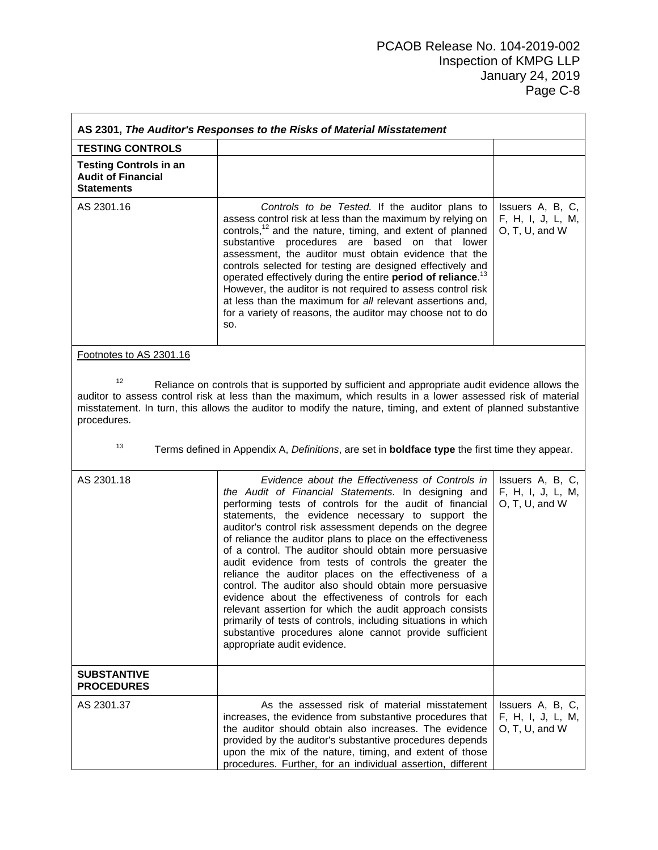| AS 2301, The Auditor's Responses to the Risks of Material Misstatement          |                                                                                                                                                                                                                                                                                                                                                                                                                                                                                                                                                                                                                                                                                                                                                                                                                                                                         |                                                         |  |
|---------------------------------------------------------------------------------|-------------------------------------------------------------------------------------------------------------------------------------------------------------------------------------------------------------------------------------------------------------------------------------------------------------------------------------------------------------------------------------------------------------------------------------------------------------------------------------------------------------------------------------------------------------------------------------------------------------------------------------------------------------------------------------------------------------------------------------------------------------------------------------------------------------------------------------------------------------------------|---------------------------------------------------------|--|
| <b>TESTING CONTROLS</b>                                                         |                                                                                                                                                                                                                                                                                                                                                                                                                                                                                                                                                                                                                                                                                                                                                                                                                                                                         |                                                         |  |
| <b>Testing Controls in an</b><br><b>Audit of Financial</b><br><b>Statements</b> |                                                                                                                                                                                                                                                                                                                                                                                                                                                                                                                                                                                                                                                                                                                                                                                                                                                                         |                                                         |  |
| AS 2301.16                                                                      | Controls to be Tested. If the auditor plans to<br>assess control risk at less than the maximum by relying on<br>controls, <sup>12</sup> and the nature, timing, and extent of planned<br>substantive procedures are based on that lower<br>assessment, the auditor must obtain evidence that the<br>controls selected for testing are designed effectively and<br>operated effectively during the entire period of reliance. <sup>13</sup><br>However, the auditor is not required to assess control risk<br>at less than the maximum for all relevant assertions and,<br>for a variety of reasons, the auditor may choose not to do<br>SO.                                                                                                                                                                                                                             | Issuers A, B, C,<br>F, H, I, J, L, M,<br>O, T, U, and W |  |
| Footnotes to AS 2301.16                                                         |                                                                                                                                                                                                                                                                                                                                                                                                                                                                                                                                                                                                                                                                                                                                                                                                                                                                         |                                                         |  |
| 12<br>procedures.<br>13                                                         | Reliance on controls that is supported by sufficient and appropriate audit evidence allows the<br>auditor to assess control risk at less than the maximum, which results in a lower assessed risk of material<br>misstatement. In turn, this allows the auditor to modify the nature, timing, and extent of planned substantive<br>Terms defined in Appendix A, Definitions, are set in <b>boldface type</b> the first time they appear.                                                                                                                                                                                                                                                                                                                                                                                                                                |                                                         |  |
| AS 2301.18                                                                      | Evidence about the Effectiveness of Controls in<br>the Audit of Financial Statements. In designing and<br>performing tests of controls for the audit of financial<br>statements, the evidence necessary to support the<br>auditor's control risk assessment depends on the degree<br>of reliance the auditor plans to place on the effectiveness<br>of a control. The auditor should obtain more persuasive<br>audit evidence from tests of controls the greater the<br>reliance the auditor places on the effectiveness of a<br>control. The auditor also should obtain more persuasive<br>evidence about the effectiveness of controls for each<br>relevant assertion for which the audit approach consists<br>primarily of tests of controls, including situations in which<br>substantive procedures alone cannot provide sufficient<br>appropriate audit evidence. | Issuers A, B, C,<br>F, H, I, J, L, M,<br>O, T, U, and W |  |
| <b>SUBSTANTIVE</b><br><b>PROCEDURES</b>                                         |                                                                                                                                                                                                                                                                                                                                                                                                                                                                                                                                                                                                                                                                                                                                                                                                                                                                         |                                                         |  |
| AS 2301.37                                                                      | As the assessed risk of material misstatement<br>increases, the evidence from substantive procedures that<br>the auditor should obtain also increases. The evidence<br>provided by the auditor's substantive procedures depends<br>upon the mix of the nature, timing, and extent of those<br>procedures. Further, for an individual assertion, different                                                                                                                                                                                                                                                                                                                                                                                                                                                                                                               | Issuers A, B, C,<br>F, H, I, J, L, M,<br>O, T, U, and W |  |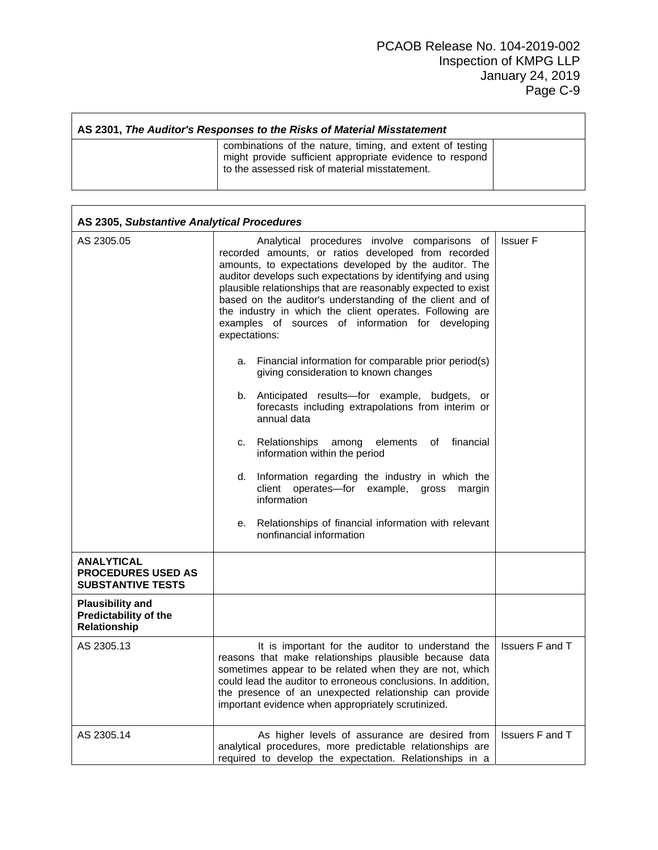| AS 2301, The Auditor's Responses to the Risks of Material Misstatement |                                                                                                                                                                         |  |
|------------------------------------------------------------------------|-------------------------------------------------------------------------------------------------------------------------------------------------------------------------|--|
|                                                                        | combinations of the nature, timing, and extent of testing<br>might provide sufficient appropriate evidence to respond<br>to the assessed risk of material misstatement. |  |

| AS 2305, Substantive Analytical Procedures                                 |                                                                                                                                                                                                                                                                                                                                                                                                                                                                                              |                        |
|----------------------------------------------------------------------------|----------------------------------------------------------------------------------------------------------------------------------------------------------------------------------------------------------------------------------------------------------------------------------------------------------------------------------------------------------------------------------------------------------------------------------------------------------------------------------------------|------------------------|
| AS 2305.05                                                                 | Analytical procedures involve comparisons of<br>recorded amounts, or ratios developed from recorded<br>amounts, to expectations developed by the auditor. The<br>auditor develops such expectations by identifying and using<br>plausible relationships that are reasonably expected to exist<br>based on the auditor's understanding of the client and of<br>the industry in which the client operates. Following are<br>examples of sources of information for developing<br>expectations: | <b>Issuer F</b>        |
|                                                                            | a. Financial information for comparable prior period(s)<br>giving consideration to known changes                                                                                                                                                                                                                                                                                                                                                                                             |                        |
|                                                                            | b. Anticipated results-for example, budgets, or<br>forecasts including extrapolations from interim or<br>annual data                                                                                                                                                                                                                                                                                                                                                                         |                        |
|                                                                            | financial<br>c. Relationships<br>among<br>elements<br>of l<br>information within the period                                                                                                                                                                                                                                                                                                                                                                                                  |                        |
|                                                                            | d. Information regarding the industry in which the<br>client operates-for example, gross<br>margin<br>information                                                                                                                                                                                                                                                                                                                                                                            |                        |
|                                                                            | e. Relationships of financial information with relevant<br>nonfinancial information                                                                                                                                                                                                                                                                                                                                                                                                          |                        |
| <b>ANALYTICAL</b><br><b>PROCEDURES USED AS</b><br><b>SUBSTANTIVE TESTS</b> |                                                                                                                                                                                                                                                                                                                                                                                                                                                                                              |                        |
| <b>Plausibility and</b><br>Predictability of the<br><b>Relationship</b>    |                                                                                                                                                                                                                                                                                                                                                                                                                                                                                              |                        |
| AS 2305.13                                                                 | It is important for the auditor to understand the<br>reasons that make relationships plausible because data<br>sometimes appear to be related when they are not, which<br>could lead the auditor to erroneous conclusions. In addition,<br>the presence of an unexpected relationship can provide<br>important evidence when appropriately scrutinized.                                                                                                                                      | <b>Issuers F and T</b> |
| AS 2305.14                                                                 | As higher levels of assurance are desired from<br>analytical procedures, more predictable relationships are<br>required to develop the expectation. Relationships in a                                                                                                                                                                                                                                                                                                                       | Issuers F and T        |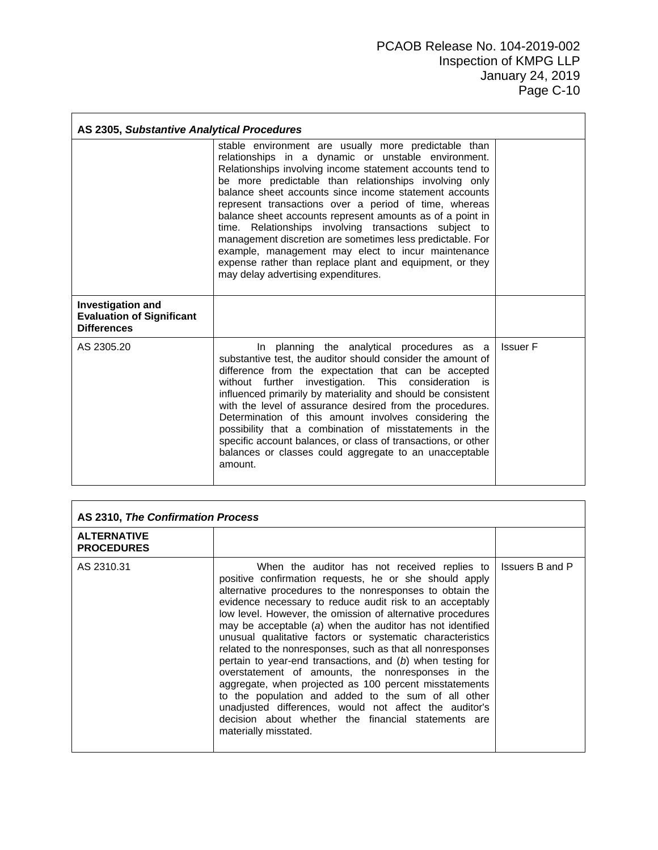| AS 2305, Substantive Analytical Procedures                                         |                                                                                                                                                                                                                                                                                                                                                                                                                                                                                                                                                                                                                                                                                                  |                 |
|------------------------------------------------------------------------------------|--------------------------------------------------------------------------------------------------------------------------------------------------------------------------------------------------------------------------------------------------------------------------------------------------------------------------------------------------------------------------------------------------------------------------------------------------------------------------------------------------------------------------------------------------------------------------------------------------------------------------------------------------------------------------------------------------|-----------------|
|                                                                                    | stable environment are usually more predictable than<br>relationships in a dynamic or unstable environment.<br>Relationships involving income statement accounts tend to<br>be more predictable than relationships involving only<br>balance sheet accounts since income statement accounts<br>represent transactions over a period of time, whereas<br>balance sheet accounts represent amounts as of a point in<br>time. Relationships involving transactions subject to<br>management discretion are sometimes less predictable. For<br>example, management may elect to incur maintenance<br>expense rather than replace plant and equipment, or they<br>may delay advertising expenditures. |                 |
| <b>Investigation and</b><br><b>Evaluation of Significant</b><br><b>Differences</b> |                                                                                                                                                                                                                                                                                                                                                                                                                                                                                                                                                                                                                                                                                                  |                 |
| AS 2305.20                                                                         | In planning the analytical procedures as a<br>substantive test, the auditor should consider the amount of<br>difference from the expectation that can be accepted<br>without further investigation. This consideration is<br>influenced primarily by materiality and should be consistent<br>with the level of assurance desired from the procedures.<br>Determination of this amount involves considering the<br>possibility that a combination of misstatements in the<br>specific account balances, or class of transactions, or other<br>balances or classes could aggregate to an unacceptable<br>amount.                                                                                   | <b>Issuer F</b> |

| AS 2310, The Confirmation Process       |                                                                                                                                                                                                                                                                                                                                                                                                                                                                                                                                                                                                                                                                                                                                                                                                                                                                    |                        |
|-----------------------------------------|--------------------------------------------------------------------------------------------------------------------------------------------------------------------------------------------------------------------------------------------------------------------------------------------------------------------------------------------------------------------------------------------------------------------------------------------------------------------------------------------------------------------------------------------------------------------------------------------------------------------------------------------------------------------------------------------------------------------------------------------------------------------------------------------------------------------------------------------------------------------|------------------------|
| <b>ALTERNATIVE</b><br><b>PROCEDURES</b> |                                                                                                                                                                                                                                                                                                                                                                                                                                                                                                                                                                                                                                                                                                                                                                                                                                                                    |                        |
| AS 2310.31                              | When the auditor has not received replies to<br>positive confirmation requests, he or she should apply<br>alternative procedures to the nonresponses to obtain the<br>evidence necessary to reduce audit risk to an acceptably<br>low level. However, the omission of alternative procedures<br>may be acceptable (a) when the auditor has not identified<br>unusual qualitative factors or systematic characteristics<br>related to the nonresponses, such as that all nonresponses<br>pertain to year-end transactions, and (b) when testing for<br>overstatement of amounts, the nonresponses in the<br>aggregate, when projected as 100 percent misstatements<br>to the population and added to the sum of all other<br>unadjusted differences, would not affect the auditor's<br>decision about whether the financial statements are<br>materially misstated. | <b>Issuers B and P</b> |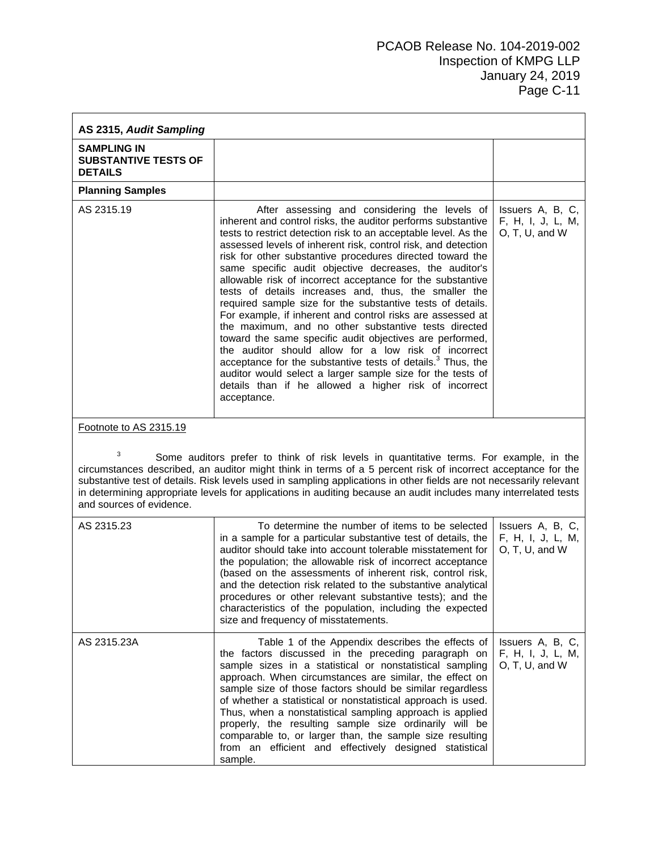| AS 2315, Audit Sampling                                             |                                                                                                                                                                                                                                                                                                                                                                                                                                                                                                                                                                                                                                                                                                                                                                                                                                                                                                                                                                                                                          |                                                           |
|---------------------------------------------------------------------|--------------------------------------------------------------------------------------------------------------------------------------------------------------------------------------------------------------------------------------------------------------------------------------------------------------------------------------------------------------------------------------------------------------------------------------------------------------------------------------------------------------------------------------------------------------------------------------------------------------------------------------------------------------------------------------------------------------------------------------------------------------------------------------------------------------------------------------------------------------------------------------------------------------------------------------------------------------------------------------------------------------------------|-----------------------------------------------------------|
| <b>SAMPLING IN</b><br><b>SUBSTANTIVE TESTS OF</b><br><b>DETAILS</b> |                                                                                                                                                                                                                                                                                                                                                                                                                                                                                                                                                                                                                                                                                                                                                                                                                                                                                                                                                                                                                          |                                                           |
| <b>Planning Samples</b>                                             |                                                                                                                                                                                                                                                                                                                                                                                                                                                                                                                                                                                                                                                                                                                                                                                                                                                                                                                                                                                                                          |                                                           |
| AS 2315.19                                                          | After assessing and considering the levels of<br>inherent and control risks, the auditor performs substantive<br>tests to restrict detection risk to an acceptable level. As the<br>assessed levels of inherent risk, control risk, and detection<br>risk for other substantive procedures directed toward the<br>same specific audit objective decreases, the auditor's<br>allowable risk of incorrect acceptance for the substantive<br>tests of details increases and, thus, the smaller the<br>required sample size for the substantive tests of details.<br>For example, if inherent and control risks are assessed at<br>the maximum, and no other substantive tests directed<br>toward the same specific audit objectives are performed,<br>the auditor should allow for a low risk of incorrect<br>acceptance for the substantive tests of details. <sup>3</sup> Thus, the<br>auditor would select a larger sample size for the tests of<br>details than if he allowed a higher risk of incorrect<br>acceptance. | Issuers A, B, C,<br>F, H, I, J, L, M,<br>O, T, U, and W   |
| Footnote to AS 2315.19<br>3<br>and sources of evidence.             | Some auditors prefer to think of risk levels in quantitative terms. For example, in the<br>circumstances described, an auditor might think in terms of a 5 percent risk of incorrect acceptance for the<br>substantive test of details. Risk levels used in sampling applications in other fields are not necessarily relevant<br>in determining appropriate levels for applications in auditing because an audit includes many interrelated tests                                                                                                                                                                                                                                                                                                                                                                                                                                                                                                                                                                       |                                                           |
| AS 2315.23                                                          | To determine the number of items to be selected<br>in a sample for a particular substantive test of details, the<br>auditor should take into account tolerable misstatement for<br>the population; the allowable risk of incorrect acceptance<br>(based on the assessments of inherent risk, control risk,<br>and the detection risk related to the substantive analytical<br>procedures or other relevant substantive tests); and the<br>characteristics of the population, including the expected<br>size and frequency of misstatements.                                                                                                                                                                                                                                                                                                                                                                                                                                                                              | Issuers A, B, C,<br>F, H, I, J, L, M,<br>O, T, U, and W   |
| AS 2315.23A                                                         | Table 1 of the Appendix describes the effects of<br>the factors discussed in the preceding paragraph on<br>sample sizes in a statistical or nonstatistical sampling<br>approach. When circumstances are similar, the effect on<br>sample size of those factors should be similar regardless<br>of whether a statistical or nonstatistical approach is used.<br>Thus, when a nonstatistical sampling approach is applied<br>properly, the resulting sample size ordinarily will be<br>comparable to, or larger than, the sample size resulting<br>from an efficient and effectively designed statistical<br>sample.                                                                                                                                                                                                                                                                                                                                                                                                       | Issuers A, B, C,<br>F, H, I, J, L, M,<br>$O, T, U,$ and W |

**r**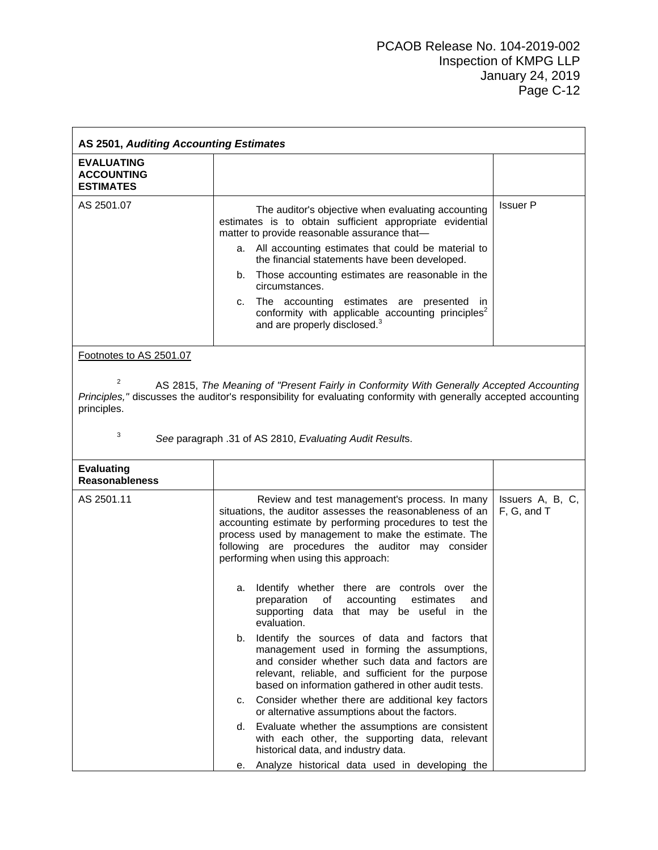| AS 2501, Auditing Accounting Estimates                     |                                                                                                                                                                                                                                                                                                                                                                                                                                                                                                                      |                                 |
|------------------------------------------------------------|----------------------------------------------------------------------------------------------------------------------------------------------------------------------------------------------------------------------------------------------------------------------------------------------------------------------------------------------------------------------------------------------------------------------------------------------------------------------------------------------------------------------|---------------------------------|
| <b>EVALUATING</b><br><b>ACCOUNTING</b><br><b>ESTIMATES</b> |                                                                                                                                                                                                                                                                                                                                                                                                                                                                                                                      |                                 |
| AS 2501.07<br>Footnotes to AS 2501.07                      | The auditor's objective when evaluating accounting<br>estimates is to obtain sufficient appropriate evidential<br>matter to provide reasonable assurance that-<br>a. All accounting estimates that could be material to<br>the financial statements have been developed.<br>Those accounting estimates are reasonable in the<br>b.<br>circumstances.<br>The accounting estimates are presented in<br>c.<br>conformity with applicable accounting principles <sup>2</sup><br>and are properly disclosed. <sup>3</sup> | <b>Issuer P</b>                 |
| $\overline{2}$<br>principles.<br>3                         | AS 2815, The Meaning of "Present Fairly in Conformity With Generally Accepted Accounting<br>Principles," discusses the auditor's responsibility for evaluating conformity with generally accepted accounting<br>See paragraph .31 of AS 2810, Evaluating Audit Results.                                                                                                                                                                                                                                              |                                 |
| <b>Evaluating</b><br><b>Reasonableness</b>                 |                                                                                                                                                                                                                                                                                                                                                                                                                                                                                                                      |                                 |
| AS 2501.11                                                 | Review and test management's process. In many<br>situations, the auditor assesses the reasonableness of an<br>accounting estimate by performing procedures to test the<br>process used by management to make the estimate. The<br>following are procedures the auditor may consider<br>performing when using this approach:                                                                                                                                                                                          | Issuers A, B, C,<br>F, G, and T |
|                                                            | Identify whether there are controls over the<br>а.<br>preparation of<br>accounting<br>estimates<br>and<br>supporting data that may be useful in the<br>evaluation.                                                                                                                                                                                                                                                                                                                                                   |                                 |
|                                                            | Identify the sources of data and factors that<br>b.<br>management used in forming the assumptions,<br>and consider whether such data and factors are<br>relevant, reliable, and sufficient for the purpose<br>based on information gathered in other audit tests.                                                                                                                                                                                                                                                    |                                 |
|                                                            | Consider whether there are additional key factors<br>c.<br>or alternative assumptions about the factors.                                                                                                                                                                                                                                                                                                                                                                                                             |                                 |
|                                                            | Evaluate whether the assumptions are consistent<br>d.<br>with each other, the supporting data, relevant<br>historical data, and industry data.                                                                                                                                                                                                                                                                                                                                                                       |                                 |
|                                                            | Analyze historical data used in developing the<br>е.                                                                                                                                                                                                                                                                                                                                                                                                                                                                 |                                 |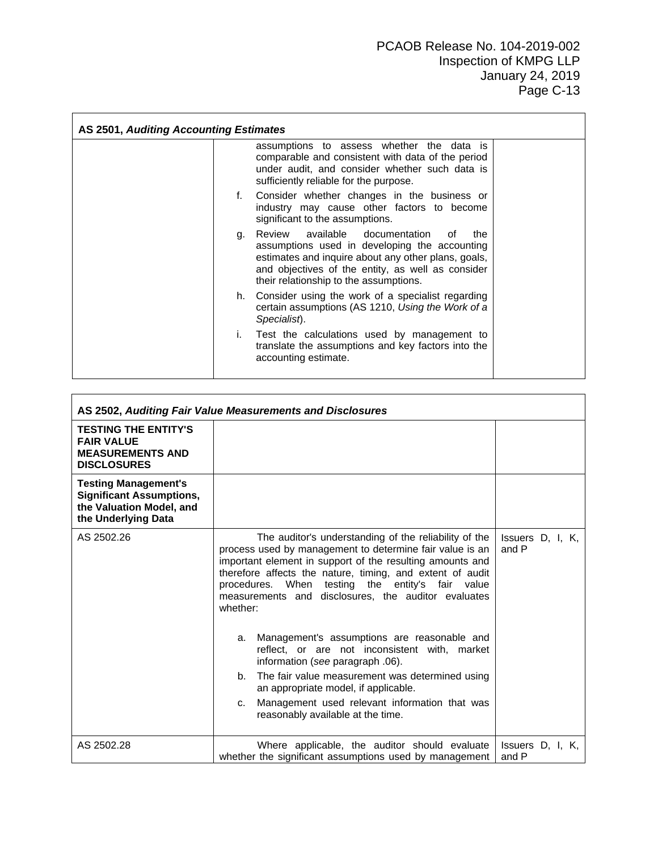h

|    | assumptions to assess whether the data is<br>comparable and consistent with data of the period<br>under audit, and consider whether such data is<br>sufficiently reliable for the purpose.                                                         |
|----|----------------------------------------------------------------------------------------------------------------------------------------------------------------------------------------------------------------------------------------------------|
|    | f. Consider whether changes in the business or<br>industry may cause other factors to become<br>significant to the assumptions.                                                                                                                    |
| q. | Review available documentation<br>the<br>∩f<br>assumptions used in developing the accounting<br>estimates and inquire about any other plans, goals,<br>and objectives of the entity, as well as consider<br>their relationship to the assumptions. |
|    | h. Consider using the work of a specialist regarding<br>certain assumptions (AS 1210, Using the Work of a<br>Specialist).                                                                                                                          |
| L. | Test the calculations used by management to<br>translate the assumptions and key factors into the<br>accounting estimate.                                                                                                                          |

|                                                                                                                   | AS 2502, Auditing Fair Value Measurements and Disclosures                                                                                                                                                                                                                                                                                                                                                                                                                                                                                                                                                                                                                                                 |                           |
|-------------------------------------------------------------------------------------------------------------------|-----------------------------------------------------------------------------------------------------------------------------------------------------------------------------------------------------------------------------------------------------------------------------------------------------------------------------------------------------------------------------------------------------------------------------------------------------------------------------------------------------------------------------------------------------------------------------------------------------------------------------------------------------------------------------------------------------------|---------------------------|
| <b>TESTING THE ENTITY'S</b><br><b>FAIR VALUE</b><br><b>MEASUREMENTS AND</b><br><b>DISCLOSURES</b>                 |                                                                                                                                                                                                                                                                                                                                                                                                                                                                                                                                                                                                                                                                                                           |                           |
| <b>Testing Management's</b><br><b>Significant Assumptions,</b><br>the Valuation Model, and<br>the Underlying Data |                                                                                                                                                                                                                                                                                                                                                                                                                                                                                                                                                                                                                                                                                                           |                           |
| AS 2502.26                                                                                                        | The auditor's understanding of the reliability of the<br>process used by management to determine fair value is an<br>important element in support of the resulting amounts and<br>therefore affects the nature, timing, and extent of audit<br>procedures. When testing the entity's fair value<br>measurements and disclosures, the auditor evaluates<br>whether:<br>Management's assumptions are reasonable and<br>a.<br>reflect, or are not inconsistent with, market<br>information (see paragraph .06).<br>The fair value measurement was determined using<br>b.<br>an appropriate model, if applicable.<br>Management used relevant information that was<br>C.<br>reasonably available at the time. | Issuers D, I, K,<br>and P |
| AS 2502.28                                                                                                        | Where applicable, the auditor should evaluate<br>whether the significant assumptions used by management                                                                                                                                                                                                                                                                                                                                                                                                                                                                                                                                                                                                   | Issuers D, I, K,<br>and P |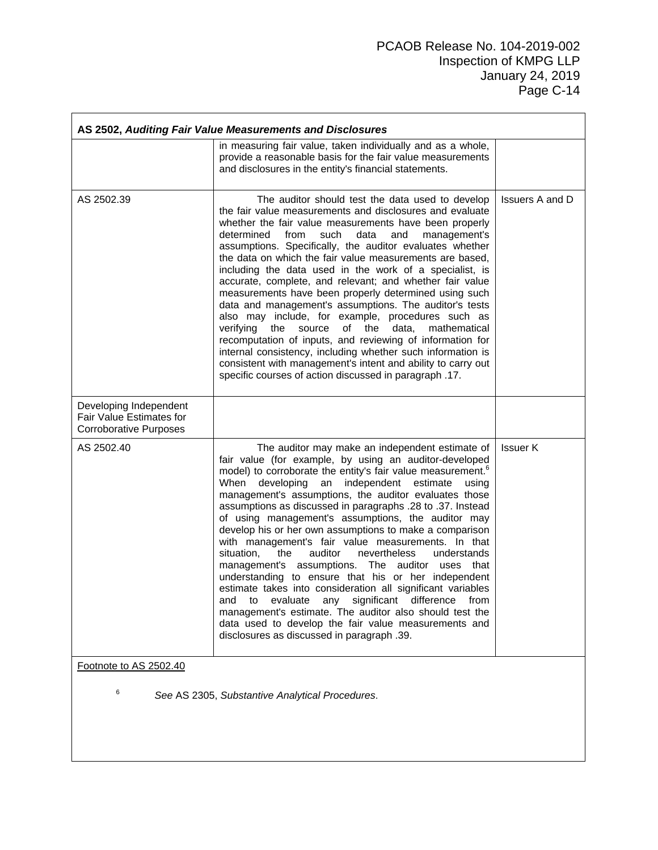|                                                                                     | AS 2502, Auditing Fair Value Measurements and Disclosures                                                                                                                                                                                                                                                                                                                                                                                                                                                                                                                                                                                                                                                                                                                                                                                                                                                                                                                                                                  |                        |
|-------------------------------------------------------------------------------------|----------------------------------------------------------------------------------------------------------------------------------------------------------------------------------------------------------------------------------------------------------------------------------------------------------------------------------------------------------------------------------------------------------------------------------------------------------------------------------------------------------------------------------------------------------------------------------------------------------------------------------------------------------------------------------------------------------------------------------------------------------------------------------------------------------------------------------------------------------------------------------------------------------------------------------------------------------------------------------------------------------------------------|------------------------|
|                                                                                     | in measuring fair value, taken individually and as a whole,<br>provide a reasonable basis for the fair value measurements<br>and disclosures in the entity's financial statements.                                                                                                                                                                                                                                                                                                                                                                                                                                                                                                                                                                                                                                                                                                                                                                                                                                         |                        |
| AS 2502.39                                                                          | The auditor should test the data used to develop<br>the fair value measurements and disclosures and evaluate<br>whether the fair value measurements have been properly<br>determined<br>from<br>such<br>management's<br>data<br>and<br>assumptions. Specifically, the auditor evaluates whether<br>the data on which the fair value measurements are based,<br>including the data used in the work of a specialist, is<br>accurate, complete, and relevant; and whether fair value<br>measurements have been properly determined using such<br>data and management's assumptions. The auditor's tests<br>also may include, for example, procedures such as<br>verifying<br>of<br>data,<br>the<br>source<br>the<br>mathematical<br>recomputation of inputs, and reviewing of information for<br>internal consistency, including whether such information is<br>consistent with management's intent and ability to carry out<br>specific courses of action discussed in paragraph .17.                                       | <b>Issuers A and D</b> |
| Developing Independent<br>Fair Value Estimates for<br><b>Corroborative Purposes</b> |                                                                                                                                                                                                                                                                                                                                                                                                                                                                                                                                                                                                                                                                                                                                                                                                                                                                                                                                                                                                                            |                        |
| AS 2502.40                                                                          | The auditor may make an independent estimate of<br>fair value (for example, by using an auditor-developed<br>model) to corroborate the entity's fair value measurement. <sup>6</sup><br>developing<br>When<br>an<br>independent estimate<br>using<br>management's assumptions, the auditor evaluates those<br>assumptions as discussed in paragraphs .28 to .37. Instead<br>of using management's assumptions, the auditor may<br>develop his or her own assumptions to make a comparison<br>with management's fair value measurements. In that<br>situation,<br>the<br>auditor<br>nevertheless<br>understands<br>management's assumptions. The auditor uses that<br>understanding to ensure that his or her independent<br>estimate takes into consideration all significant variables<br>and<br>evaluate<br>any<br>significant difference<br>to<br>trom<br>management's estimate. The auditor also should test the<br>data used to develop the fair value measurements and<br>disclosures as discussed in paragraph .39. | <b>Issuer K</b>        |
| Footnote to AS 2502.40<br>6                                                         | See AS 2305, Substantive Analytical Procedures.                                                                                                                                                                                                                                                                                                                                                                                                                                                                                                                                                                                                                                                                                                                                                                                                                                                                                                                                                                            |                        |
|                                                                                     |                                                                                                                                                                                                                                                                                                                                                                                                                                                                                                                                                                                                                                                                                                                                                                                                                                                                                                                                                                                                                            |                        |